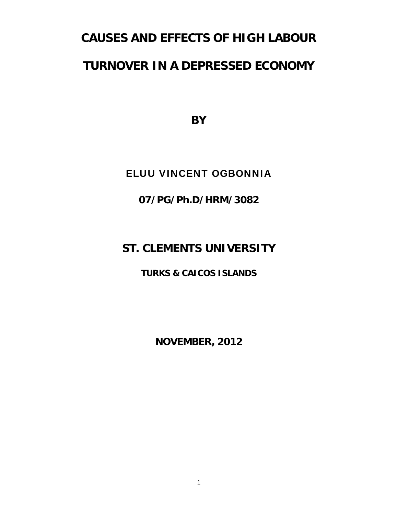# **CAUSES AND EFFECTS OF HIGH LABOUR**

# **TURNOVER IN A DEPRESSED ECONOMY**

**BY** 

## ELUU VINCENT OGBONNIA

**07/PG/Ph.D/HRM/3082** 

# **ST. CLEMENTS UNIVERSITY**

**TURKS & CAICOS ISLANDS** 

**NOVEMBER, 2012**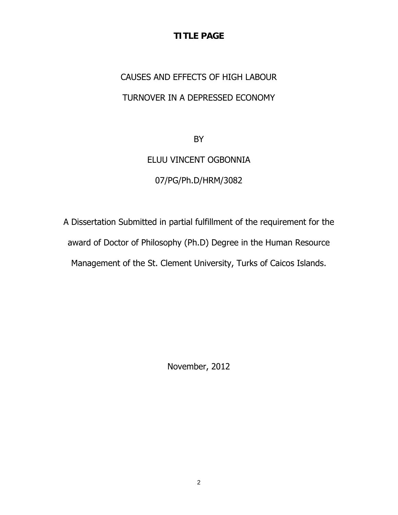### **TITLE PAGE**

# CAUSES AND EFFECTS OF HIGH LABOUR TURNOVER IN A DEPRESSED ECONOMY

BY

# ELUU VINCENT OGBONNIA

### 07/PG/Ph.D/HRM/3082

A Dissertation Submitted in partial fulfillment of the requirement for the award of Doctor of Philosophy (Ph.D) Degree in the Human Resource Management of the St. Clement University, Turks of Caicos Islands.

November, 2012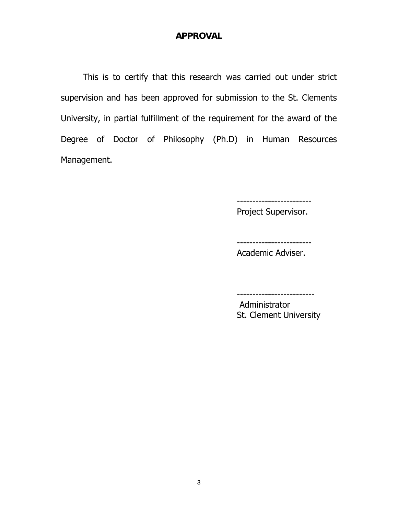#### **APPROVAL**

This is to certify that this research was carried out under strict supervision and has been approved for submission to the St. Clements University, in partial fulfillment of the requirement for the award of the Degree of Doctor of Philosophy (Ph.D) in Human Resources Management.

Project Supervisor.

------------------------

Academic Adviser.

------------------------

 Administrator St. Clement University

-------------------------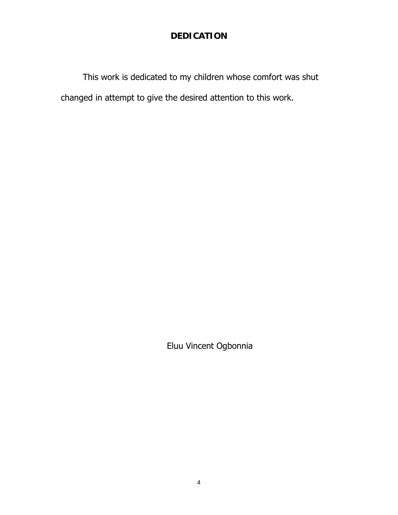### **DEDICATION**

This work is dedicated to my children whose comfort was shut changed in attempt to give the desired attention to this work.

Eluu Vincent Ogbonnia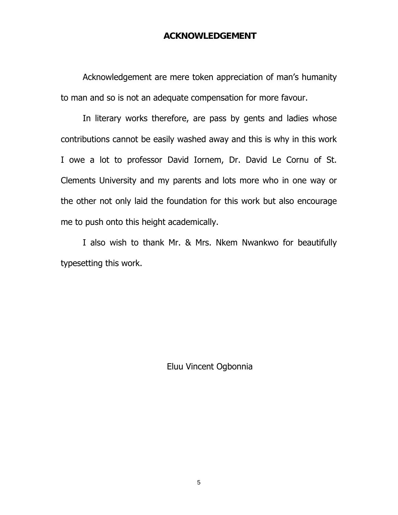#### **ACKNOWLEDGEMENT**

Acknowledgement are mere token appreciation of man's humanity to man and so is not an adequate compensation for more favour.

In literary works therefore, are pass by gents and ladies whose contributions cannot be easily washed away and this is why in this work I owe a lot to professor David Iornem, Dr. David Le Cornu of St. Clements University and my parents and lots more who in one way or the other not only laid the foundation for this work but also encourage me to push onto this height academically.

I also wish to thank Mr. & Mrs. Nkem Nwankwo for beautifully typesetting this work.

Eluu Vincent Ogbonnia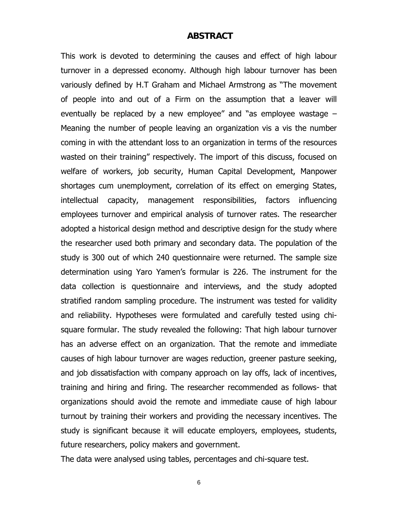#### **ABSTRACT**

This work is devoted to determining the causes and effect of high labour turnover in a depressed economy. Although high labour turnover has been variously defined by H.T Graham and Michael Armstrong as "The movement of people into and out of a Firm on the assumption that a leaver will eventually be replaced by a new employee" and "as employee wastage – Meaning the number of people leaving an organization vis a vis the number coming in with the attendant loss to an organization in terms of the resources wasted on their training" respectively. The import of this discuss, focused on welfare of workers, job security, Human Capital Development, Manpower shortages cum unemployment, correlation of its effect on emerging States, intellectual capacity, management responsibilities, factors influencing employees turnover and empirical analysis of turnover rates. The researcher adopted a historical design method and descriptive design for the study where the researcher used both primary and secondary data. The population of the study is 300 out of which 240 questionnaire were returned. The sample size determination using Yaro Yamen's formular is 226. The instrument for the data collection is questionnaire and interviews, and the study adopted stratified random sampling procedure. The instrument was tested for validity and reliability. Hypotheses were formulated and carefully tested using chisquare formular. The study revealed the following: That high labour turnover has an adverse effect on an organization. That the remote and immediate causes of high labour turnover are wages reduction, greener pasture seeking, and job dissatisfaction with company approach on lay offs, lack of incentives, training and hiring and firing. The researcher recommended as follows- that organizations should avoid the remote and immediate cause of high labour turnout by training their workers and providing the necessary incentives. The study is significant because it will educate employers, employees, students, future researchers, policy makers and government.

The data were analysed using tables, percentages and chi-square test.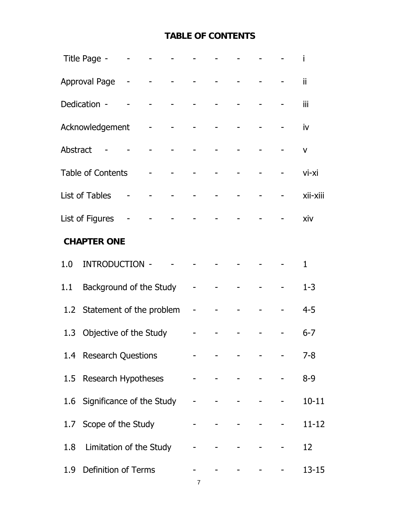## **TABLE OF CONTENTS**

|                 | Title Page -                  |  | المنافس والمستنبط والمستنبط والمستنبذ                                         |                       |                                 |              |
|-----------------|-------------------------------|--|-------------------------------------------------------------------------------|-----------------------|---------------------------------|--------------|
|                 | Approval Page - - - - - - -   |  |                                                                               |                       |                                 | ii           |
|                 | Dedication -                  |  |                                                                               |                       |                                 | iii          |
|                 | Acknowledgement               |  |                                                                               |                       |                                 | iv           |
| <b>Abstract</b> |                               |  |                                                                               |                       |                                 | $\mathsf{V}$ |
|                 | <b>Table of Contents</b>      |  |                                                                               |                       |                                 | vi-xi        |
|                 | List of Tables                |  |                                                                               |                       |                                 | xii-xiii     |
|                 | List of Figures               |  |                                                                               |                       |                                 | xiv          |
|                 | <b>CHAPTER ONE</b>            |  |                                                                               |                       |                                 |              |
| 1.0             | INTRODUCTION -                |  |                                                                               |                       |                                 | $\mathbf{1}$ |
| 1.1             | Background of the Study       |  | $\sim 100$                                                                    |                       |                                 | $1 - 3$      |
|                 | 1.2 Statement of the problem  |  | $\omega_{\rm{max}}$                                                           |                       |                                 | $4 - 5$      |
| 1.3             | Objective of the Study        |  |                                                                               |                       |                                 | $6 - 7$      |
|                 | 1.4 Research Questions        |  |                                                                               |                       |                                 | $7 - 8$      |
|                 | 1.5 Research Hypotheses       |  |                                                                               |                       |                                 | $8 - 9$      |
|                 | 1.6 Significance of the Study |  |                                                                               | Andreas Communication | $\frac{1}{2}$ and $\frac{1}{2}$ | $10 - 11$    |
|                 | 1.7 Scope of the Study        |  |                                                                               |                       | the context of the con-         | $11 - 12$    |
|                 | 1.8 Limitation of the Study   |  | $\frac{1}{2}$ , $\frac{1}{2}$ , $\frac{1}{2}$ , $\frac{1}{2}$ , $\frac{1}{2}$ |                       | the contract of the contract of | 12           |
|                 | 1.9 Definition of Terms       |  |                                                                               |                       | المستحدث والمستنقص والمستحدث    | $13 - 15$    |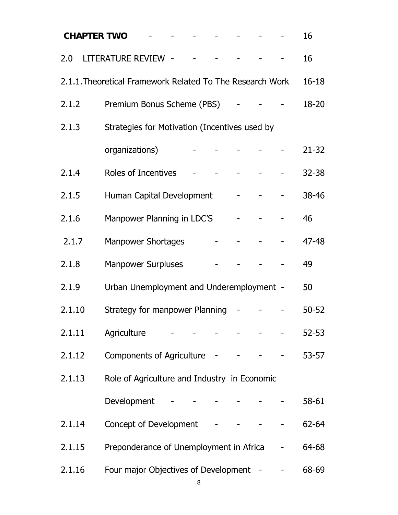| <b>CHAPTER TWO</b> |                                                           |  |  |  |                                                                                                                                                                                                                                             | 16        |
|--------------------|-----------------------------------------------------------|--|--|--|---------------------------------------------------------------------------------------------------------------------------------------------------------------------------------------------------------------------------------------------|-----------|
| 2.0                | LITERATURE REVIEW - - -                                   |  |  |  |                                                                                                                                                                                                                                             | 16        |
|                    | 2.1.1. Theoretical Framework Related To The Research Work |  |  |  |                                                                                                                                                                                                                                             | $16 - 18$ |
| 2.1.2              | Premium Bonus Scheme (PBS)                                |  |  |  |                                                                                                                                                                                                                                             | 18-20     |
| 2.1.3              | Strategies for Motivation (Incentives used by             |  |  |  |                                                                                                                                                                                                                                             |           |
|                    | organizations)                                            |  |  |  |                                                                                                                                                                                                                                             | $21 - 32$ |
| 2.1.4              | Roles of Incentives                                       |  |  |  |                                                                                                                                                                                                                                             | $32 - 38$ |
| 2.1.5              | Human Capital Development                                 |  |  |  |                                                                                                                                                                                                                                             | 38-46     |
| 2.1.6              | Manpower Planning in LDC'S                                |  |  |  |                                                                                                                                                                                                                                             | 46        |
| 2.1.7              | <b>Manpower Shortages</b>                                 |  |  |  |                                                                                                                                                                                                                                             | 47-48     |
| 2.1.8              | <b>Manpower Surpluses</b>                                 |  |  |  |                                                                                                                                                                                                                                             | 49        |
| 2.1.9              | Urban Unemployment and Underemployment -                  |  |  |  |                                                                                                                                                                                                                                             | 50        |
| 2.1.10             | Strategy for manpower Planning                            |  |  |  |                                                                                                                                                                                                                                             | $50 - 52$ |
| 2.1.11             | Agriculture - - - - -                                     |  |  |  | $\frac{1}{2} \left( \frac{1}{2} \left( \frac{1}{2} \left( \frac{1}{2} \left( \frac{1}{2} \left( \frac{1}{2} \left( \frac{1}{2} \right) \right) - \frac{1}{2} \left( \frac{1}{2} \left( \frac{1}{2} \right) \right) \right) \right) \right)$ | $52 - 53$ |
| 2.1.12             | Components of Agriculture - - - - - -                     |  |  |  |                                                                                                                                                                                                                                             | $53 - 57$ |
| 2.1.13             | Role of Agriculture and Industry in Economic              |  |  |  |                                                                                                                                                                                                                                             |           |
|                    | Development                                               |  |  |  |                                                                                                                                                                                                                                             | 58-61     |
| 2.1.14             | Concept of Development -                                  |  |  |  |                                                                                                                                                                                                                                             | 62-64     |
| 2.1.15             | Preponderance of Unemployment in Africa                   |  |  |  |                                                                                                                                                                                                                                             | 64-68     |
| 2.1.16             | Four major Objectives of Development -                    |  |  |  |                                                                                                                                                                                                                                             | 68-69     |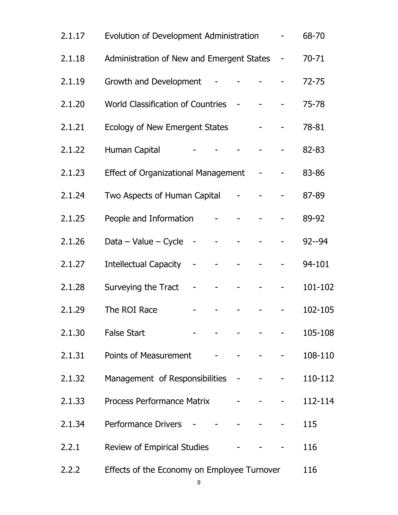| 2.1.18<br>Administration of New and Emergent States<br>$\sim$                                                                                                                                                                                                                                                                                                                                                                                                                                               | $70 - 71$ |
|-------------------------------------------------------------------------------------------------------------------------------------------------------------------------------------------------------------------------------------------------------------------------------------------------------------------------------------------------------------------------------------------------------------------------------------------------------------------------------------------------------------|-----------|
| Growth and Development - - - -<br>2.1.19                                                                                                                                                                                                                                                                                                                                                                                                                                                                    | $72 - 75$ |
| 2.1.20<br>World Classification of Countries - - -                                                                                                                                                                                                                                                                                                                                                                                                                                                           | 75-78     |
| Ecology of New Emergent States Theory<br>2.1.21                                                                                                                                                                                                                                                                                                                                                                                                                                                             | 78-81     |
| Human Capital - - - - - - -<br>2.1.22                                                                                                                                                                                                                                                                                                                                                                                                                                                                       | 82-83     |
| Effect of Organizational Management - -<br>2.1.23                                                                                                                                                                                                                                                                                                                                                                                                                                                           | 83-86     |
| Two Aspects of Human Capital - - -<br>2.1.24                                                                                                                                                                                                                                                                                                                                                                                                                                                                | 87-89     |
| People and Information - - - -<br>2.1.25                                                                                                                                                                                                                                                                                                                                                                                                                                                                    | 89-92     |
| Data – Value – Cycle – – – – – – –<br>2.1.26                                                                                                                                                                                                                                                                                                                                                                                                                                                                | $92 - 94$ |
| 2.1.27<br><b>Intellectual Capacity</b><br><b>All Communications</b><br>$\frac{1}{2}$ and $\frac{1}{2}$<br>$\frac{1}{2}$ and $\frac{1}{2}$                                                                                                                                                                                                                                                                                                                                                                   | 94-101    |
| 2.1.28<br>Surveying the Tract<br>$\frac{1}{2} \left( \frac{1}{2} \right) \left( \frac{1}{2} \right) \left( \frac{1}{2} \right) \left( \frac{1}{2} \right) \left( \frac{1}{2} \right) \left( \frac{1}{2} \right) \left( \frac{1}{2} \right) \left( \frac{1}{2} \right) \left( \frac{1}{2} \right) \left( \frac{1}{2} \right) \left( \frac{1}{2} \right) \left( \frac{1}{2} \right) \left( \frac{1}{2} \right) \left( \frac{1}{2} \right) \left( \frac{1}{2} \right) \left( \frac{1}{2} \right) \left( \frac$ | 101-102   |
| The ROI Race<br>2.1.29                                                                                                                                                                                                                                                                                                                                                                                                                                                                                      | 102-105   |
| 2.1.30<br><b>False Start</b><br>and a straightful and straight and                                                                                                                                                                                                                                                                                                                                                                                                                                          | 105-108   |
| 2.1.31<br>Points of Measurement - - - - - -                                                                                                                                                                                                                                                                                                                                                                                                                                                                 | 108-110   |
| 2.1.32<br>Management of Responsibilities - - - -                                                                                                                                                                                                                                                                                                                                                                                                                                                            | 110-112   |
| Process Performance Matrix<br>2.1.33<br>$\omega_{\rm{max}}$ and $\omega_{\rm{max}}$ and $\omega_{\rm{max}}$                                                                                                                                                                                                                                                                                                                                                                                                 | 112-114   |
| 2.1.34<br>Performance Drivers<br>$\mathcal{L}(\mathcal{L})$ and $\mathcal{L}(\mathcal{L})$ . The $\mathcal{L}(\mathcal{L})$                                                                                                                                                                                                                                                                                                                                                                                 | 115       |
| 2.2.1<br>Review of Empirical Studies                                                                                                                                                                                                                                                                                                                                                                                                                                                                        | 116       |
| Effects of the Economy on Employee Turnover<br>2.2.2                                                                                                                                                                                                                                                                                                                                                                                                                                                        | 116       |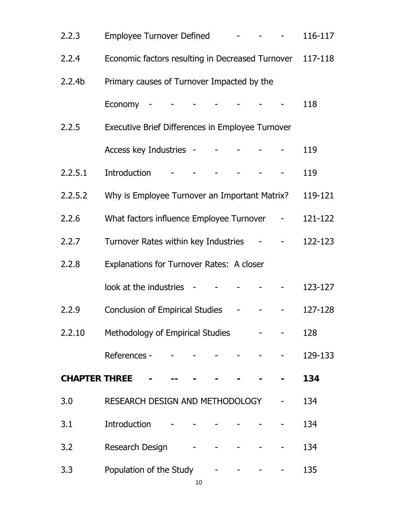| 2.2.3              | Employee Turnover Defined - - - - -                                |  |  |                                     |  | 116-117 |
|--------------------|--------------------------------------------------------------------|--|--|-------------------------------------|--|---------|
| 2.2.4              | Economic factors resulting in Decreased Turnover                   |  |  |                                     |  | 117-118 |
| 2.2.4 <sub>b</sub> | Primary causes of Turnover Impacted by the                         |  |  |                                     |  |         |
|                    | Economy - - - - - - - - -                                          |  |  |                                     |  | 118     |
| 2.2.5              | Executive Brief Differences in Employee Turnover                   |  |  |                                     |  |         |
|                    | Access key Industries - - - - - - -                                |  |  |                                     |  | 119     |
| 2.2.5.1            | Introduction                                                       |  |  | the contract of the contract of the |  | 119     |
| 2.2.5.2            | Why is Employee Turnover an Important Matrix?                      |  |  |                                     |  | 119-121 |
| 2.2.6              | What factors influence Employee Turnover -                         |  |  |                                     |  | 121-122 |
| 2.2.7              | Turnover Rates within key Industries - - -                         |  |  |                                     |  | 122-123 |
| 2.2.8              | Explanations for Turnover Rates: A closer                          |  |  |                                     |  |         |
|                    | look at the industries $     -$                                    |  |  |                                     |  | 123-127 |
| 2.2.9              | Conclusion of Empirical Studies -                                  |  |  |                                     |  | 127-128 |
| 2.2.10             | Methodology of Empirical Studies Fig. 5. The Studies Allen Fig. 3. |  |  |                                     |  | 128     |
|                    |                                                                    |  |  |                                     |  | 129-133 |
|                    | <b>CHAPTER THREE</b> - --                                          |  |  |                                     |  | 134     |
| 3.0                | RESEARCH DESIGN AND METHODOLOGY                                    |  |  |                                     |  | 134     |
| 3.1                | <b>Introduction</b>                                                |  |  |                                     |  | 134     |
| 3.2                | Research Design                                                    |  |  |                                     |  | 134     |
| 3.3                | Population of the Study                                            |  |  |                                     |  | 135     |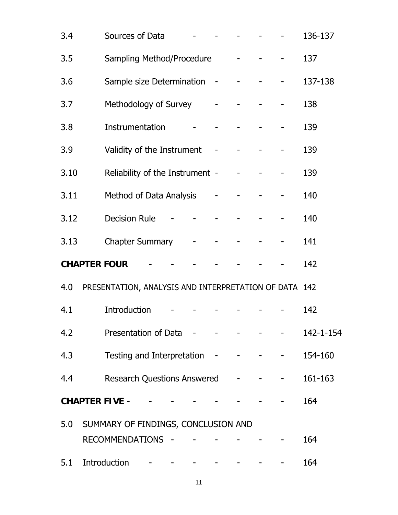| 3.4  | Sources of Data                                       |  |                               |  |                                                                                                                                                                                                                      | 136-137   |
|------|-------------------------------------------------------|--|-------------------------------|--|----------------------------------------------------------------------------------------------------------------------------------------------------------------------------------------------------------------------|-----------|
| 3.5  | Sampling Method/Procedure - - - -                     |  |                               |  |                                                                                                                                                                                                                      | 137       |
| 3.6  | Sample size Determination - - - - - -                 |  |                               |  |                                                                                                                                                                                                                      | 137-138   |
| 3.7  | Methodology of Survey - - - - - -                     |  |                               |  |                                                                                                                                                                                                                      | 138       |
| 3.8  | Instrumentation                                       |  | كالمستنبذ والمستنبذ والمستنبذ |  |                                                                                                                                                                                                                      | 139       |
| 3.9  | Validity of the Instrument - - - - -                  |  |                               |  |                                                                                                                                                                                                                      | 139       |
| 3.10 | Reliability of the Instrument - - - - -               |  |                               |  |                                                                                                                                                                                                                      | 139       |
| 3.11 | Method of Data Analysis - - - - -                     |  |                               |  |                                                                                                                                                                                                                      | 140       |
| 3.12 | <b>Decision Rule</b>                                  |  | المستحدث والمستنقص والمستحدث  |  |                                                                                                                                                                                                                      | 140       |
| 3.13 | Chapter Summary - - - - -                             |  |                               |  |                                                                                                                                                                                                                      | 141       |
|      | <b>CHAPTER FOUR</b>                                   |  |                               |  |                                                                                                                                                                                                                      | 142       |
| 4.0  | PRESENTATION, ANALYSIS AND INTERPRETATION OF DATA 142 |  |                               |  |                                                                                                                                                                                                                      |           |
| 4.1  | Introduction                                          |  |                               |  |                                                                                                                                                                                                                      | 142       |
| 4.2  | Presentation of Data - - - - - - - -                  |  |                               |  |                                                                                                                                                                                                                      | 142-1-154 |
| 4.3  | Testing and Interpretation - - - - - -                |  |                               |  |                                                                                                                                                                                                                      | 154-160   |
| 4.4  | <b>Research Questions Answered</b>                    |  |                               |  | $\frac{1}{2} \left( \left( \begin{array}{cc} 1 & 0 \\ 0 & 1 \end{array} \right) \right) = \left( \begin{array}{cc} 1 & 0 \\ 0 & 1 \end{array} \right) = \left( \begin{array}{cc} 1 & 0 \\ 0 & 1 \end{array} \right)$ | 161-163   |
|      | <b>CHAPTER FIVE -</b>                                 |  |                               |  |                                                                                                                                                                                                                      | 164       |
|      | 5.0 SUMMARY OF FINDINGS, CONCLUSION AND               |  |                               |  |                                                                                                                                                                                                                      |           |
|      | RECOMMENDATIONS -                                     |  |                               |  |                                                                                                                                                                                                                      | 164       |
| 5.1  | Introduction $       -$                               |  |                               |  |                                                                                                                                                                                                                      | 164       |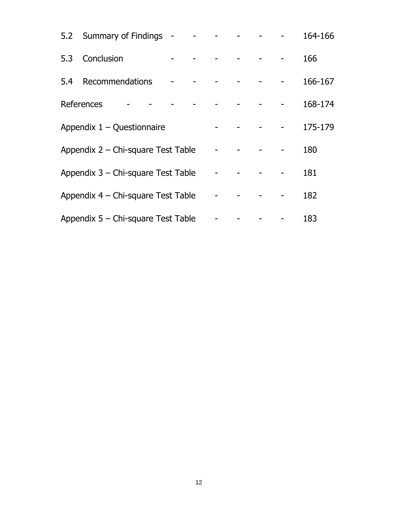|     | 5.2 Summary of Findings - - - -          |  |  |  | 164-166 |
|-----|------------------------------------------|--|--|--|---------|
| 5.3 | Conclusion<br>and the state of the state |  |  |  | 166     |
| 5.4 | Recommendations                          |  |  |  | 166-167 |
|     | References                               |  |  |  | 168-174 |
|     | Appendix $1 -$ Questionnaire             |  |  |  | 175-179 |
|     | Appendix 2 – Chi-square Test Table       |  |  |  | 180     |
|     | Appendix 3 – Chi-square Test Table       |  |  |  | 181     |
|     | Appendix 4 – Chi-square Test Table       |  |  |  | 182     |
|     | Appendix 5 – Chi-square Test Table       |  |  |  | 183     |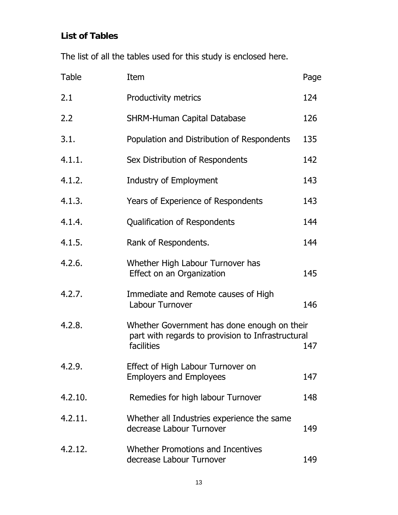# **List of Tables**

The list of all the tables used for this study is enclosed here.

| <b>Table</b> | Item                                                                                                           | Page |
|--------------|----------------------------------------------------------------------------------------------------------------|------|
| 2.1          | Productivity metrics                                                                                           | 124  |
| 2.2          | <b>SHRM-Human Capital Database</b>                                                                             | 126  |
| 3.1.         | Population and Distribution of Respondents                                                                     | 135  |
| 4.1.1.       | Sex Distribution of Respondents                                                                                | 142  |
| 4.1.2.       | Industry of Employment                                                                                         | 143  |
| 4.1.3.       | Years of Experience of Respondents                                                                             | 143  |
| 4.1.4.       | Qualification of Respondents                                                                                   | 144  |
| 4.1.5.       | Rank of Respondents.                                                                                           | 144  |
| 4.2.6.       | Whether High Labour Turnover has<br>Effect on an Organization                                                  | 145  |
| 4.2.7.       | Immediate and Remote causes of High<br>Labour Turnover                                                         | 146  |
| 4.2.8.       | Whether Government has done enough on their<br>part with regards to provision to Infrastructural<br>facilities | 147  |
| 4.2.9.       | Effect of High Labour Turnover on<br><b>Employers and Employees</b>                                            | 147  |
| 4.2.10.      | Remedies for high labour Turnover                                                                              | 148  |
| 4.2.11.      | Whether all Industries experience the same<br>decrease Labour Turnover                                         | 149  |
| 4.2.12.      | Whether Promotions and Incentives<br>decrease Labour Turnover                                                  | 149  |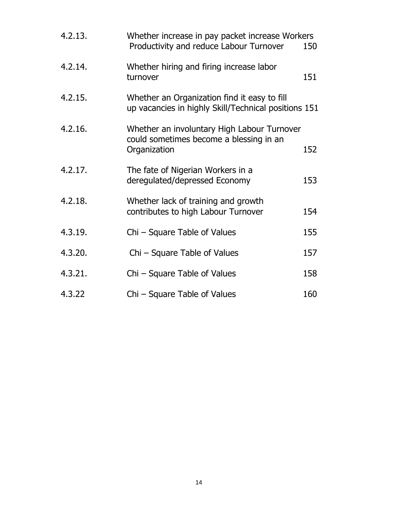| 4.2.13. | Whether increase in pay packet increase Workers<br>Productivity and reduce Labour Turnover             | 150 |
|---------|--------------------------------------------------------------------------------------------------------|-----|
| 4.2.14. | Whether hiring and firing increase labor<br>turnover                                                   | 151 |
| 4.2.15. | Whether an Organization find it easy to fill<br>up vacancies in highly Skill/Technical positions 151   |     |
| 4.2.16. | Whether an involuntary High Labour Turnover<br>could sometimes become a blessing in an<br>Organization | 152 |
| 4.2.17. | The fate of Nigerian Workers in a<br>deregulated/depressed Economy                                     | 153 |
| 4.2.18. | Whether lack of training and growth<br>contributes to high Labour Turnover                             | 154 |
| 4.3.19. | Chi – Square Table of Values                                                                           | 155 |
| 4.3.20. | Chi – Square Table of Values                                                                           | 157 |
| 4.3.21. | Chi – Square Table of Values                                                                           | 158 |
| 4.3.22  | Chi - Square Table of Values                                                                           | 160 |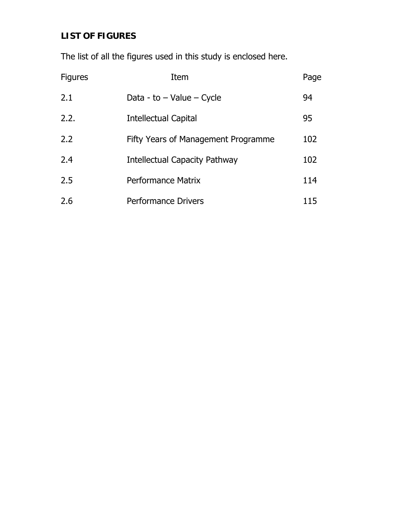# **LIST OF FIGURES**

The list of all the figures used in this study is enclosed here.

| <b>Figures</b> | Item                                | Page |
|----------------|-------------------------------------|------|
| 2.1            | Data - to $-$ Value $-$ Cycle       | 94   |
| 2.2.           | Intellectual Capital                | 95   |
| 2.2            | Fifty Years of Management Programme | 102  |
| 2.4            | Intellectual Capacity Pathway       | 102  |
| 2.5            | Performance Matrix                  | 114  |
| 2.6            | <b>Performance Drivers</b>          | 115  |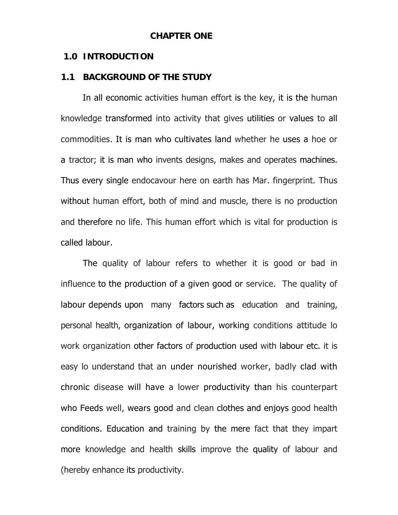#### **CHAPTER ONE**

#### **1.0 INTRODUCTION**

#### **1.1 BACKGROUND OF THE STUDY**

 In all economic activities human effort is the key, it is the human knowledge transformed into activity that gives utilities or values to all commodities. It is man who cultivates land whether he uses a hoe or a tractor; it is man who invents designs, makes and operates machines. Thus every single endocavour here on earth has Mar. fingerprint. Thus without human effort, both of mind and muscle, there is no production and therefore no life. This human effort which is vital for production is called labour.

The quality of labour refers to whether it is good or bad in influence to the production of a given good or service. The quality of labour depends upon many factors such as education and training, personal health, organization of labour, working conditions attitude lo work organization other factors of production used with labour etc. it is easy lo understand that an under nourished worker, badly clad with chronic disease will have a lower productivity than his counterpart who Feeds well, wears good and clean clothes and enjoys good health conditions. Education and training by the mere fact that they impart more knowledge and health skills improve the quality of labour and (hereby enhance its productivity.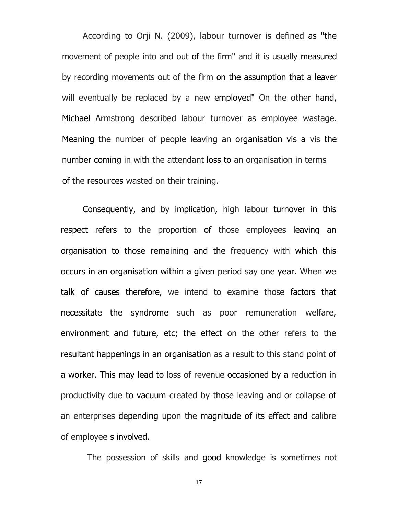According to Orji N. (2009), labour turnover is defined as "the movement of people into and out of the firm" and it is usually measured by recording movements out of the firm on the assumption that a leaver will eventually be replaced by a new employed" On the other hand, Michael Armstrong described labour turnover as employee wastage. Meaning the number of people leaving an organisation vis a vis the number coming in with the attendant loss to an organisation in terms of the resources wasted on their training.

Consequently, and by implication, high labour turnover in this respect refers to the proportion of those employees leaving an organisation to those remaining and the frequency with which this occurs in an organisation within a given period say one year. When we talk of causes therefore, we intend to examine those factors that necessitate the syndrome such as poor remuneration welfare, environment and future, etc; the effect on the other refers to the resultant happenings in an organisation as a result to this stand point of a worker. This may lead to loss of revenue occasioned by a reduction in productivity due to vacuum created by those leaving and or collapse of an enterprises depending upon the magnitude of its effect and calibre of employee s involved.

The possession of skills and good knowledge is sometimes not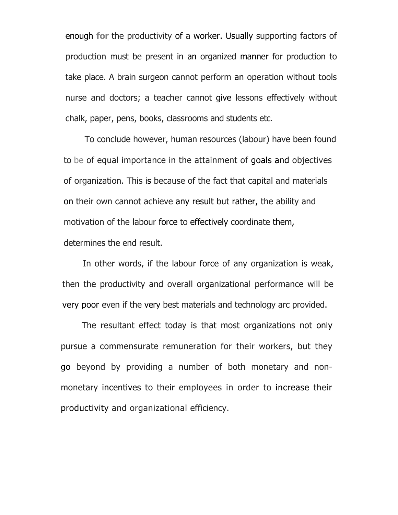enough **for** the productivity of a worker. Usually supporting factors of production must be present in an organized manner for production to take place. A brain surgeon cannot perform an operation without tools nurse and doctors; a teacher cannot give lessons effectively without chalk, paper, pens, books, classrooms and students etc.

To conclude however, human resources (labour) have been found to be of equal importance in the attainment of goals and objectives of organization. This is because of the fact that capital and materials on their own cannot achieve any result but rather, the ability and motivation of the labour force to effectively coordinate them, determines the end result.

In other words, if the labour force of any organization is weak, then the productivity and overall organizational performance will be very poor even if the very best materials and technology arc provided.

The resultant effect today is that most organizations not only pursue a commensurate remuneration for their workers, but they go beyond by providing a number of both monetary and nonmonetary incentives to their employees in order to increase their productivity and organizational efficiency.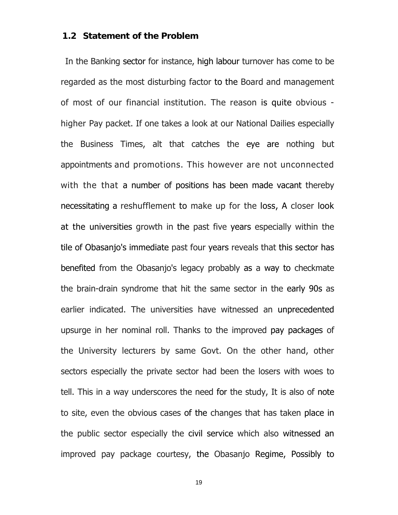#### **1.2 Statement of the Problem**

In the Banking sector for instance, high labour turnover has come to be regarded as the most disturbing factor to the Board and management of most of our financial institution. The reason is quite obvious higher Pay packet. If one takes a look at our National Dailies especially the Business Times, alt that catches the eye are nothing but appointments and promotions. This however are not unconnected with the that a number of positions has been made vacant thereby necessitating a reshufflement to make up for the loss, A closer look at the universities growth in the past five years especially within the tile of Obasanjo's immediate past four years reveals that this sector has benefited from the Obasanjo's legacy probably as a way to checkmate the brain-drain syndrome that hit the same sector in the early 90s as earlier indicated. The universities have witnessed an unprecedented upsurge in her nominal roll. Thanks to the improved pay packages of the University lecturers by same Govt. On the other hand, other sectors especially the private sector had been the losers with woes to tell. This in a way underscores the need for the study, It is also of note to site, even the obvious cases of the changes that has taken place in the public sector especially the civil service which also witnessed an improved pay package courtesy, the Obasanjo Regime, Possibly to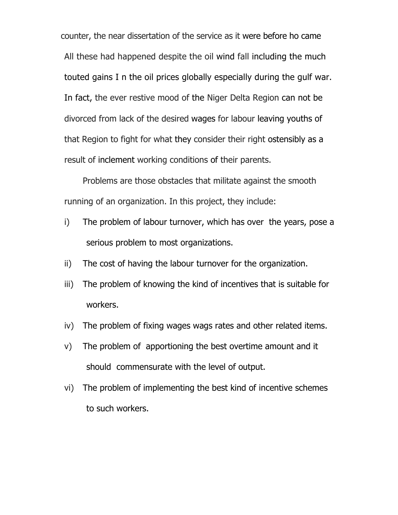counter, the near dissertation of the service as it were before ho came All these had happened despite the oil wind fall including the much touted gains I n the oil prices globally especially during the gulf war. In fact, the ever restive mood of the Niger Delta Region can not be divorced from lack of the desired wages for labour leaving youths of that Region to fight for what they consider their right ostensibly as a result of inclement working conditions of their parents.

 Problems are those obstacles that militate against the smooth running of an organization. In this project, they include:

- i) The problem of labour turnover, which has over the years, pose a serious problem to most organizations.
- ii) The cost of having the labour turnover for the organization.
- iii) The problem of knowing the kind of incentives that is suitable for workers.
- iv) The problem of fixing wages wags rates and other related items.
- v) The problem of apportioning the best overtime amount and it should commensurate with the level of output.
- vi) The problem of implementing the best kind of incentive schemes to such workers.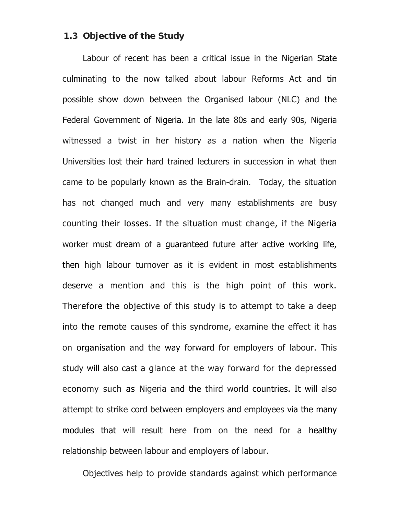#### **1.3 Objective of the Study**

Labour of recent has been a critical issue in the Nigerian State culminating to the now talked about labour Reforms Act and tin possible show down between the Organised labour (NLC) and the Federal Government of Nigeria. In the late 80s and early 90s, Nigeria witnessed a twist in her history as a nation when the Nigeria Universities lost their hard trained lecturers in succession in what then came to be popularly known as the Brain-drain. Today, the situation has not changed much and very many establishments are busy counting their losses. If the situation must change, if the Nigeria worker must dream of a guaranteed future after active working life, then high labour turnover as it is evident in most establishments deserve a mention and this is the high point of this work. Therefore the objective of this study is to attempt to take a deep into the remote causes of this syndrome, examine the effect it has on organisation and the way forward for employers of labour. This study will also cast a glance at the way forward for the depressed economy such as Nigeria and the third world countries. It will also attempt to strike cord between employers and employees via the many modules that will result here from on the need for a healthy relationship between labour and employers of labour.

Objectives help to provide standards against which performance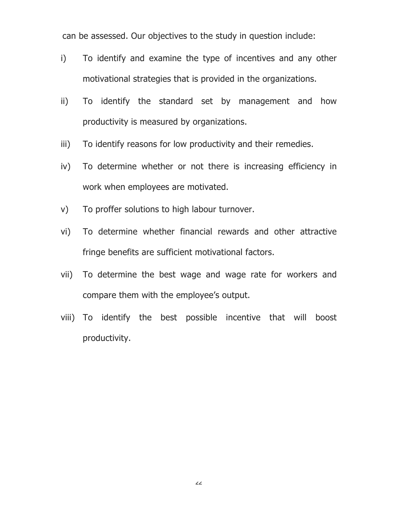can be assessed. Our objectives to the study in question include:

- i) To identify and examine the type of incentives and any other motivational strategies that is provided in the organizations.
- ii) To identify the standard set by management and how productivity is measured by organizations.
- iii) To identify reasons for low productivity and their remedies.
- iv) To determine whether or not there is increasing efficiency in work when employees are motivated.
- v) To proffer solutions to high labour turnover.
- vi) To determine whether financial rewards and other attractive fringe benefits are sufficient motivational factors.
- vii) To determine the best wage and wage rate for workers and compare them with the employee's output.
- viii) To identify the best possible incentive that will boost productivity.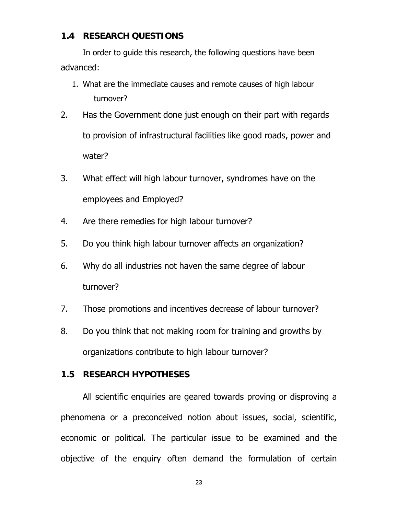#### **1.4 RESEARCH QUESTIONS**

In order to guide this research, the following questions have been advanced:

- 1. What are the immediate causes and remote causes of high labour turnover?
- 2. Has the Government done just enough on their part with regards to provision of infrastructural facilities like good roads, power and water?
- 3. What effect will high labour turnover, syndromes have on the employees and Employed?
- 4. Are there remedies for high labour turnover?
- 5. Do you think high labour turnover affects an organization?
- 6. Why do all industries not haven the same degree of labour turnover?
- 7. Those promotions and incentives decrease of labour turnover?
- 8. Do you think that not making room for training and growths by organizations contribute to high labour turnover?

### **1.5 RESEARCH HYPOTHESES**

 All scientific enquiries are geared towards proving or disproving a phenomena or a preconceived notion about issues, social, scientific, economic or political. The particular issue to be examined and the objective of the enquiry often demand the formulation of certain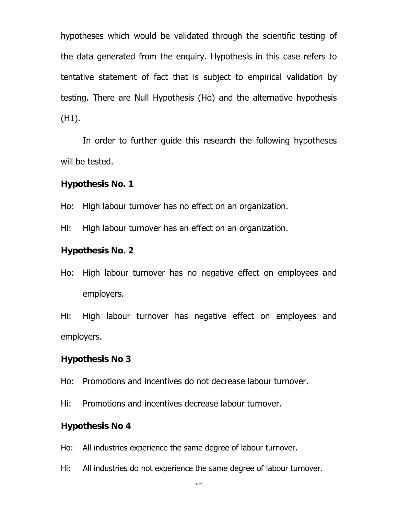hypotheses which would be validated through the scientific testing of the data generated from the enquiry. Hypothesis in this case refers to tentative statement of fact that is subject to empirical validation by testing. There are Null Hypothesis (Ho) and the alternative hypothesis (H1).

 In order to further guide this research the following hypotheses will be tested.

#### **Hypothesis No. 1**

Ho: High labour turnover has no effect on an organization.

Hi: High labour turnover has an effect on an organization.

#### **Hypothesis No. 2**

Ho: High labour turnover has no negative effect on employees and employers.

Hi: High labour turnover has negative effect on employees and employers.

#### **Hypothesis No 3**

Ho: Promotions and incentives do not decrease labour turnover.

Hi: Promotions and incentives decrease labour turnover.

#### **Hypothesis No 4**

Ho: All industries experience the same degree of labour turnover.

Hi: All industries do not experience the same degree of labour turnover.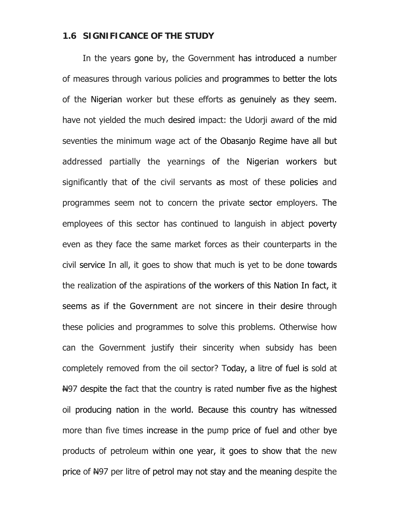#### **1.6 SIGNIFICANCE OF THE STUDY**

In the years gone by, the Government has introduced a number of measures through various policies and programmes to better the lots of the Nigerian worker but these efforts as genuinely as they seem. have not yielded the much desired impact: the Udorji award of the mid seventies the minimum wage act of the Obasanjo Regime have all but addressed partially the yearnings of the Nigerian workers but significantly that of the civil servants as most of these policies and programmes seem not to concern the private sector employers. The employees of this sector has continued to languish in abject poverty even as they face the same market forces as their counterparts in the civil service In all, it goes to show that much is yet to be done towards the realization of the aspirations of the workers of this Nation In fact, it seems as if the Government are not sincere in their desire through these policies and programmes to solve this problems. Otherwise how can the Government justify their sincerity when subsidy has been completely removed from the oil sector? Today, a litre of fuel is sold at Nethim as the fact that the country is rated number five as the highest oil producing nation in the world. Because this country has witnessed more than five times increase in the pump price of fuel and other bye products of petroleum within one year, it goes to show that the new price of  $H<sup>97</sup>$  per litre of petrol may not stay and the meaning despite the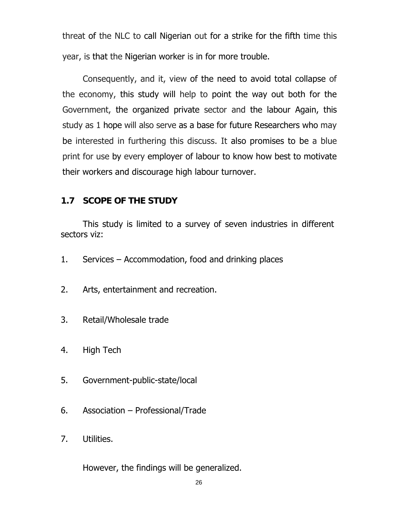threat of the NLC to call Nigerian out for a strike for the fifth time this year, is that the Nigerian worker is in for more trouble.

Consequently, and it, view of the need to avoid total collapse of the economy, this study will help to point the way out both for the Government, the organized private sector and the labour Again, this study as 1 hope will also serve as a base for future Researchers who may be interested in furthering this discuss. It also promises to be a blue print for use by every employer of labour to know how best to motivate their workers and discourage high labour turnover.

### **1.7 SCOPE OF THE STUDY**

 This study is limited to a survey of seven industries in different sectors viz:

- 1. Services Accommodation, food and drinking places
- 2. Arts, entertainment and recreation.
- 3. Retail/Wholesale trade
- 4. High Tech
- 5. Government-public-state/local
- 6. Association Professional/Trade
- 7. Utilities.

However, the findings will be generalized.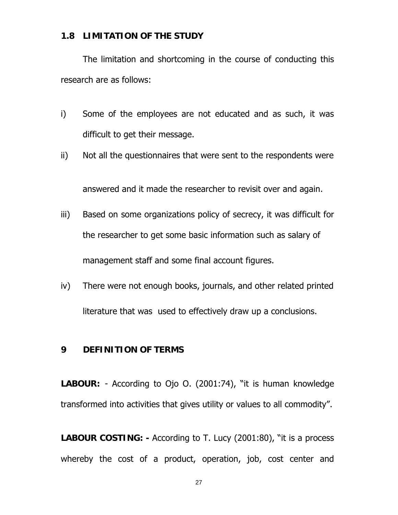### **1.8 LIMITATION OF THE STUDY**

 The limitation and shortcoming in the course of conducting this research are as follows:

- i) Some of the employees are not educated and as such, it was difficult to get their message.
- ii) Not all the questionnaires that were sent to the respondents were

answered and it made the researcher to revisit over and again.

- iii) Based on some organizations policy of secrecy, it was difficult for the researcher to get some basic information such as salary of management staff and some final account figures.
- iv) There were not enough books, journals, and other related printed literature that was used to effectively draw up a conclusions.

#### **9 DEFINITION OF TERMS**

**LABOUR:** - According to Ojo O. (2001:74), "it is human knowledge transformed into activities that gives utility or values to all commodity".

**LABOUR COSTING: -** According to T. Lucy (2001:80), "it is a process whereby the cost of a product, operation, job, cost center and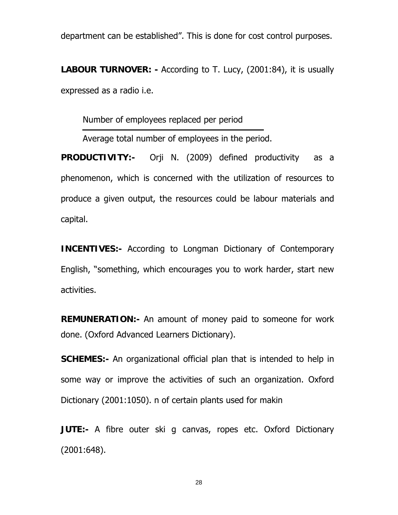department can be established". This is done for cost control purposes.

**LABOUR TURNOVER: -** According to T. Lucy, (2001:84), it is usually expressed as a radio i.e.

Number of employees replaced per period

Average total number of employees in the period.

**PRODUCTIVITY:-** Orji N. (2009) defined productivity as a phenomenon, which is concerned with the utilization of resources to produce a given output, the resources could be labour materials and capital.

**INCENTIVES:-** According to Longman Dictionary of Contemporary English, "something, which encourages you to work harder, start new activities.

**REMUNERATION:-** An amount of money paid to someone for work done. (Oxford Advanced Learners Dictionary).

**SCHEMES:-** An organizational official plan that is intended to help in some way or improve the activities of such an organization. Oxford Dictionary (2001:1050). n of certain plants used for makin

**JUTE:-** A fibre outer ski g canvas, ropes etc. Oxford Dictionary (2001:648).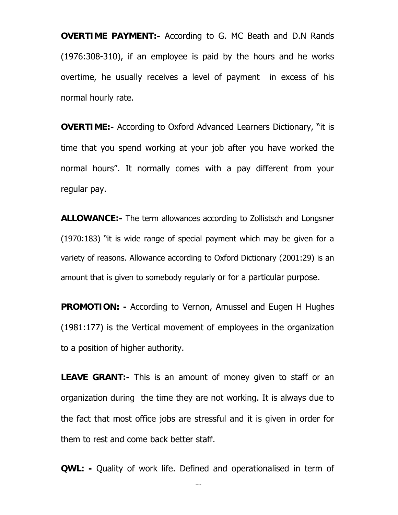**OVERTIME PAYMENT:-** According to G. MC Beath and D.N Rands (1976:308-310), if an employee is paid by the hours and he works overtime, he usually receives a level of payment in excess of his normal hourly rate.

**OVERTIME:-** According to Oxford Advanced Learners Dictionary, "it is time that you spend working at your job after you have worked the normal hours". It normally comes with a pay different from your regular pay.

**ALLOWANCE:-** The term allowances according to Zollistsch and Longsner (1970:183) "it is wide range of special payment which may be given for a variety of reasons. Allowance according to Oxford Dictionary (2001:29) is an amount that is given to somebody regularly or for a particular purpose.

**PROMOTION: -** According to Vernon, Amussel and Eugen H Hughes (1981:177) is the Vertical movement of employees in the organization to a position of higher authority.

**LEAVE GRANT:-** This is an amount of money given to staff or an organization during the time they are not working. It is always due to the fact that most office jobs are stressful and it is given in order for them to rest and come back better staff.

**QWL: -** Quality of work life. Defined and operationalised in term of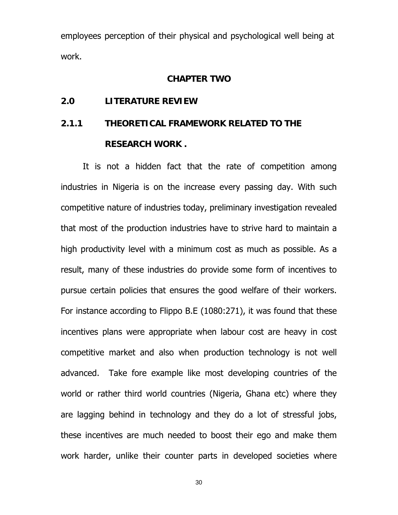employees perception of their physical and psychological well being at work.

#### **CHAPTER TWO**

#### **2.0 LITERATURE REVIEW**

# **2.1.1 THEORETICAL FRAMEWORK RELATED TO THE RESEARCH WORK .**

 It is not a hidden fact that the rate of competition among industries in Nigeria is on the increase every passing day. With such competitive nature of industries today, preliminary investigation revealed that most of the production industries have to strive hard to maintain a high productivity level with a minimum cost as much as possible. As a result, many of these industries do provide some form of incentives to pursue certain policies that ensures the good welfare of their workers. For instance according to Flippo B.E (1080:271), it was found that these incentives plans were appropriate when labour cost are heavy in cost competitive market and also when production technology is not well advanced. Take fore example like most developing countries of the world or rather third world countries (Nigeria, Ghana etc) where they are lagging behind in technology and they do a lot of stressful jobs, these incentives are much needed to boost their ego and make them work harder, unlike their counter parts in developed societies where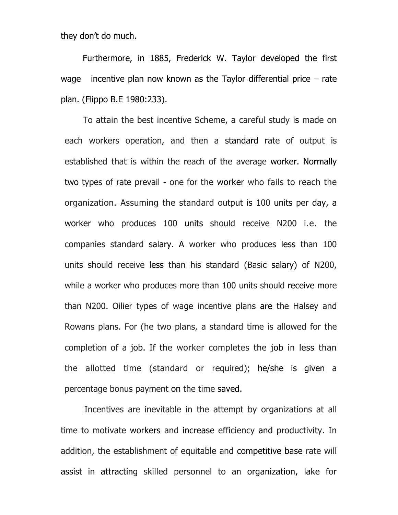they don't do much.

 Furthermore, in 1885, Frederick W. Taylor developed the first wage incentive plan now known as the Taylor differential price – rate plan. (Flippo B.E 1980:233).

To attain the best incentive Scheme, a careful study is made on each workers operation, and then a standard rate of output is established that is within the reach of the average worker. Normally two types of rate prevail - one for the worker who fails to reach the organization. Assuming the standard output is 100 units per day, a worker who produces 100 units should receive N200 i.e. the companies standard salary. A worker who produces less than 100 units should receive less than his standard (Basic salary) of N200, while a worker who produces more than 100 units should receive more than N200. Oilier types of wage incentive plans are the Halsey and Rowans plans. For (he two plans, a standard time is allowed for the completion of a job. If the worker completes the job in less than the allotted time (standard or required); he/she is given a percentage bonus payment on the time saved.

Incentives are inevitable in the attempt by organizations at all time to motivate workers and increase efficiency and productivity. In addition, the establishment of equitable and competitive base rate will assist in attracting skilled personnel to an organization, lake for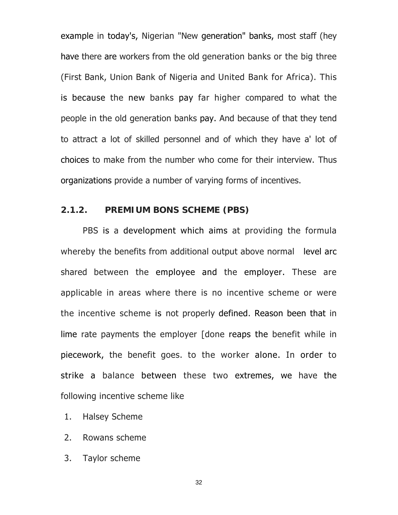example in today's, Nigerian "New generation" banks, most staff (hey have there are workers from the old generation banks or the big three (First Bank, Union Bank of Nigeria and United Bank for Africa). This is because the new banks pay far higher compared to what the people in the old generation banks pay. And because of that they tend to attract a lot of skilled personnel and of which they have a' lot of choices to make from the number who come for their interview. Thus organizations provide a number of varying forms of incentives.

#### **2.1.2. PREMIUM BONS SCHEME (PBS)**

PBS is a development which aims at providing the formula whereby the benefits from additional output above normal level arc shared between the employee and the employer. These are applicable in areas where there is no incentive scheme or were the incentive scheme is not properly defined. Reason been that in lime rate payments the employer [done reaps the benefit while in piecework, the benefit goes. to the worker alone. In order to strike a balance between these two extremes, we have the following incentive scheme like

- 1. Halsey Scheme
- 2. Rowans scheme
- 3. Taylor scheme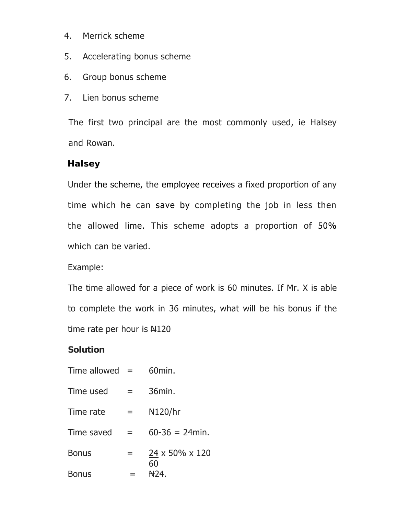- 4. Merrick scheme
- 5. Accelerating bonus scheme
- 6. Group bonus scheme
- 7. Lien bonus scheme

The first two principal are the most commonly used, ie Halsey and Rowan.

### **Halsey**

Under the scheme, the employee receives a fixed proportion of any time which he can save by completing the job in less then the allowed lime. This scheme adopts a proportion of 50% which can be varied.

Example:

The time allowed for a piece of work is 60 minutes. If Mr. X is able to complete the work in 36 minutes, what will be his bonus if the time rate per hour is  $\text{H}120$ 

#### **Solution**

| Time allowed $=$ |   | 60 <sub>min</sub>   |
|------------------|---|---------------------|
| Time used        | = | 36min.              |
| Time rate        | = | H120/hr             |
| Time saved       | = | $60 - 36 = 24$ min. |
| <b>Bonus</b>     |   | 24 x 50% x 120      |
| Bonus            |   | 60<br>HD4.          |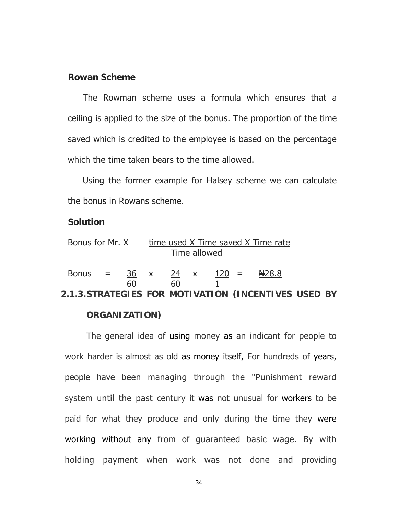#### **Rowan Scheme**

 The Rowman scheme uses a formula which ensures that a ceiling is applied to the size of the bonus. The proportion of the time saved which is credited to the employee is based on the percentage which the time taken bears to the time allowed.

 Using the former example for Halsey scheme we can calculate the bonus in Rowans scheme.

#### **Solution**

| Bonus for Mr. X time used X Time saved X Time rate   | Time allowed |               |  |
|------------------------------------------------------|--------------|---------------|--|
| Bonus = $36 \times 24 \times 120 =$<br>60            | 60           | <b>N</b> 28.8 |  |
| 2.1.3. STRATEGIES FOR MOTIVATION (INCENTIVES USED BY |              |               |  |

#### **ORGANIZATION)**

The general idea of using money as an indicant for people to work harder is almost as old as money itself, For hundreds of years, people have been managing through the "Punishment reward system until the past century it was not unusual for workers to be paid for what they produce and only during the time they were working without any from of guaranteed basic wage. By with holding payment when work was not done and providing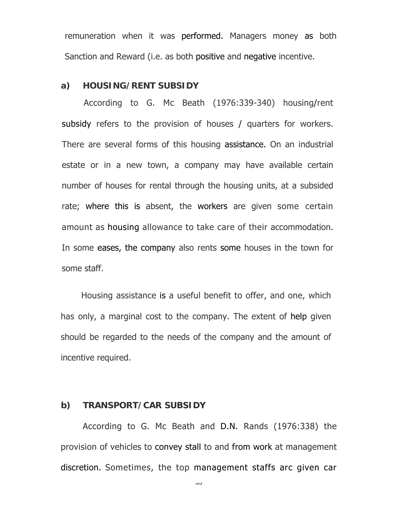remuneration when it was performed. Managers money as both Sanction and Reward (i.e. as both positive and negative incentive.

#### **a) HOUSING/RENT SUBSIDY**

According to G. Mc Beath (1976:339-340) housing/rent subsidy refers to the provision of houses / quarters for workers. There are several forms of this housing assistance. On an industrial estate or in a new town, a company may have available certain number of houses for rental through the housing units, at a subsided rate; where this is absent, the workers are given some certain amount as housing allowance to take care of their accommodation. In some eases, the company also rents some houses in the town for some staff.

Housing assistance is a useful benefit to offer, and one, which has only, a marginal cost to the company. The extent of help given should be regarded to the needs of the company and the amount of incentive required.

#### **b) TRANSPORT/CAR SUBSIDY**

According to G. Mc Beath and D.N. Rands (1976:338) the provision of vehicles to convey stall to and from work at management discretion. Sometimes, the top management staffs arc given car

رن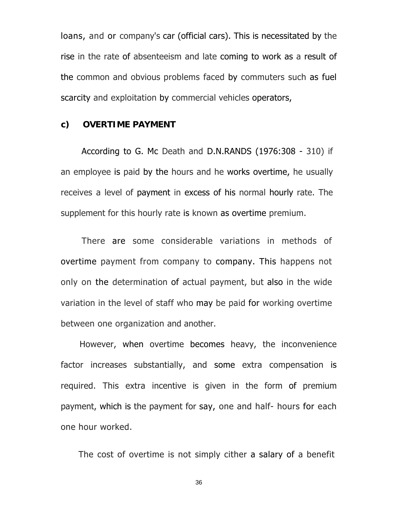loans, and or company's car (official cars). This is necessitated by the rise in the rate of absenteeism and late coming to work as a result of the common and obvious problems faced by commuters such as fuel scarcity and exploitation by commercial vehicles operators,

#### **c) OVERTIME PAYMENT**

According to G. Mc Death and D.N.RANDS (1976:308 - 310) if an employee is paid by the hours and he works overtime, he usually receives a level of payment in excess of his normal hourly rate. The supplement for this hourly rate is known as overtime premium.

There are some considerable variations in methods of overtime payment from company to company. This happens not only on the determination of actual payment, but also in the wide variation in the level of staff who may be paid for working overtime between one organization and another.

However, when overtime becomes heavy, the inconvenience factor increases substantially, and some extra compensation is required. This extra incentive is given in the form of premium payment, which is the payment for say, one and half- hours for each one hour worked.

The cost of overtime is not simply cither a salary of a benefit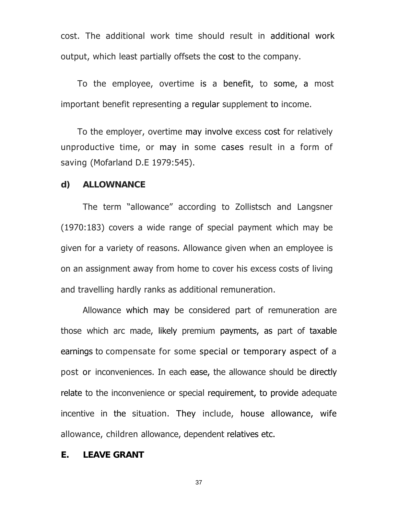cost. The additional work time should result in additional work output, which least partially offsets the cost to the company.

To the employee, overtime is a benefit, to some, a most important benefit representing a regular supplement to income.

To the employer, overtime may involve excess cost for relatively unproductive time, or may in some cases result in a form of saving (Mofarland D.E 1979:545).

#### **d) ALLOWNANCE**

 The term "allowance" according to Zollistsch and Langsner (1970:183) covers a wide range of special payment which may be given for a variety of reasons. Allowance given when an employee is on an assignment away from home to cover his excess costs of living and travelling hardly ranks as additional remuneration.

Allowance which may be considered part of remuneration are those which arc made, likely premium payments, as part of taxable earnings to compensate for some special or temporary aspect of a post or inconveniences. In each ease, the allowance should be directly relate to the inconvenience or special requirement, to provide adequate incentive in the situation. They include, house allowance, wife allowance, children allowance, dependent relatives etc.

## **E. LEAVE GRANT**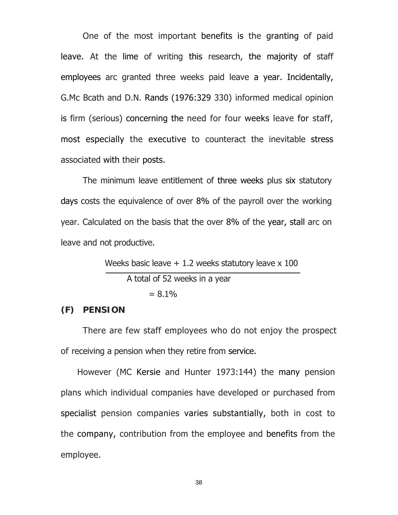One of the most important benefits is the granting of paid leave. At the lime of writing this research, the majority of staff employees arc granted three weeks paid leave a year. Incidentally, G.Mc Bcath and D.N. Rands (1976:329 330) informed medical opinion is firm (serious) concerning the need for four weeks leave for staff, most especially the executive to counteract the inevitable stress associated with their posts.

The minimum leave entitlement of three weeks plus six statutory days costs the equivalence of over 8% of the payroll over the working year. Calculated on the basis that the over 8% of the year, stall arc on leave and not productive.

Weeks basic leave  $+1.2$  weeks statutory leave  $\times 100$ 

 A total of 52 weeks in a year  $= 8.1\%$ 

### **(F) PENSION**

There are few staff employees who do not enjoy the prospect of receiving a pension when they retire from service.

However (MC Kersie and Hunter 1973:144) the many pension plans which individual companies have developed or purchased from specialist pension companies varies substantially, both in cost to the company, contribution from the employee and benefits from the employee.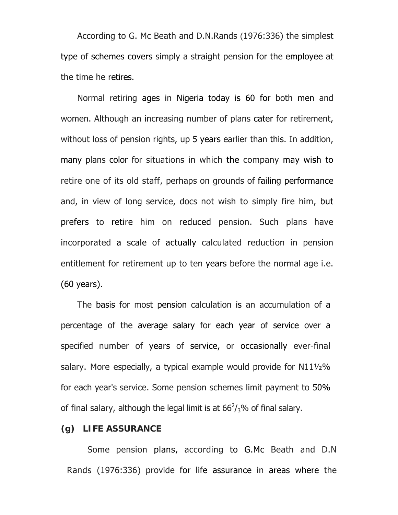According to G. Mc Beath and D.N.Rands (1976:336) the simplest type of schemes covers simply a straight pension for the employee at the time he retires.

Normal retiring ages in Nigeria today is 60 for both men and women. Although an increasing number of plans cater for retirement, without loss of pension rights, up 5 years earlier than this. In addition, many plans color for situations in which the company may wish to retire one of its old staff, perhaps on grounds of failing performance and, in view of long service, docs not wish to simply fire him, but prefers to retire him on reduced pension. Such plans have incorporated a scale of actually calculated reduction in pension entitlement for retirement up to ten years before the normal age i.e. (60 years).

The basis for most pension calculation is an accumulation of a percentage of the average salary for each year of service over a specified number of years of service, or occasionally ever-final salary. More especially, a typical example would provide for N11½% for each year's service. Some pension schemes limit payment to 50% of final salary, although the legal limit is at  $66<sup>2</sup>/3$ % of final salary.

# **(g) LIFE ASSURANCE**

Some pension plans, according to G.Mc Beath and D.N Rands (1976:336) provide for life assurance in areas where the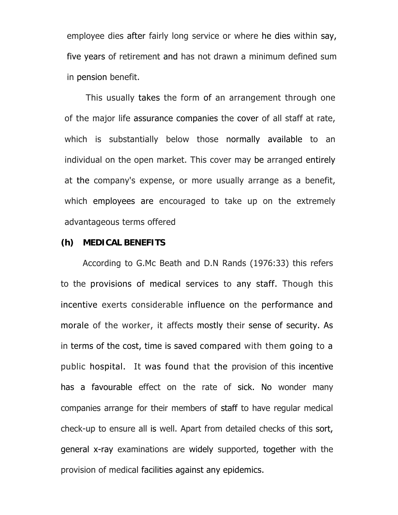employee dies after fairly long service or where he dies within say, five years of retirement and has not drawn a minimum defined sum in pension benefit.

This usually takes the form of an arrangement through one of the major life assurance companies the cover of all staff at rate, which is substantially below those normally available to an individual on the open market. This cover may be arranged entirely at the company's expense, or more usually arrange as a benefit, which employees are encouraged to take up on the extremely advantageous terms offered

#### **(h) MEDICAL BENEFITS**

According to G.Mc Beath and D.N Rands (1976:33) this refers to the provisions of medical services to any staff. Though this incentive exerts considerable influence on the performance and morale of the worker, it affects mostly their sense of security. As in terms of the cost, time is saved compared with them going to a public hospital. It was found that the provision of this incentive has a favourable effect on the rate of sick. No wonder many companies arrange for their members of staff to have regular medical check-up to ensure all is well. Apart from detailed checks of this sort, general x-ray examinations are widely supported, together with the provision of medical facilities against any epidemics.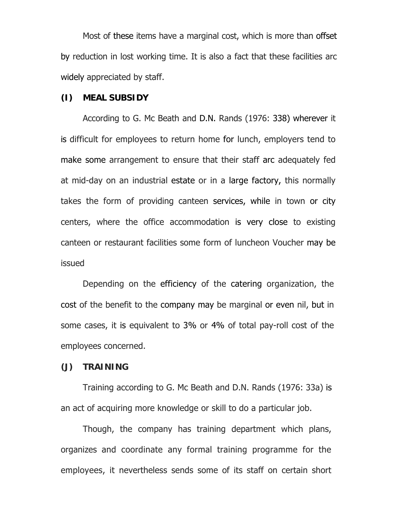Most of these items have a marginal cost, which is more than offset by reduction in lost working time. It is also a fact that these facilities arc widely appreciated by staff.

### **(I) MEAL SUBSIDY**

According to G. Mc Beath and D.N. Rands (1976: 338) wherever it is difficult for employees to return home for lunch, employers tend to make some arrangement to ensure that their staff arc adequately fed at mid-day on an industrial estate or in a large factory, this normally takes the form of providing canteen services, while in town or city centers, where the office accommodation is very close to existing canteen or restaurant facilities some form of luncheon Voucher may be issued

Depending on the efficiency of the catering organization, the cost of the benefit to the company may be marginal or even nil, but in some cases, it is equivalent to 3% or 4% of total pay-roll cost of the employees concerned.

### **(J) TRAINING**

Training according to G. Mc Beath and D.N. Rands (1976: 33a) is an act of acquiring more knowledge or skill to do a particular job.

Though, the company has training department which plans, organizes and coordinate any formal training programme for the employees, it nevertheless sends some of its staff on certain short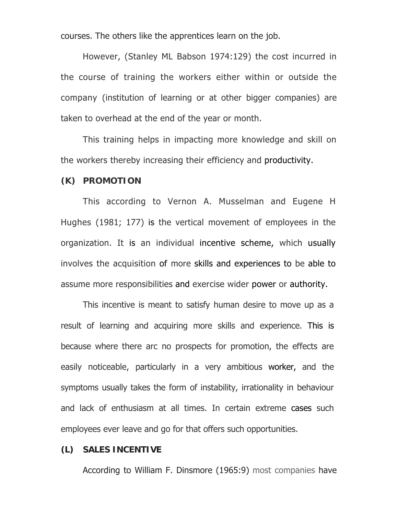courses. The others like the apprentices learn on the job.

However, (Stanley ML Babson 1974:129) the cost incurred in the course of training the workers either within or outside the company (institution of learning or at other bigger companies) are taken to overhead at the end of the year or month.

This training helps in impacting more knowledge and skill on the workers thereby increasing their efficiency and productivity.

#### **(K) PROMOTION**

This according to Vernon A. Musselman and Eugene H Hughes (1981; 177) is the vertical movement of employees in the organization. It is an individual incentive scheme, which usually involves the acquisition of more skills and experiences to be able to assume more responsibilities and exercise wider power or authority.

This incentive is meant to satisfy human desire to move up as a result of learning and acquiring more skills and experience. This is because where there arc no prospects for promotion, the effects are easily noticeable, particularly in a very ambitious worker, and the symptoms usually takes the form of instability, irrationality in behaviour and lack of enthusiasm at all times. In certain extreme cases such employees ever leave and go for that offers such opportunities.

### **(L) SALES INCENTIVE**

According to William F. Dinsmore (1965:9) most companies have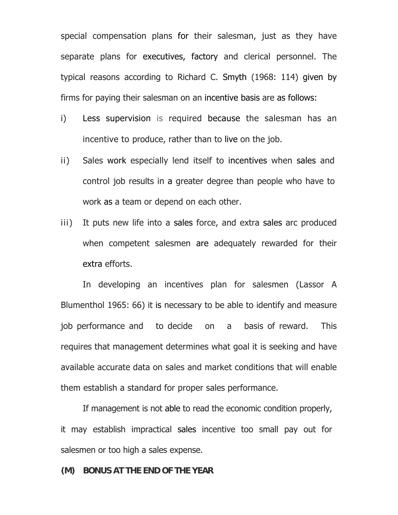special compensation plans for their salesman, just as they have separate plans for executives, factory and clerical personnel. The typical reasons according to Richard C. Smyth (1968: 114) given by firms for paying their salesman on an incentive basis are as follows:

- i) Less supervision is required because the salesman has an incentive to produce, rather than to live on the job.
- ii) Sales work especially lend itself to incentives when sales and control job results in a greater degree than people who have to work as a team or depend on each other.
- iii) It puts new life into a sales force, and extra sales arc produced when competent salesmen are adequately rewarded for their extra efforts.

In developing an incentives plan for salesmen (Lassor A Blumenthol 1965: 66) it is necessary to be able to identify and measure job performance and to decide on a basis of reward. This requires that management determines what goal it is seeking and have available accurate data on sales and market conditions that will enable them establish a standard for proper sales performance.

If management is not able to read the economic condition properly, it may establish impractical sales incentive too small pay out for salesmen or too high a sales expense.

### **(M) BONUS AT THE END OF THE YEAR**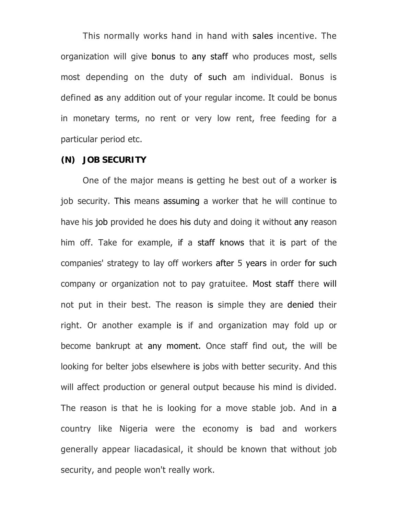This normally works hand in hand with sales incentive. The organization will give bonus to any staff who produces most, sells most depending on the duty of such am individual. Bonus is defined as any addition out of your regular income. It could be bonus in monetary terms, no rent or very low rent, free feeding for a particular period etc.

#### **(N) JOB SECURITY**

One of the major means is getting he best out of a worker is job security. This means assuming a worker that he will continue to have his job provided he does his duty and doing it without any reason him off. Take for example, if a staff knows that it is part of the companies' strategy to lay off workers after 5 years in order for such company or organization not to pay gratuitee. Most staff there will not put in their best. The reason is simple they are denied their right. Or another example is if and organization may fold up or become bankrupt at any moment. Once staff find out, the will be looking for belter jobs elsewhere is jobs with better security. And this will affect production or general output because his mind is divided. The reason is that he is looking for a move stable job. And in a country like Nigeria were the economy is bad and workers generally appear liacadasical, it should be known that without job security, and people won't really work.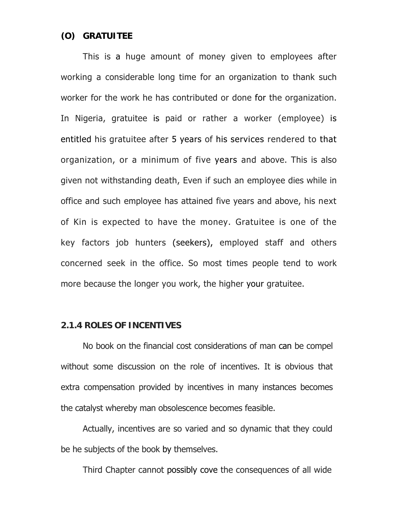### **(O) GRATUITEE**

This is a huge amount of money given to employees after working a considerable long time for an organization to thank such worker for the work he has contributed or done for the organization. In Nigeria, gratuitee is paid or rather a worker (employee) is entitled his gratuitee after 5 years of his services rendered to that organization, or a minimum of five years and above. This is also given not withstanding death, Even if such an employee dies while in office and such employee has attained five years and above, his next of Kin is expected to have the money. Gratuitee is one of the key factors job hunters (seekers), employed staff and others concerned seek in the office. So most times people tend to work more because the longer you work, the higher your gratuitee.

#### **2.1.4 ROLES OF INCENTIVES**

No book on the financial cost considerations of man can be compel without some discussion on the role of incentives. It is obvious that extra compensation provided by incentives in many instances becomes the catalyst whereby man obsolescence becomes feasible.

Actually, incentives are so varied and so dynamic that they could be he subjects of the book by themselves.

Third Chapter cannot possibly cove the consequences of all wide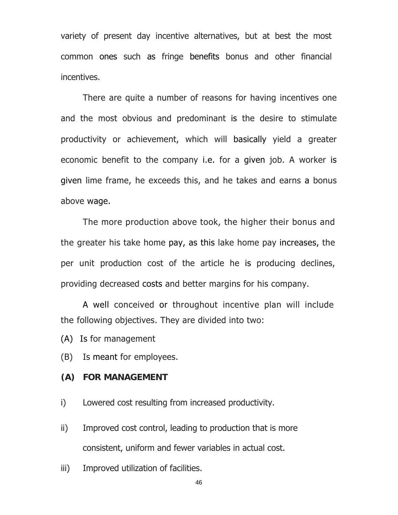variety of present day incentive alternatives, but at best the most common ones such as fringe benefits bonus and other financial incentives.

There are quite a number of reasons for having incentives one and the most obvious and predominant is the desire to stimulate productivity or achievement, which will basically yield a greater economic benefit to the company i.e. for a given job. A worker is given lime frame, he exceeds this, and he takes and earns a bonus above wage.

The more production above took, the higher their bonus and the greater his take home pay, as this lake home pay increases, the per unit production cost of the article he is producing declines, providing decreased costs and better margins for his company.

A well conceived or throughout incentive plan will include the following objectives. They are divided into two:

(A) Is for management

(B) Is meant for employees.

# **(A) FOR MANAGEMENT**

i) Lowered cost resulting from increased productivity.

- ii) Improved cost control, leading to production that is more consistent, uniform and fewer variables in actual cost.
- iii) Improved utilization of facilities.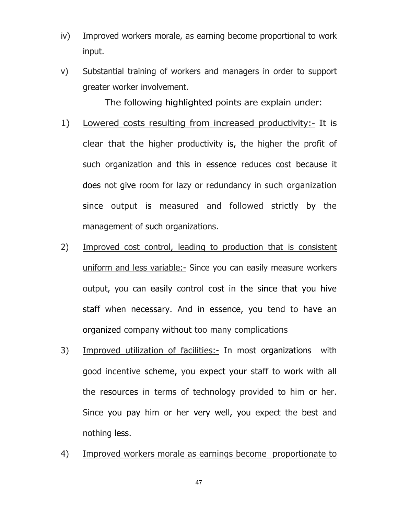- iv) Improved workers morale, as earning become proportional to work input.
- v) Substantial training of workers and managers in order to support greater worker involvement.

The following highlighted points are explain under:

- 1) Lowered costs resulting from increased productivity:- It is clear that the higher productivity is, the higher the profit of such organization and this in essence reduces cost because it does not give room for lazy or redundancy in such organization since output is measured and followed strictly by the management of such organizations.
- 2) Improved cost control, leading to production that is consistent uniform and less variable:- Since you can easily measure workers output, you can easily control cost in the since that you hive staff when necessary. And in essence, you tend to have an organized company without too many complications
- 3) Improved utilization of facilities:- In most organizations with good incentive scheme, you expect your staff to work with all the resources in terms of technology provided to him or her. Since you pay him or her very well, you expect the best and nothing less.
- 4) Improved workers morale as earnings become proportionate to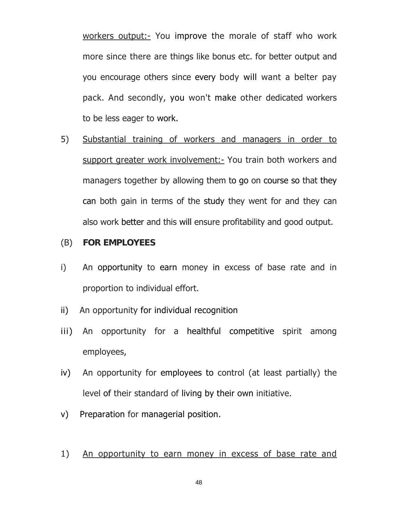workers output:- You improve the morale of staff who work more since there are things like bonus etc. for better output and you encourage others since every body will want a belter pay pack. And secondly, you won't make other dedicated workers to be less eager to work.

5) Substantial training of workers and managers in order to support greater work involvement:- You train both workers and managers together by allowing them to go on course so that they can both gain in terms of the study they went for and they can also work better and this will ensure profitability and good output.

### (B) **FOR EMPLOYEES**

- i) An opportunity to earn money in excess of base rate and in proportion to individual effort.
- ii) An opportunity for individual recognition
- iii) An opportunity for a healthful competitive spirit among employees,
- iv) An opportunity for employees to control (at least partially) the level of their standard of living by their own initiative.
- v) Preparation for managerial position.
- 1) An opportunity to earn money in excess of base rate and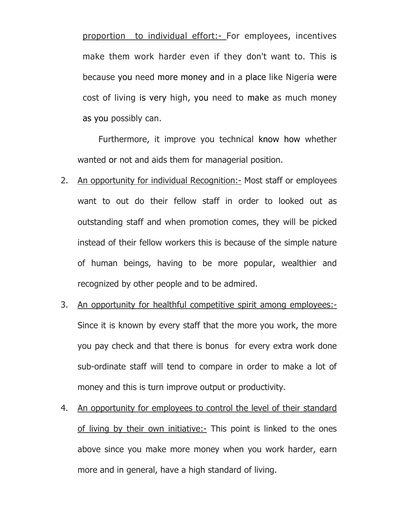proportion to individual effort:- For employees, incentives make them work harder even if they don't want to. This is because you need more money and in a place like Nigeria were cost of living is very high, you need to make as much money as you possibly can.

Furthermore, it improve you technical know how whether wanted or not and aids them for managerial position.

- 2. An opportunity for individual Recognition:- Most staff or employees want to out do their fellow staff in order to looked out as outstanding staff and when promotion comes, they will be picked instead of their fellow workers this is because of the simple nature of human beings, having to be more popular, wealthier and recognized by other people and to be admired.
- 3. An opportunity for healthful competitive spirit among employees:- Since it is known by every staff that the more you work, the more you pay check and that there is bonus for every extra work done sub-ordinate staff will tend to compare in order to make a lot of money and this is turn improve output or productivity.
- 4. An opportunity for employees to control the level of their standard of living by their own initiative:- This point is linked to the ones above since you make more money when you work harder, earn more and in general, have a high standard of living.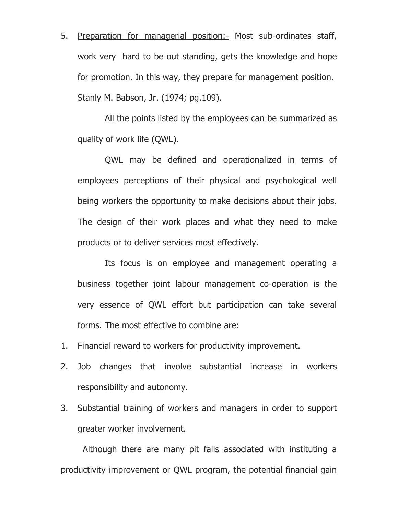5. Preparation for managerial position:- Most sub-ordinates staff, work very hard to be out standing, gets the knowledge and hope for promotion. In this way, they prepare for management position. Stanly M. Babson, Jr. (1974; pg.109).

 All the points listed by the employees can be summarized as quality of work life (QWL).

 QWL may be defined and operationalized in terms of employees perceptions of their physical and psychological well being workers the opportunity to make decisions about their jobs. The design of their work places and what they need to make products or to deliver services most effectively.

 Its focus is on employee and management operating a business together joint labour management co-operation is the very essence of QWL effort but participation can take several forms. The most effective to combine are:

- 1. Financial reward to workers for productivity improvement.
- 2. Job changes that involve substantial increase in workers responsibility and autonomy.
- 3. Substantial training of workers and managers in order to support greater worker involvement.

 Although there are many pit falls associated with instituting a productivity improvement or QWL program, the potential financial gain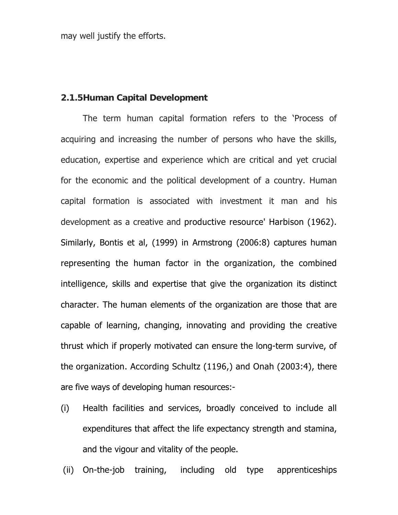may well justify the efforts.

# **2.1.5Human Capital Development**

 The term human capital formation refers to the 'Process of acquiring and increasing the number of persons who have the skills, education, expertise and experience which are critical and yet crucial for the economic and the political development of a country. Human capital formation is associated with investment it man and his development as a creative and productive resource' Harbison (1962). Similarly, Bontis et al, (1999) in Armstrong (2006:8) captures human representing the human factor in the organization, the combined intelligence, skills and expertise that give the organization its distinct character. The human elements of the organization are those that are capable of learning, changing, innovating and providing the creative thrust which if properly motivated can ensure the long-term survive, of the organization. According Schultz (1196,) and Onah (2003:4), there are five ways of developing human resources:-

- (i) Health facilities and services, broadly conceived to include all expenditures that affect the life expectancy strength and stamina, and the vigour and vitality of the people.
- (ii) On-the-job training, including old type apprenticeships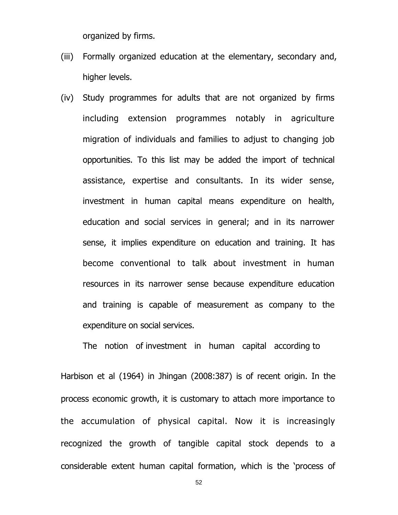organized by firms.

- (iii) Formally organized education at the elementary, secondary and, higher levels.
- (iv) Study programmes for adults that are not organized by firms including extension programmes notably in agriculture migration of individuals and families to adjust to changing job opportunities. To this list may be added the import of technical assistance, expertise and consultants. In its wider sense, investment in human capital means expenditure on health, education and social services in general; and in its narrower sense, it implies expenditure on education and training. It has become conventional to talk about investment in human resources in its narrower sense because expenditure education and training is capable of measurement as company to the expenditure on social services.

The notion of investment in human capital according to

Harbison et al (1964) in Jhingan (2008:387) is of recent origin. In the process economic growth, it is customary to attach more importance to the accumulation of physical capital. Now it is increasingly recognized the growth of tangible capital stock depends to a considerable extent human capital formation, which is the 'process of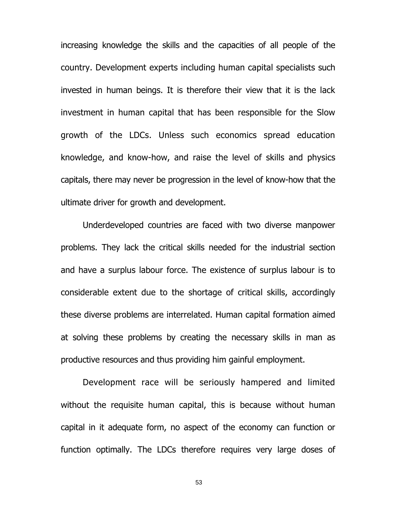increasing knowledge the skills and the capacities of all people of the country. Development experts including human capital specialists such invested in human beings. It is therefore their view that it is the lack investment in human capital that has been responsible for the Slow growth of the LDCs. Unless such economics spread education knowledge, and know-how, and raise the level of skills and physics capitals, there may never be progression in the level of know-how that the ultimate driver for growth and development.

Underdeveloped countries are faced with two diverse manpower problems. They lack the critical skills needed for the industrial section and have a surplus labour force. The existence of surplus labour is to considerable extent due to the shortage of critical skills, accordingly these diverse problems are interrelated. Human capital formation aimed at solving these problems by creating the necessary skills in man as productive resources and thus providing him gainful employment.

Development race will be seriously hampered and limited without the requisite human capital, this is because without human capital in it adequate form, no aspect of the economy can function or function optimally. The LDCs therefore requires very large doses of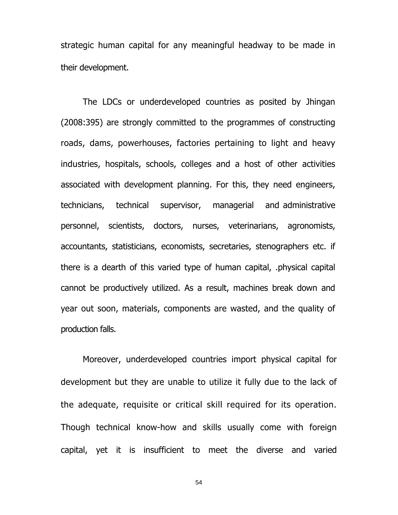strategic human capital for any meaningful headway to be made in their development.

The LDCs or underdeveloped countries as posited by Jhingan (2008:395) are strongly committed to the programmes of constructing roads, dams, powerhouses, factories pertaining to light and heavy industries, hospitals, schools, colleges and a host of other activities associated with development planning. For this, they need engineers, technicians, technical supervisor, managerial and administrative personnel, scientists, doctors, nurses, veterinarians, agronomists, accountants, statisticians, economists, secretaries, stenographers etc. if there is a dearth of this varied type of human capital, .physical capital cannot be productively utilized. As a result, machines break down and year out soon, materials, components are wasted, and the quality of production falls.

Moreover, underdeveloped countries import physical capital for development but they are unable to utilize it fully due to the lack of the adequate, requisite or critical skill required for its operation. Though technical know-how and skills usually come with foreign capital, yet it is insufficient to meet the diverse and varied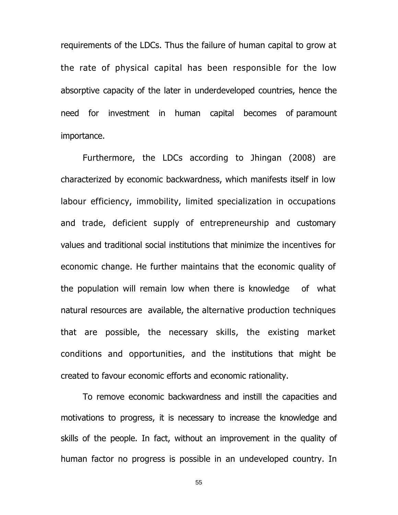requirements of the LDCs. Thus the failure of human capital to grow at the rate of physical capital has been responsible for the low absorptive capacity of the later in underdeveloped countries, hence the need for investment in human capital becomes of paramount importance.

Furthermore, the LDCs according to Jhingan (2008) are characterized by economic backwardness, which manifests itself in low labour efficiency, immobility, limited specialization in occupations and trade, deficient supply of entrepreneurship and customary values and traditional social institutions that minimize the incentives for economic change. He further maintains that the economic quality of the population will remain low when there is knowledge of what natural resources are available, the alternative production techniques that are possible, the necessary skills, the existing market conditions and opportunities, and the institutions that might be created to favour economic efforts and economic rationality.

To remove economic backwardness and instill the capacities and motivations to progress, it is necessary to increase the knowledge and skills of the people. In fact, without an improvement in the quality of human factor no progress is possible in an undeveloped country. In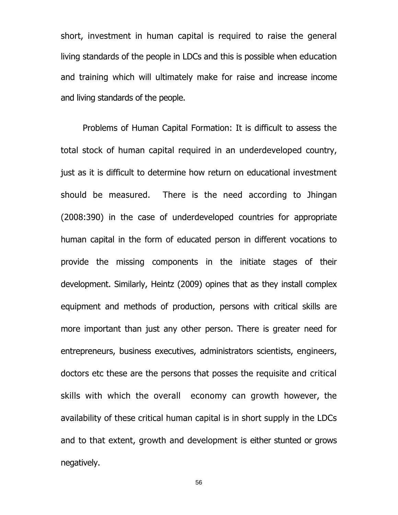short, investment in human capital is required to raise the general living standards of the people in LDCs and this is possible when education and training which will ultimately make for raise and increase income and living standards of the people.

Problems of Human Capital Formation: It is difficult to assess the total stock of human capital required in an underdeveloped country, just as it is difficult to determine how return on educational investment should be measured. There is the need according to Jhingan (2008:390) in the case of underdeveloped countries for appropriate human capital in the form of educated person in different vocations to provide the missing components in the initiate stages of their development. Similarly, Heintz (2009) opines that as they install complex equipment and methods of production, persons with critical skills are more important than just any other person. There is greater need for entrepreneurs, business executives, administrators scientists, engineers, doctors etc these are the persons that posses the requisite and critical skills with which the overall economy can growth however, the availability of these critical human capital is in short supply in the LDCs and to that extent, growth and development is either stunted or grows negatively.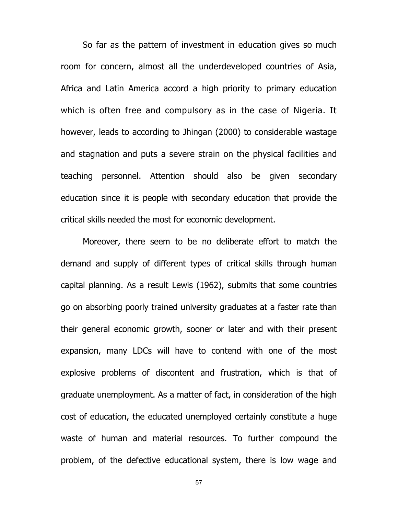So far as the pattern of investment in education gives so much room for concern, almost all the underdeveloped countries of Asia, Africa and Latin America accord a high priority to primary education which is often free and compulsory as in the case of Nigeria. It however, leads to according to Jhingan (2000) to considerable wastage and stagnation and puts a severe strain on the physical facilities and teaching personnel. Attention should also be given secondary education since it is people with secondary education that provide the critical skills needed the most for economic development.

 Moreover, there seem to be no deliberate effort to match the demand and supply of different types of critical skills through human capital planning. As a result Lewis (1962), submits that some countries go on absorbing poorly trained university graduates at a faster rate than their general economic growth, sooner or later and with their present expansion, many LDCs will have to contend with one of the most explosive problems of discontent and frustration, which is that of graduate unemployment. As a matter of fact, in consideration of the high cost of education, the educated unemployed certainly constitute a huge waste of human and material resources. To further compound the problem, of the defective educational system, there is low wage and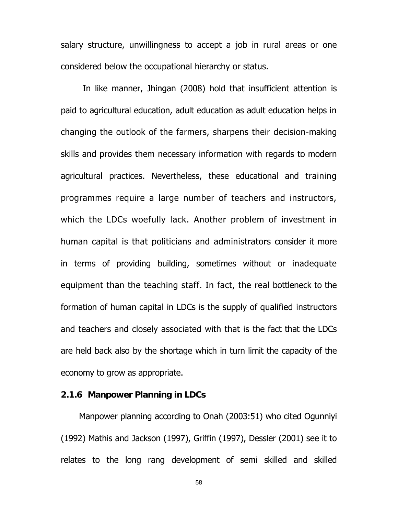salary structure, unwillingness to accept a job in rural areas or one considered below the occupational hierarchy or status.

In like manner, Jhingan (2008) hold that insufficient attention is paid to agricultural education, adult education as adult education helps in changing the outlook of the farmers, sharpens their decision-making skills and provides them necessary information with regards to modern agricultural practices. Nevertheless, these educational and training programmes require a large number of teachers and instructors, which the LDCs woefully lack. Another problem of investment in human capital is that politicians and administrators consider it more in terms of providing building, sometimes without or inadequate equipment than the teaching staff. In fact, the real bottleneck to the formation of human capital in LDCs is the supply of qualified instructors and teachers and closely associated with that is the fact that the LDCs are held back also by the shortage which in turn limit the capacity of the economy to grow as appropriate.

# **2.1.6 Manpower Planning in LDCs**

Manpower planning according to Onah (2003:51) who cited Ogunniyi (1992) Mathis and Jackson (1997), Griffin (1997), Dessler (2001) see it to relates to the long rang development of semi skilled and skilled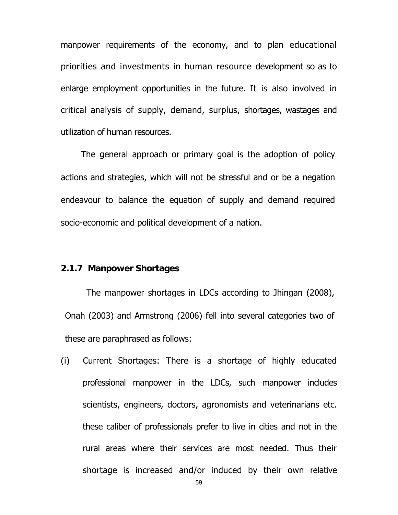manpower requirements of the economy, and to plan educational priorities and investments in human resource development so as to enlarge employment opportunities in the future. It is also involved in critical analysis of supply, demand, surplus, shortages, wastages and utilization of human resources.

The general approach or primary goal is the adoption of policy actions and strategies, which will not be stressful and or be a negation endeavour to balance the equation of supply and demand required socio-economic and political development of a nation.

## **2.1.7 Manpower Shortages**

The manpower shortages in LDCs according to Jhingan (2008), Onah (2003) and Armstrong (2006) fell into several categories two of these are paraphrased as follows:

(i) Current Shortages: There is a shortage of highly educated professional manpower in the LDCs, such manpower includes scientists, engineers, doctors, agronomists and veterinarians etc. these caliber of professionals prefer to live in cities and not in the rural areas where their services are most needed. Thus their shortage is increased and/or induced by their own relative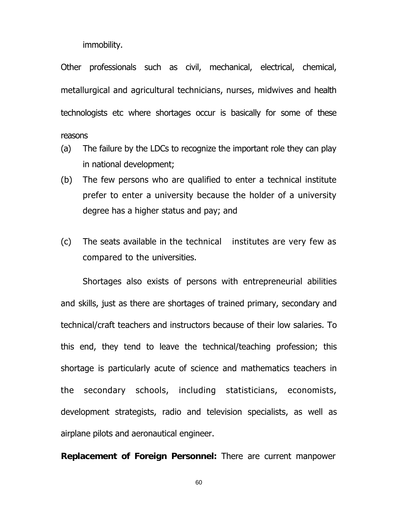immobility.

Other professionals such as civil, mechanical, electrical, chemical, metallurgical and agricultural technicians, nurses, midwives and health technologists etc where shortages occur is basically for some of these reasons

- (a) The failure by the LDCs to recognize the important role they can play in national development;
- (b) The few persons who are qualified to enter a technical institute prefer to enter a university because the holder of a university degree has a higher status and pay; and
- (c) The seats available in the technical institutes are very few as compared to the universities.

Shortages also exists of persons with entrepreneurial abilities and skills, just as there are shortages of trained primary, secondary and technical/craft teachers and instructors because of their low salaries. To this end, they tend to leave the technical/teaching profession; this shortage is particularly acute of science and mathematics teachers in the secondary schools, including statisticians, economists, development strategists, radio and television specialists, as well as airplane pilots and aeronautical engineer.

**Replacement of Foreign Personnel:** There are current manpower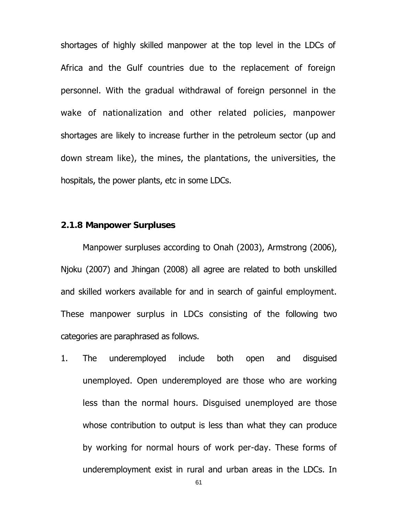shortages of highly skilled manpower at the top level in the LDCs of Africa and the Gulf countries due to the replacement of foreign personnel. With the gradual withdrawal of foreign personnel in the wake of nationalization and other related policies, manpower shortages are likely to increase further in the petroleum sector (up and down stream like), the mines, the plantations, the universities, the hospitals, the power plants, etc in some LDCs.

# **2.1.8Manpower Surpluses**

Manpower surpluses according to Onah (2003), Armstrong (2006), Njoku (2007) and Jhingan (2008) all agree are related to both unskilled and skilled workers available for and in search of gainful employment. These manpower surplus in LDCs consisting of the following two categories are paraphrased as follows.

1. The underemployed include both open and disguised unemployed. Open underemployed are those who are working less than the normal hours. Disguised unemployed are those whose contribution to output is less than what they can produce by working for normal hours of work per-day. These forms of underemployment exist in rural and urban areas in the LDCs. In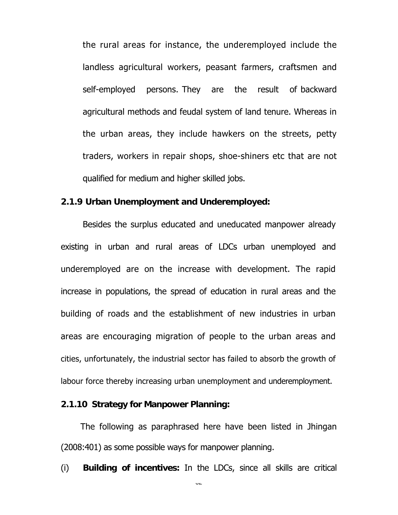the rural areas for instance, the underemployed include the landless agricultural workers, peasant farmers, craftsmen and self-employed persons. They are the result of backward agricultural methods and feudal system of land tenure. Whereas in the urban areas, they include hawkers on the streets, petty traders, workers in repair shops, shoe-shiners etc that are not qualified for medium and higher skilled jobs.

### **2.1.9 Urban Unemployment and Underemployed:**

Besides the surplus educated and uneducated manpower already existing in urban and rural areas of LDCs urban unemployed and underemployed are on the increase with development. The rapid increase in populations, the spread of education in rural areas and the building of roads and the establishment of new industries in urban areas are encouraging migration of people to the urban areas and cities, unfortunately, the industrial sector has failed to absorb the growth of labour force thereby increasing urban unemployment and underemployment.

# **2.1.10 Strategy for Manpower Planning:**

The following as paraphrased here have been listed in Jhingan (2008:401) as some possible ways for manpower planning.

(i) **Building of incentives:** In the LDCs, since all skills are critical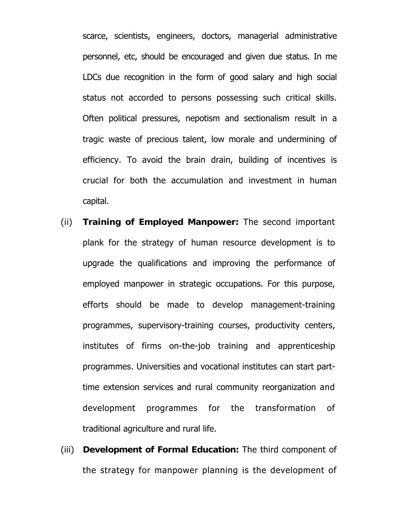scarce, scientists, engineers, doctors, managerial administrative personnel, etc, should be encouraged and given due status. In me LDCs due recognition in the form of good salary and high social status not accorded to persons possessing such critical skills. Often political pressures, nepotism and sectionalism result in a tragic waste of precious talent, low morale and undermining of efficiency. To avoid the brain drain, building of incentives is crucial for both the accumulation and investment in human capital.

- (ii) **Training of Employed Manpower:** The second important plank for the strategy of human resource development is to upgrade the qualifications and improving the performance of employed manpower in strategic occupations. For this purpose, efforts should be made to develop management-training programmes, supervisory-training courses, productivity centers, institutes of firms on-the-job training and apprenticeship programmes. Universities and vocational institutes can start parttime extension services and rural community reorganization and development programmes for the transformation of traditional agriculture and rural life.
- (iii) **Development of Formal Education:** The third component of the strategy for manpower planning is the development of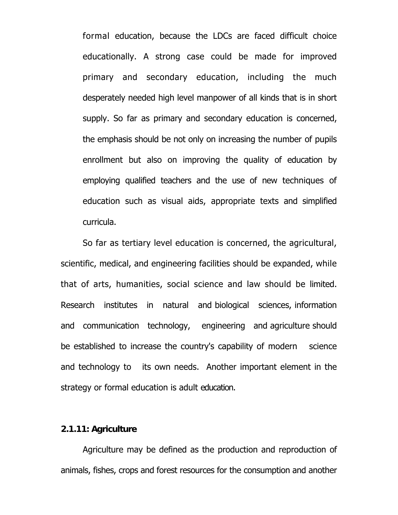formal education, because the LDCs are faced difficult choice educationally. A strong case could be made for improved primary and secondary education, including the much desperately needed high level manpower of all kinds that is in short supply. So far as primary and secondary education is concerned, the emphasis should be not only on increasing the number of pupils enrollment but also on improving the quality of education by employing qualified teachers and the use of new techniques of education such as visual aids, appropriate texts and simplified curricula.

So far as tertiary level education is concerned, the agricultural, scientific, medical, and engineering facilities should be expanded, while that of arts, humanities, social science and law should be limited. Research institutes in natural and biological sciences, information and communication technology, engineering and agriculture should be established to increase the country's capability of modern science and technology to its own needs. Another important element in the strategy or formal education is adult education.

# **2.1.11: Agriculture**

Agriculture may be defined as the production and reproduction of animals, fishes, crops and forest resources for the consumption and another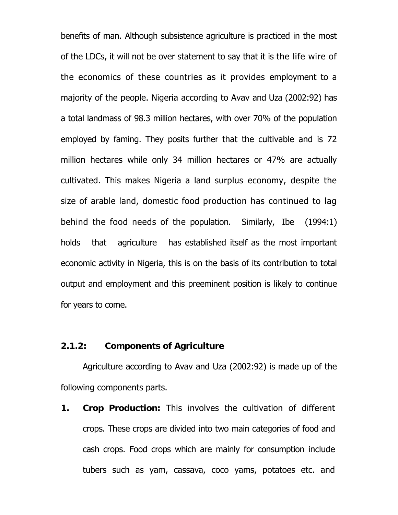benefits of man. Although subsistence agriculture is practiced in the most of the LDCs, it will not be over statement to say that it is the life wire of the economics of these countries as it provides employment to a majority of the people. Nigeria according to Avav and Uza (2002:92) has a total landmass of 98.3 million hectares, with over 70% of the population employed by faming. They posits further that the cultivable and is 72 million hectares while only 34 million hectares or 47% are actually cultivated. This makes Nigeria a land surplus economy, despite the size of arable land, domestic food production has continued to lag behind the food needs of the population. Similarly, Ibe (1994:1) holds that agriculture has established itself as the most important economic activity in Nigeria, this is on the basis of its contribution to total output and employment and this preeminent position is likely to continue for years to come.

### **2.1.2: Components of Agriculture**

Agriculture according to Avav and Uza (2002:92) is made up of the following components parts.

**1. Crop Production:** This involves the cultivation of different crops. These crops are divided into two main categories of food and cash crops. Food crops which are mainly for consumption include tubers such as yam, cassava, coco yams, potatoes etc. and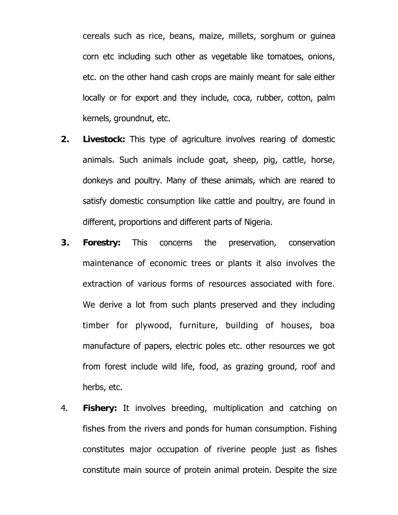cereals such as rice, beans, maize, millets, sorghum or guinea corn etc including such other as vegetable like tomatoes, onions, etc. on the other hand cash crops are mainly meant for sale either locally or for export and they include, coca, rubber, cotton, palm kernels, groundnut, etc.

- **2. Livestock:** This type of agriculture involves rearing of domestic animals. Such animals include goat, sheep, pig, cattle, horse, donkeys and poultry. Many of these animals, which are reared to satisfy domestic consumption like cattle and poultry, are found in different, proportions and different parts of Nigeria.
- **3. Forestry:** This concerns the preservation, conservation maintenance of economic trees or plants it also involves the extraction of various forms of resources associated with fore. We derive a lot from such plants preserved and they including timber for plywood, furniture, building of houses, boa manufacture of papers, electric poles etc. other resources we got from forest include wild life, food, as grazing ground, roof and herbs, etc.
- 4. **Fishery:** It involves breeding, multiplication and catching on fishes from the rivers and ponds for human consumption. Fishing constitutes major occupation of riverine people just as fishes constitute main source of protein animal protein. Despite the size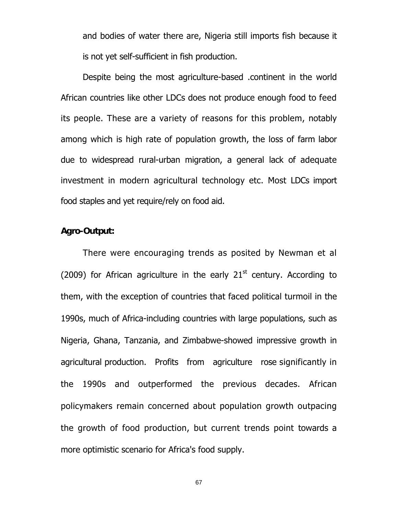and bodies of water there are, Nigeria still imports fish because it is not yet self-sufficient in fish production.

Despite being the most agriculture-based .continent in the world African countries like other LDCs does not produce enough food to feed its people. These are a variety of reasons for this problem, notably among which is high rate of population growth, the loss of farm labor due to widespread rural-urban migration, a general lack of adequate investment in modern agricultural technology etc. Most LDCs import food staples and yet require/rely on food aid.

# **Agro-Output:**

There were encouraging trends as posited by Newman et al (2009) for African agriculture in the early  $21<sup>st</sup>$  century. According to them, with the exception of countries that faced political turmoil in the 1990s, much of Africa-including countries with large populations, such as Nigeria, Ghana, Tanzania, and Zimbabwe-showed impressive growth in agricultural production. Profits from agriculture rose significantly in the 1990s and outperformed the previous decades. African policymakers remain concerned about population growth outpacing the growth of food production, but current trends point towards a more optimistic scenario for Africa's food supply.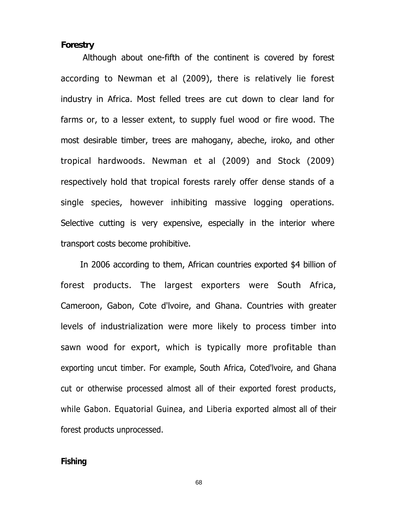# **Forestry**

Although about one-fifth of the continent is covered by forest according to Newman et al (2009), there is relatively lie forest industry in Africa. Most felled trees are cut down to clear land for farms or, to a lesser extent, to supply fuel wood or fire wood. The most desirable timber, trees are mahogany, abeche, iroko, and other tropical hardwoods. Newman et al (2009) and Stock (2009) respectively hold that tropical forests rarely offer dense stands of a single species, however inhibiting massive logging operations. Selective cutting is very expensive, especially in the interior where transport costs become prohibitive.

In 2006 according to them, African countries exported \$4 billion of forest products. The largest exporters were South Africa, Cameroon, Gabon, Cote d'lvoire, and Ghana. Countries with greater levels of industrialization were more likely to process timber into sawn wood for export, which is typically more profitable than exporting uncut timber. For example, South Africa, Coted'lvoire, and Ghana cut or otherwise processed almost all of their exported forest products, while Gabon. Equatorial Guinea, and Liberia exported almost all of their forest products unprocessed.

#### **Fishing**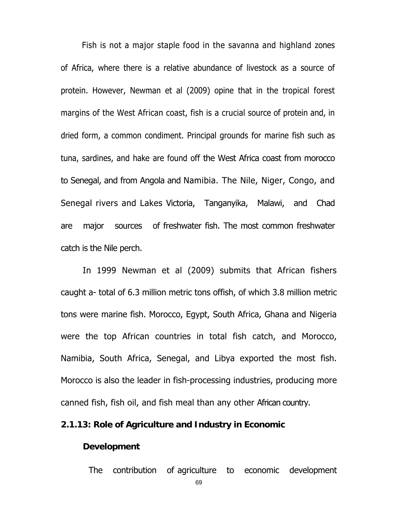Fish is not a major staple food in the savanna and highland zones of Africa, where there is a relative abundance of livestock as a source of protein. However, Newman et al (2009) opine that in the tropical forest margins of the West African coast, fish is a crucial source of protein and, in dried form, a common condiment. Principal grounds for marine fish such as tuna, sardines, and hake are found off the West Africa coast from morocco to Senegal, and from Angola and Namibia. The Nile, Niger, Congo, and Senegal rivers and Lakes Victoria, Tanganyika, Malawi, and Chad are major sources of freshwater fish. The most common freshwater catch is the Nile perch.

In 1999 Newman et al (2009) submits that African fishers caught a- total of 6.3 million metric tons offish, of which 3.8 million metric tons were marine fish. Morocco, Egypt, South Africa, Ghana and Nigeria were the top African countries in total fish catch, and Morocco, Namibia, South Africa, Senegal, and Libya exported the most fish. Morocco is also the leader in fish-processing industries, producing more canned fish, fish oil, and fish meal than any other African country.

## **2.1.13: Role of Agriculture and Industry in Economic**

#### **Development**

The contribution of agriculture to economic development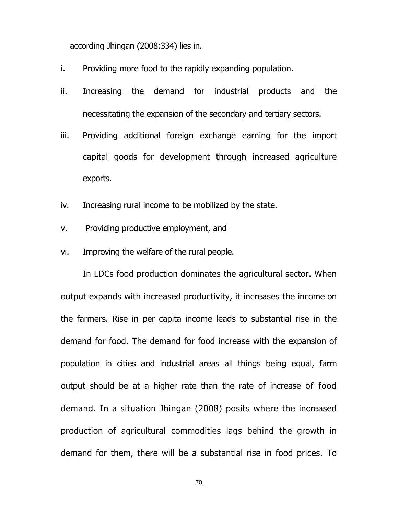according Jhingan (2008:334) lies in.

- i. Providing more food to the rapidly expanding population.
- ii. Increasing the demand for industrial products and the necessitating the expansion of the secondary and tertiary sectors.
- iii. Providing additional foreign exchange earning for the import capital goods for development through increased agriculture exports.
- iv. Increasing rural income to be mobilized by the state.
- v. Providing productive employment, and
- vi. Improving the welfare of the rural people.

In LDCs food production dominates the agricultural sector. When output expands with increased productivity, it increases the income on the farmers. Rise in per capita income leads to substantial rise in the demand for food. The demand for food increase with the expansion of population in cities and industrial areas all things being equal, farm output should be at a higher rate than the rate of increase of food demand. In a situation Jhingan (2008) posits where the increased production of agricultural commodities lags behind the growth in demand for them, there will be a substantial rise in food prices. To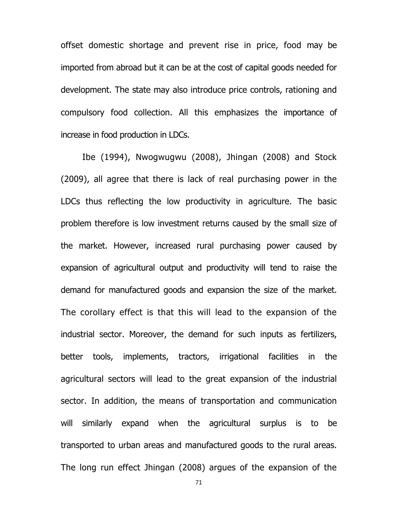offset domestic shortage and prevent rise in price, food may be imported from abroad but it can be at the cost of capital goods needed for development. The state may also introduce price controls, rationing and compulsory food collection. All this emphasizes the importance of increase in food production in LDCs.

Ibe (1994), Nwogwugwu (2008), Jhingan (2008) and Stock (2009), all agree that there is lack of real purchasing power in the LDCs thus reflecting the low productivity in agriculture. The basic problem therefore is low investment returns caused by the small size of the market. However, increased rural purchasing power caused by expansion of agricultural output and productivity will tend to raise the demand for manufactured goods and expansion the size of the market. The corollary effect is that this will lead to the expansion of the industrial sector. Moreover, the demand for such inputs as fertilizers, better tools, implements, tractors, irrigational facilities in the agricultural sectors will lead to the great expansion of the industrial sector. In addition, the means of transportation and communication will similarly expand when the agricultural surplus is to be transported to urban areas and manufactured goods to the rural areas. The long run effect Jhingan (2008) argues of the expansion of the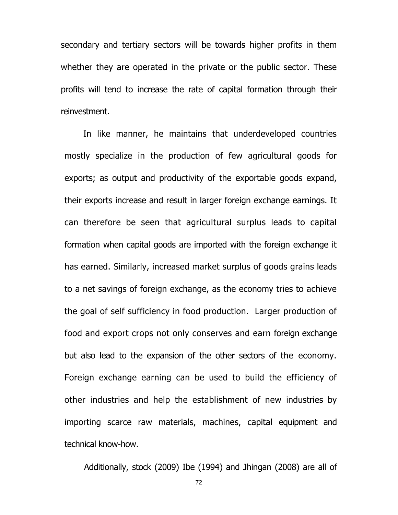secondary and tertiary sectors will be towards higher profits in them whether they are operated in the private or the public sector. These profits will tend to increase the rate of capital formation through their reinvestment.

In like manner, he maintains that underdeveloped countries mostly specialize in the production of few agricultural goods for exports; as output and productivity of the exportable goods expand, their exports increase and result in larger foreign exchange earnings. It can therefore be seen that agricultural surplus leads to capital formation when capital goods are imported with the foreign exchange it has earned. Similarly, increased market surplus of goods grains leads to a net savings of foreign exchange, as the economy tries to achieve the goal of self sufficiency in food production. Larger production of food and export crops not only conserves and earn foreign exchange but also lead to the expansion of the other sectors of the economy. Foreign exchange earning can be used to build the efficiency of other industries and help the establishment of new industries by importing scarce raw materials, machines, capital equipment and technical know-how.

Additionally, stock (2009) Ibe (1994) and Jhingan (2008) are all of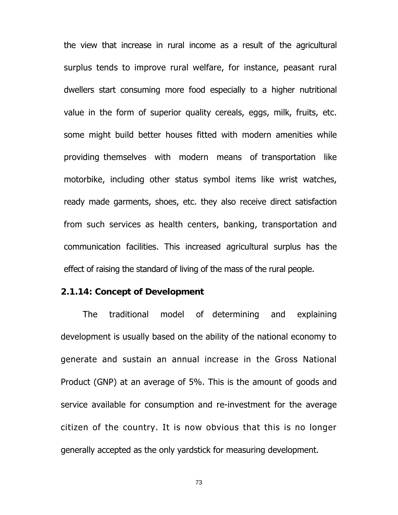the view that increase in rural income as a result of the agricultural surplus tends to improve rural welfare, for instance, peasant rural dwellers start consuming more food especially to a higher nutritional value in the form of superior quality cereals, eggs, milk, fruits, etc. some might build better houses fitted with modern amenities while providing themselves with modern means of transportation like motorbike, including other status symbol items like wrist watches, ready made garments, shoes, etc. they also receive direct satisfaction from such services as health centers, banking, transportation and communication facilities. This increased agricultural surplus has the effect of raising the standard of living of the mass of the rural people.

## **2.1.14: Concept of Development**

The traditional model of determining and explaining development is usually based on the ability of the national economy to generate and sustain an annual increase in the Gross National Product (GNP) at an average of 5%. This is the amount of goods and service available for consumption and re-investment for the average citizen of the country. It is now obvious that this is no longer generally accepted as the only yardstick for measuring development.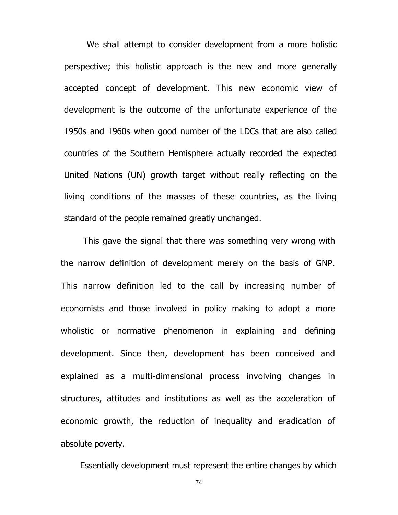We shall attempt to consider development from a more holistic perspective; this holistic approach is the new and more generally accepted concept of development. This new economic view of development is the outcome of the unfortunate experience of the 1950s and 1960s when good number of the LDCs that are also called countries of the Southern Hemisphere actually recorded the expected United Nations (UN) growth target without really reflecting on the living conditions of the masses of these countries, as the living standard of the people remained greatly unchanged.

This gave the signal that there was something very wrong with the narrow definition of development merely on the basis of GNP. This narrow definition led to the call by increasing number of economists and those involved in policy making to adopt a more wholistic or normative phenomenon in explaining and defining development. Since then, development has been conceived and explained as a multi-dimensional process involving changes in structures, attitudes and institutions as well as the acceleration of economic growth, the reduction of inequality and eradication of absolute poverty.

Essentially development must represent the entire changes by which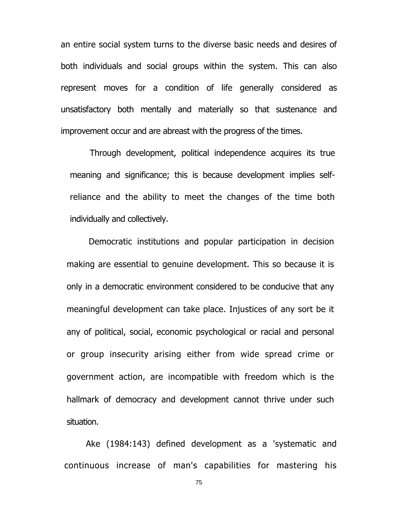an entire social system turns to the diverse basic needs and desires of both individuals and social groups within the system. This can also represent moves for a condition of life generally considered as unsatisfactory both mentally and materially so that sustenance and improvement occur and are abreast with the progress of the times.

Through development, political independence acquires its true meaning and significance; this is because development implies selfreliance and the ability to meet the changes of the time both individually and collectively.

Democratic institutions and popular participation in decision making are essential to genuine development. This so because it is only in a democratic environment considered to be conducive that any meaningful development can take place. Injustices of any sort be it any of political, social, economic psychological or racial and personal or group insecurity arising either from wide spread crime or government action, are incompatible with freedom which is the hallmark of democracy and development cannot thrive under such situation.

Ake (1984:143) defined development as a 'systematic and continuous increase of man's capabilities for mastering his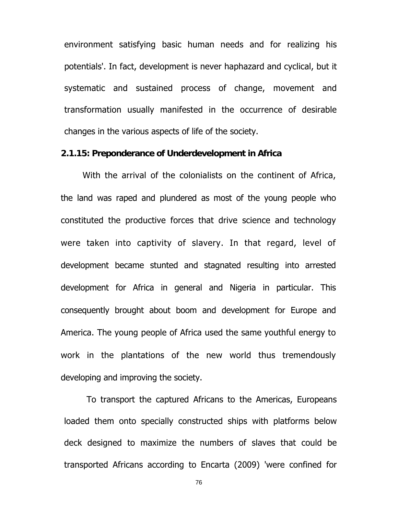environment satisfying basic human needs and for realizing his potentials'. In fact, development is never haphazard and cyclical, but it systematic and sustained process of change, movement and transformation usually manifested in the occurrence of desirable changes in the various aspects of life of the society.

#### **2.1.15: Preponderance of Underdevelopment in Africa**

With the arrival of the colonialists on the continent of Africa, the land was raped and plundered as most of the young people who constituted the productive forces that drive science and technology were taken into captivity of slavery. In that regard, level of development became stunted and stagnated resulting into arrested development for Africa in general and Nigeria in particular. This consequently brought about boom and development for Europe and America. The young people of Africa used the same youthful energy to work in the plantations of the new world thus tremendously developing and improving the society.

To transport the captured Africans to the Americas, Europeans loaded them onto specially constructed ships with platforms below deck designed to maximize the numbers of slaves that could be transported Africans according to Encarta (2009) 'were confined for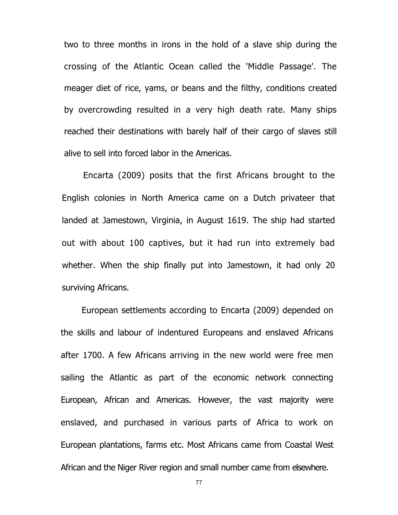two to three months in irons in the hold of a slave ship during the crossing of the Atlantic Ocean called the 'Middle Passage'. The meager diet of rice, yams, or beans and the filthy, conditions created by overcrowding resulted in a very high death rate. Many ships reached their destinations with barely half of their cargo of slaves still alive to sell into forced labor in the Americas.

Encarta (2009) posits that the first Africans brought to the English colonies in North America came on a Dutch privateer that landed at Jamestown, Virginia, in August 1619. The ship had started out with about 100 captives, but it had run into extremely bad whether. When the ship finally put into Jamestown, it had only 20 surviving Africans.

European settlements according to Encarta (2009) depended on the skills and labour of indentured Europeans and enslaved Africans after 1700. A few Africans arriving in the new world were free men sailing the Atlantic as part of the economic network connecting European, African and Americas. However, the vast majority were enslaved, and purchased in various parts of Africa to work on European plantations, farms etc. Most Africans came from Coastal West African and the Niger River region and small number came from elsewhere.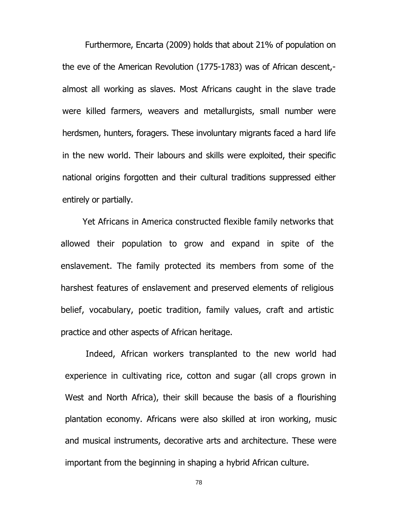Furthermore, Encarta (2009) holds that about 21% of population on the eve of the American Revolution (1775-1783) was of African descent, almost all working as slaves. Most Africans caught in the slave trade were killed farmers, weavers and metallurgists, small number were herdsmen, hunters, foragers. These involuntary migrants faced a hard life in the new world. Their labours and skills were exploited, their specific national origins forgotten and their cultural traditions suppressed either entirely or partially.

Yet Africans in America constructed flexible family networks that allowed their population to grow and expand in spite of the enslavement. The family protected its members from some of the harshest features of enslavement and preserved elements of religious belief, vocabulary, poetic tradition, family values, craft and artistic practice and other aspects of African heritage.

Indeed, African workers transplanted to the new world had experience in cultivating rice, cotton and sugar (all crops grown in West and North Africa), their skill because the basis of a flourishing plantation economy. Africans were also skilled at iron working, music and musical instruments, decorative arts and architecture. These were important from the beginning in shaping a hybrid African culture.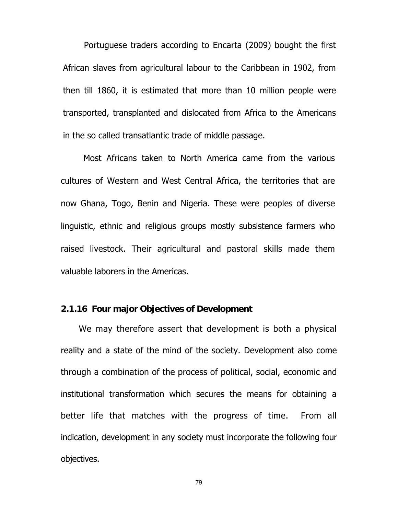Portuguese traders according to Encarta (2009) bought the first African slaves from agricultural labour to the Caribbean in 1902, from then till 1860, it is estimated that more than 10 million people were transported, transplanted and dislocated from Africa to the Americans in the so called transatlantic trade of middle passage.

Most Africans taken to North America came from the various cultures of Western and West Central Africa, the territories that are now Ghana, Togo, Benin and Nigeria. These were peoples of diverse linguistic, ethnic and religious groups mostly subsistence farmers who raised livestock. Their agricultural and pastoral skills made them valuable laborers in the Americas.

# **2.1.16 Four major Objectives of Development**

We may therefore assert that development is both a physical reality and a state of the mind of the society. Development also come through a combination of the process of political, social, economic and institutional transformation which secures the means for obtaining a better life that matches with the progress of time. From all indication, development in any society must incorporate the following four objectives.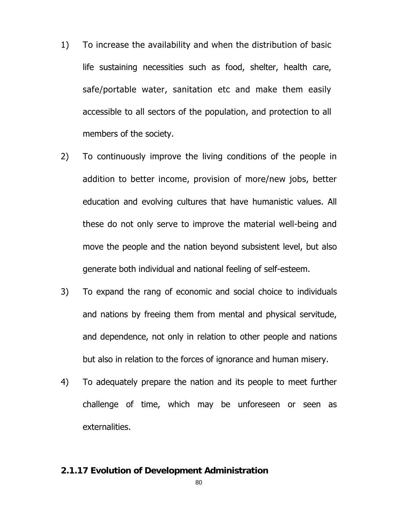- 1) To increase the availability and when the distribution of basic life sustaining necessities such as food, shelter, health care, safe/portable water, sanitation etc and make them easily accessible to all sectors of the population, and protection to all members of the society.
- 2) To continuously improve the living conditions of the people in addition to better income, provision of more/new jobs, better education and evolving cultures that have humanistic values. All these do not only serve to improve the material well-being and move the people and the nation beyond subsistent level, but also generate both individual and national feeling of self-esteem.
- 3) To expand the rang of economic and social choice to individuals and nations by freeing them from mental and physical servitude, and dependence, not only in relation to other people and nations but also in relation to the forces of ignorance and human misery.
- 4) To adequately prepare the nation and its people to meet further challenge of time, which may be unforeseen or seen as externalities.

# **2.1.17 Evolution of Development Administration**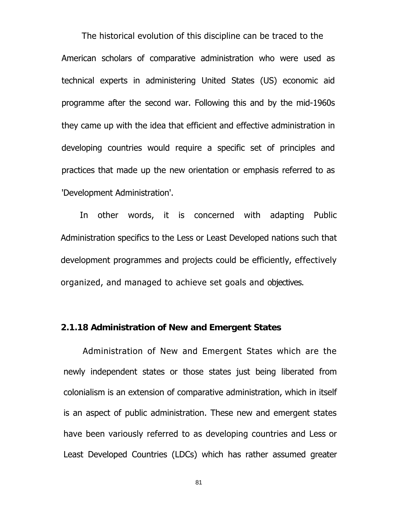The historical evolution of this discipline can be traced to the American scholars of comparative administration who were used as technical experts in administering United States (US) economic aid programme after the second war. Following this and by the mid-1960s they came up with the idea that efficient and effective administration in developing countries would require a specific set of principles and practices that made up the new orientation or emphasis referred to as 'Development Administration'.

In other words, it is concerned with adapting Public Administration specifics to the Less or Least Developed nations such that development programmes and projects could be efficiently, effectively organized, and managed to achieve set goals and objectives.

#### **2.1.18 Administration of New and Emergent States**

Administration of New and Emergent States which are the newly independent states or those states just being liberated from colonialism is an extension of comparative administration, which in itself is an aspect of public administration. These new and emergent states have been variously referred to as developing countries and Less or Least Developed Countries (LDCs) which has rather assumed greater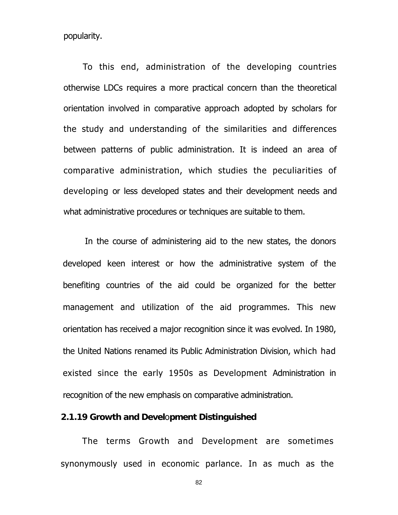popularity.

To this end, administration of the developing countries otherwise LDCs requires a more practical concern than the theoretical orientation involved in comparative approach adopted by scholars for the study and understanding of the similarities and differences between patterns of public administration. It is indeed an area of comparative administration, which studies the peculiarities of developing or less developed states and their development needs and what administrative procedures or techniques are suitable to them.

In the course of administering aid to the new states, the donors developed keen interest or how the administrative system of the benefiting countries of the aid could be organized for the better management and utilization of the aid programmes. This new orientation has received a major recognition since it was evolved. In 1980, the United Nations renamed its Public Administration Division, which had existed since the early 1950s as Development Administration in recognition of the new emphasis on comparative administration.

### **2.1.19 Growth and Devel**o**pment Distinguished**

The terms Growth and Development are sometimes synonymously used in economic parlance. In as much as the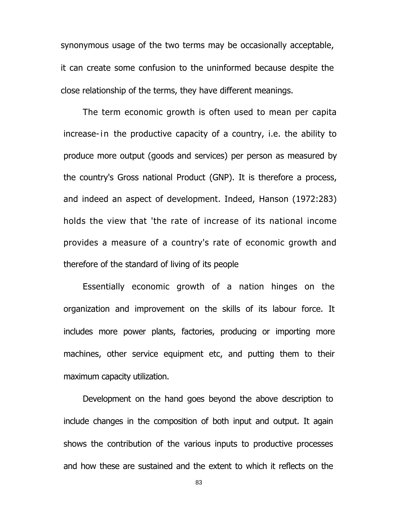synonymous usage of the two terms may be occasionally acceptable, it can create some confusion to the uninformed because despite the close relationship of the terms, they have different meanings.

The term economic growth is often used to mean per capita increase-in the productive capacity of a country, i.e. the ability to produce more output (goods and services) per person as measured by the country's Gross national Product (GNP). It is therefore a process, and indeed an aspect of development. Indeed, Hanson (1972:283) holds the view that 'the rate of increase of its national income provides a measure of a country's rate of economic growth and therefore of the standard of living of its people

Essentially economic growth of a nation hinges on the organization and improvement on the skills of its labour force. It includes more power plants, factories, producing or importing more machines, other service equipment etc, and putting them to their maximum capacity utilization.

Development on the hand goes beyond the above description to include changes in the composition of both input and output. It again shows the contribution of the various inputs to productive processes and how these are sustained and the extent to which it reflects on the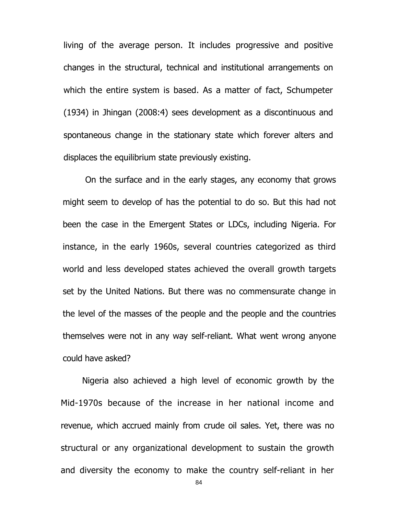living of the average person. It includes progressive and positive changes in the structural, technical and institutional arrangements on which the entire system is based. As a matter of fact, Schumpeter (1934) in Jhingan (2008:4) sees development as a discontinuous and spontaneous change in the stationary state which forever alters and displaces the equilibrium state previously existing.

On the surface and in the early stages, any economy that grows might seem to develop of has the potential to do so. But this had not been the case in the Emergent States or LDCs, including Nigeria. For instance, in the early 1960s, several countries categorized as third world and less developed states achieved the overall growth targets set by the United Nations. But there was no commensurate change in the level of the masses of the people and the people and the countries themselves were not in any way self-reliant. What went wrong anyone could have asked?

Nigeria also achieved a high level of economic growth by the Mid-1970s because of the increase in her national income and revenue, which accrued mainly from crude oil sales. Yet, there was no structural or any organizational development to sustain the growth and diversity the economy to make the country self-reliant in her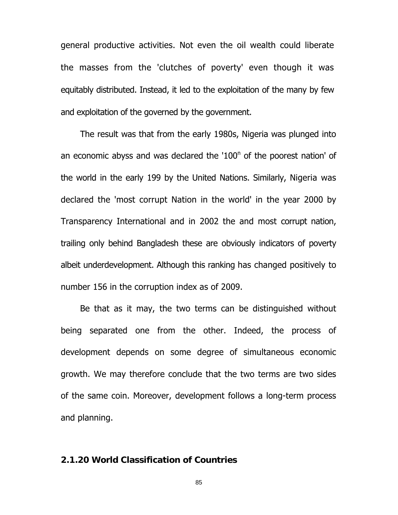general productive activities. Not even the oil wealth could liberate the masses from the 'clutches of poverty' even though it was equitably distributed. Instead, it led to the exploitation of the many by few and exploitation of the governed by the government.

The result was that from the early 1980s, Nigeria was plunged into an economic abyss and was declared the '100<sup>n</sup> of the poorest nation' of the world in the early 199 by the United Nations. Similarly, Nigeria was declared the 'most corrupt Nation in the world' in the year 2000 by Transparency International and in 2002 the and most corrupt nation, trailing only behind Bangladesh these are obviously indicators of poverty albeit underdevelopment. Although this ranking has changed positively to number 156 in the corruption index as of 2009.

Be that as it may, the two terms can be distinguished without being separated one from the other. Indeed, the process of development depends on some degree of simultaneous economic growth. We may therefore conclude that the two terms are two sides of the same coin. Moreover, development follows a long-term process and planning.

# **2.1.20 World Classification of Countries**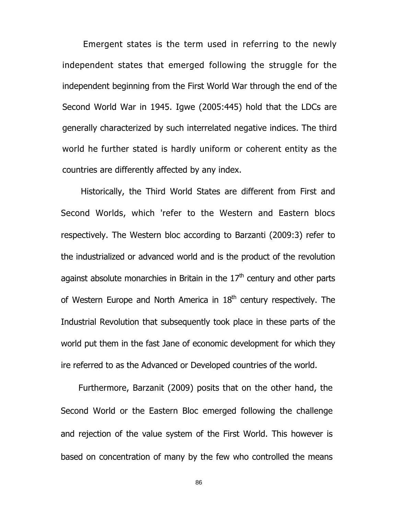Emergent states is the term used in referring to the newly independent states that emerged following the struggle for the independent beginning from the First World War through the end of the Second World War in 1945. Igwe (2005:445) hold that the LDCs are generally characterized by such interrelated negative indices. The third world he further stated is hardly uniform or coherent entity as the countries are differently affected by any index.

Historically, the Third World States are different from First and Second Worlds, which 'refer to the Western and Eastern blocs respectively. The Western bloc according to Barzanti (2009:3) refer to the industrialized or advanced world and is the product of the revolution against absolute monarchies in Britain in the  $17<sup>th</sup>$  century and other parts of Western Europe and North America in  $18<sup>th</sup>$  century respectively. The Industrial Revolution that subsequently took place in these parts of the world put them in the fast Jane of economic development for which they ire referred to as the Advanced or Developed countries of the world.

Furthermore, Barzanit (2009) posits that on the other hand, the Second World or the Eastern Bloc emerged following the challenge and rejection of the value system of the First World. This however is based on concentration of many by the few who controlled the means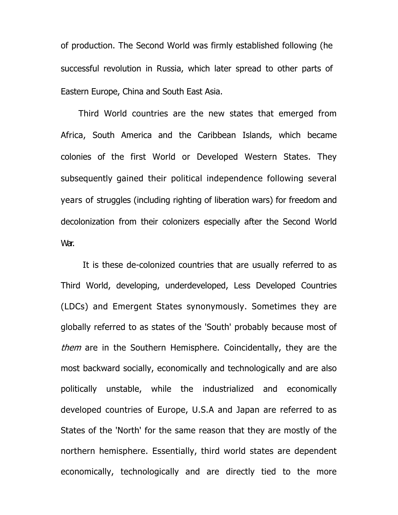of production. The Second World was firmly established following (he successful revolution in Russia, which later spread to other parts of Eastern Europe, China and South East Asia.

Third World countries are the new states that emerged from Africa, South America and the Caribbean Islands, which became colonies of the first World or Developed Western States. They subsequently gained their political independence following several years of struggles (including righting of liberation wars) for freedom and decolonization from their colonizers especially after the Second World War.

It is these de-colonized countries that are usually referred to as Third World, developing, underdeveloped, Less Developed Countries (LDCs) and Emergent States synonymously. Sometimes they are globally referred to as states of the 'South' probably because most of them are in the Southern Hemisphere. Coincidentally, they are the most backward socially, economically and technologically and are also politically unstable, while the industrialized and economically developed countries of Europe, U.S.A and Japan are referred to as States of the 'North' for the same reason that they are mostly of the northern hemisphere. Essentially, third world states are dependent economically, technologically and are directly tied to the more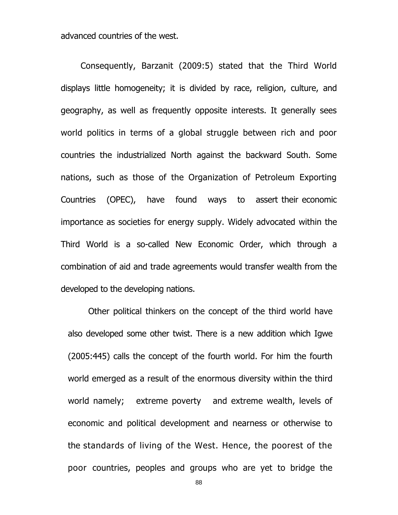advanced countries of the west.

Consequently, Barzanit (2009:5) stated that the Third World displays little homogeneity; it is divided by race, religion, culture, and geography, as well as frequently opposite interests. It generally sees world politics in terms of a global struggle between rich and poor countries the industrialized North against the backward South. Some nations, such as those of the Organization of Petroleum Exporting Countries (OPEC), have found ways to assert their economic importance as societies for energy supply. Widely advocated within the Third World is a so-called New Economic Order, which through a combination of aid and trade agreements would transfer wealth from the developed to the developing nations.

Other political thinkers on the concept of the third world have also developed some other twist. There is a new addition which Igwe (2005:445) calls the concept of the fourth world. For him the fourth world emerged as a result of the enormous diversity within the third world namely; extreme poverty and extreme wealth, levels of economic and political development and nearness or otherwise to the standards of living of the West. Hence, the poorest of the poor countries, peoples and groups who are yet to bridge the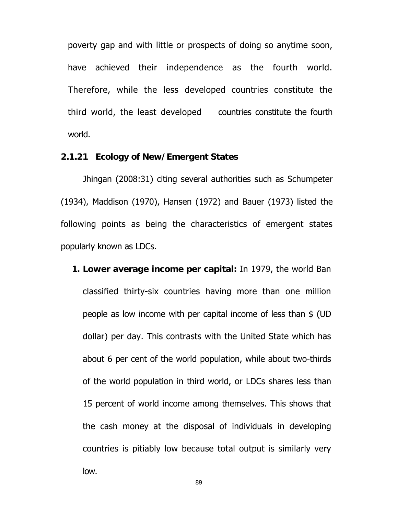poverty gap and with little or prospects of doing so anytime soon, have achieved their independence as the fourth world. Therefore, while the less developed countries constitute the third world, the least developed countries constitute the fourth world.

## **2.1.21 Ecology of New/Emergent States**

Jhingan (2008:31) citing several authorities such as Schumpeter (1934), Maddison (1970), Hansen (1972) and Bauer (1973) listed the following points as being the characteristics of emergent states popularly known as LDCs.

**1. Lower average income per capital:** In 1979, the world Ban classified thirty-six countries having more than one million people as low income with per capital income of less than \$ (UD dollar) per day. This contrasts with the United State which has about 6 per cent of the world population, while about two-thirds of the world population in third world, or LDCs shares less than 15 percent of world income among themselves. This shows that the cash money at the disposal of individuals in developing countries is pitiably low because total output is similarly very low.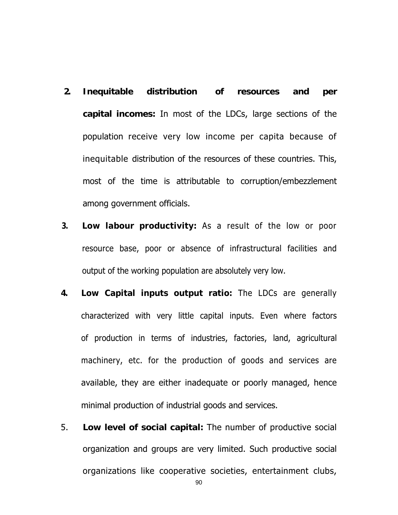- **2. Inequitable distribution of resources and per capital incomes:** In most of the LDCs, large sections of the population receive very low income per capita because of inequitable distribution of the resources of these countries. This, most of the time is attributable to corruption/embezzlement among government officials.
- **3. Low labour productivity:** As a result of the low or poor resource base, poor or absence of infrastructural facilities and output of the working population are absolutely very low.
- **4. Low Capital inputs output ratio:** The LDCs are generally characterized with very little capital inputs. Even where factors of production in terms of industries, factories, land, agricultural machinery, etc. for the production of goods and services are available, they are either inadequate or poorly managed, hence minimal production of industrial goods and services.
- 5. **Low level of social capital:** The number of productive social organization and groups are very limited. Such productive social organizations like cooperative societies, entertainment clubs,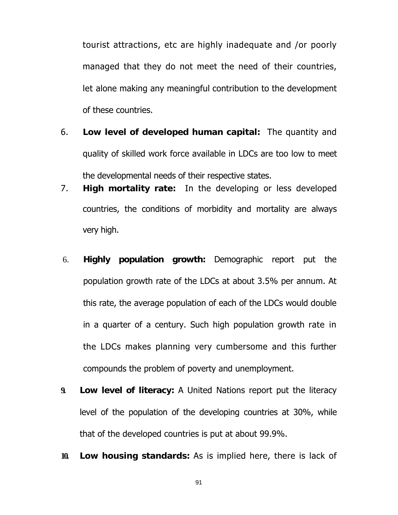tourist attractions, etc are highly inadequate and /or poorly managed that they do not meet the need of their countries, let alone making any meaningful contribution to the development of these countries.

- 6. **Low level of developed human capital:** The quantity and quality of skilled work force available in LDCs are too low to meet the developmental needs of their respective states.
- 7. **High mortality rate:** In the developing or less developed countries, the conditions of morbidity and mortality are always very high.
- 6. **Highly population growth:** Demographic report put the population growth rate of the LDCs at about 3.5% per annum. At this rate, the average population of each of the LDCs would double in a quarter of a century. Such high population growth rate in the LDCs makes planning very cumbersome and this further compounds the problem of poverty and unemployment.
- **9. Low level of literacy:** A United Nations report put the literacy level of the population of the developing countries at 30%, while that of the developed countries is put at about 99.9%.
- **10. Low housing standards:** As is implied here, there is lack of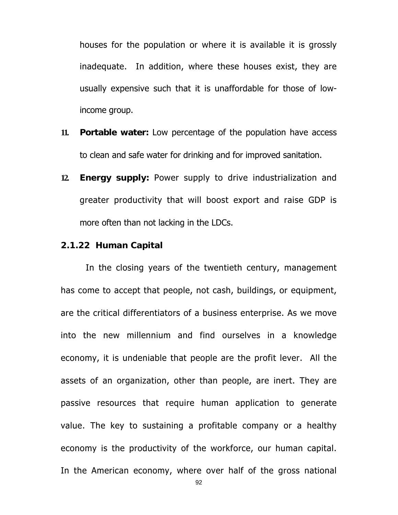houses for the population or where it is available it is grossly inadequate. In addition, where these houses exist, they are usually expensive such that it is unaffordable for those of lowincome group.

- **11. Portable water:** Low percentage of the population have access to clean and safe water for drinking and for improved sanitation.
- **12. Energy supply:** Power supply to drive industrialization and greater productivity that will boost export and raise GDP is more often than not lacking in the LDCs.

#### **2.1.22 Human Capital**

 In the closing years of the twentieth century, management has come to accept that people, not cash, buildings, or equipment, are the critical differentiators of a business enterprise. As we move into the new millennium and find ourselves in a knowledge economy, it is undeniable that people are the profit lever. All the assets of an organization, other than people, are inert. They are passive resources that require human application to generate value. The key to sustaining a profitable company or a healthy economy is the productivity of the workforce, our human capital. In the American economy, where over half of the gross national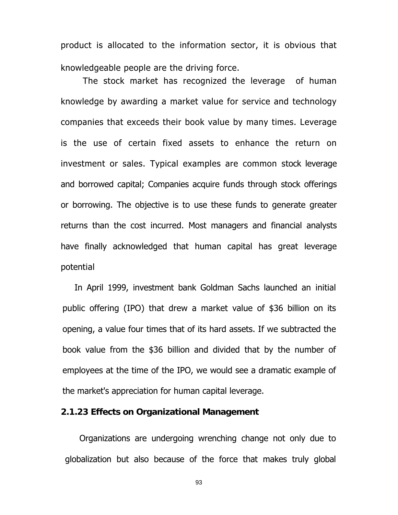product is allocated to the information sector, it is obvious that knowledgeable people are the driving force.

 The stock market has recognized the leverage of human knowledge by awarding a market value for service and technology companies that exceeds their book value by many times. Leverage is the use of certain fixed assets to enhance the return on investment or sales. Typical examples are common stock leverage and borrowed capital; Companies acquire funds through stock offerings or borrowing. The objective is to use these funds to generate greater returns than the cost incurred. Most managers and financial analysts have finally acknowledged that human capital has great leverage potential

In April 1999, investment bank Goldman Sachs launched an initial public offering (IPO) that drew a market value of \$36 billion on its opening, a value four times that of its hard assets. If we subtracted the book value from the \$36 billion and divided that by the number of employees at the time of the IPO, we would see a dramatic example of the market's appreciation for human capital leverage.

## **2.1.23 Effects on Organizational Management**

Organizations are undergoing wrenching change not only due to globalization but also because of the force that makes truly global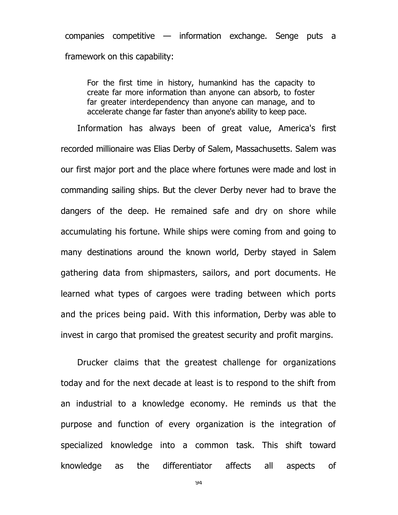companies competitive — information exchange. Senge puts a framework on this capability:

For the first time in history, humankind has the capacity to create far more information than anyone can absorb, to foster far greater interdependency than anyone can manage, and to accelerate change far faster than anyone's ability to keep pace.

Information has always been of great value, America's first recorded millionaire was Elias Derby of Salem, Massachusetts. Salem was our first major port and the place where fortunes were made and lost in commanding sailing ships. But the clever Derby never had to brave the dangers of the deep. He remained safe and dry on shore while accumulating his fortune. While ships were coming from and going to many destinations around the known world, Derby stayed in Salem gathering data from shipmasters, sailors, and port documents. He learned what types of cargoes were trading between which ports and the prices being paid. With this information, Derby was able to invest in cargo that promised the greatest security and profit margins.

Drucker claims that the greatest challenge for organizations today and for the next decade at least is to respond to the shift from an industrial to a knowledge economy. He reminds us that the purpose and function of every organization is the integration of specialized knowledge into a common task. This shift toward knowledge as the differentiator affects all aspects of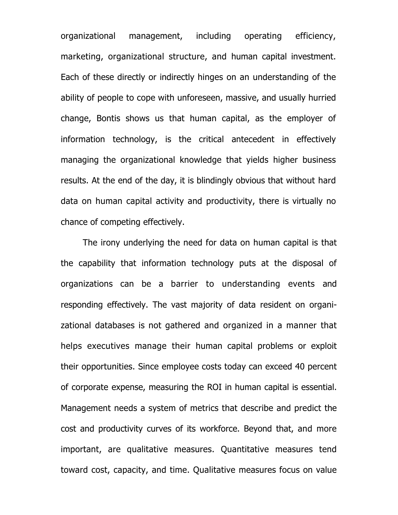organizational management, including operating efficiency, marketing, organizational structure, and human capital investment. Each of these directly or indirectly hinges on an understanding of the ability of people to cope with unforeseen, massive, and usually hurried change, Bontis shows us that human capital, as the employer of information technology, is the critical antecedent in effectively managing the organizational knowledge that yields higher business results. At the end of the day, it is blindingly obvious that without hard data on human capital activity and productivity, there is virtually no chance of competing effectively.

The irony underlying the need for data on human capital is that the capability that information technology puts at the disposal of organizations can be a barrier to understanding events and responding effectively. The vast majority of data resident on organizational databases is not gathered and organized in a manner that helps executives manage their human capital problems or exploit their opportunities. Since employee costs today can exceed 40 percent of corporate expense, measuring the ROI in human capital is essential. Management needs a system of metrics that describe and predict the cost and productivity curves of its workforce. Beyond that, and more important, are qualitative measures. Quantitative measures tend toward cost, capacity, and time. Qualitative measures focus on value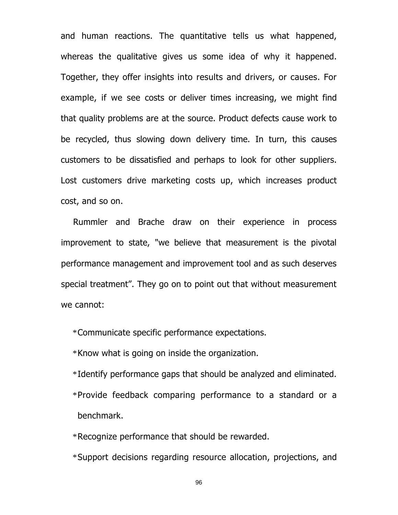and human reactions. The quantitative tells us what happened, whereas the qualitative gives us some idea of why it happened. Together, they offer insights into results and drivers, or causes. For example, if we see costs or deliver times increasing, we might find that quality problems are at the source. Product defects cause work to be recycled, thus slowing down delivery time. In turn, this causes customers to be dissatisfied and perhaps to look for other suppliers. Lost customers drive marketing costs up, which increases product cost, and so on.

Rummler and Brache draw on their experience in process improvement to state, "we believe that measurement is the pivotal performance management and improvement tool and as such deserves special treatment". They go on to point out that without measurement we cannot:

\*Communicate specific performance expectations.

\*Know what is going on inside the organization.

\*Identify performance gaps that should be analyzed and eliminated.

\*Provide feedback comparing performance to a standard or a benchmark.

\*Recognize performance that should be rewarded.

\*Support decisions regarding resource allocation, projections, and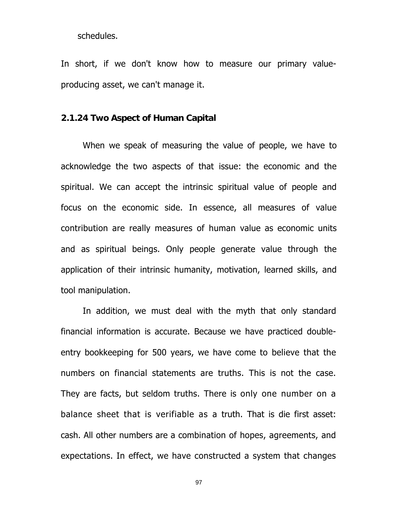schedules.

In short, if we don't know how to measure our primary valueproducing asset, we can't manage it.

## **2.1.24 Two Aspect of Human Capital**

When we speak of measuring the value of people, we have to acknowledge the two aspects of that issue: the economic and the spiritual. We can accept the intrinsic spiritual value of people and focus on the economic side. In essence, all measures of value contribution are really measures of human value as economic units and as spiritual beings. Only people generate value through the application of their intrinsic humanity, motivation, learned skills, and tool manipulation.

In addition, we must deal with the myth that only standard financial information is accurate. Because we have practiced doubleentry bookkeeping for 500 years, we have come to believe that the numbers on financial statements are truths. This is not the case. They are facts, but seldom truths. There is only one number on a balance sheet that is verifiable as a truth. That is die first asset: cash. All other numbers are a combination of hopes, agreements, and expectations. In effect, we have constructed a system that changes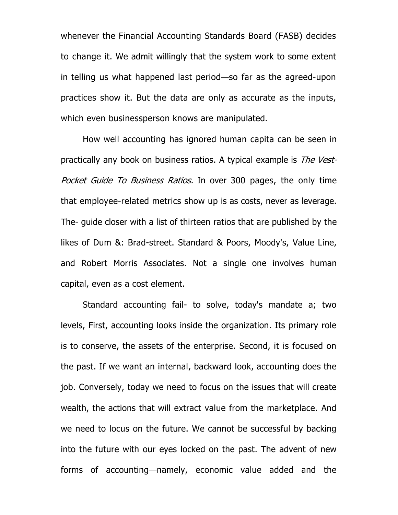whenever the Financial Accounting Standards Board (FASB) decides to change it. We admit willingly that the system work to some extent in telling us what happened last period—so far as the agreed-upon practices show it. But the data are only as accurate as the inputs, which even businessperson knows are manipulated.

How well accounting has ignored human capita can be seen in practically any book on business ratios. A typical example is The Vest-Pocket Guide To Business Ratios. In over 300 pages, the only time that employee-related metrics show up is as costs, never as leverage. The- guide closer with a list of thirteen ratios that are published by the likes of Dum &: Brad-street. Standard & Poors, Moody's, Value Line, and Robert Morris Associates. Not a single one involves human capital, even as a cost element.

Standard accounting fail- to solve, today's mandate a; two levels, First, accounting looks inside the organization. Its primary role is to conserve, the assets of the enterprise. Second, it is focused on the past. If we want an internal, backward look, accounting does the job. Conversely, today we need to focus on the issues that will create wealth, the actions that will extract value from the marketplace. And we need to locus on the future. We cannot be successful by backing into the future with our eyes locked on the past. The advent of new forms of accounting—namely, economic value added and the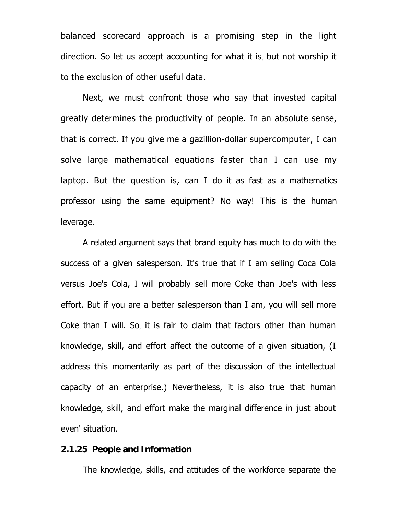balanced scorecard approach is a promising step in the light direction. So let us accept accounting for what it is, but not worship it to the exclusion of other useful data.

Next, we must confront those who say that invested capital greatly determines the productivity of people. In an absolute sense, that is correct. If you give me a gazillion-dollar supercomputer, I can solve large mathematical equations faster than I can use my laptop. But the question is, can I do it as fast as a mathematics professor using the same equipment? No way! This is the human leverage.

A related argument says that brand equity has much to do with the success of a given salesperson. It's true that if I am selling Coca Cola versus Joe's Cola, I will probably sell more Coke than Joe's with less effort. But if you are a better salesperson than I am, you will sell more Coke than I will. So, it is fair to claim that factors other than human knowledge, skill, and effort affect the outcome of a given situation, (I address this momentarily as part of the discussion of the intellectual capacity of an enterprise.) Nevertheless, it is also true that human knowledge, skill, and effort make the marginal difference in just about even' situation.

#### **2.1.25 People and Information**

The knowledge, skills, and attitudes of the workforce separate the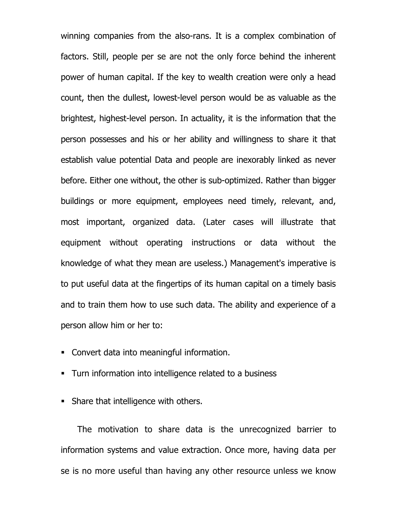winning companies from the also-rans. It is a complex combination of factors. Still, people per se are not the only force behind the inherent power of human capital. If the key to wealth creation were only a head count, then the dullest, lowest-level person would be as valuable as the brightest, highest-level person. In actuality, it is the information that the person possesses and his or her ability and willingness to share it that establish value potential Data and people are inexorably linked as never before. Either one without, the other is sub-optimized. Rather than bigger buildings or more equipment, employees need timely, relevant, and, most important, organized data. (Later cases will illustrate that equipment without operating instructions or data without the knowledge of what they mean are useless.) Management's imperative is to put useful data at the fingertips of its human capital on a timely basis and to train them how to use such data. The ability and experience of a person allow him or her to:

- Convert data into meaningful information.
- Turn information into intelligence related to a business
- Share that intelligence with others.

The motivation to share data is the unrecognized barrier to information systems and value extraction. Once more, having data per se is no more useful than having any other resource unless we know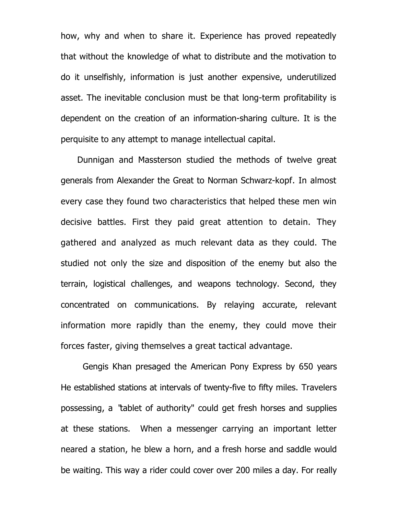how, why and when to share it. Experience has proved repeatedly that without the knowledge of what to distribute and the motivation to do it unselfishly, information is just another expensive, underutilized asset. The inevitable conclusion must be that long-term profitability is dependent on the creation of an information-sharing culture. It is the perquisite to any attempt to manage intellectual capital.

Dunnigan and Massterson studied the methods of twelve great generals from Alexander the Great to Norman Schwarz-kopf. In almost every case they found two characteristics that helped these men win decisive battles. First they paid great attention to detain. They gathered and analyzed as much relevant data as they could. The studied not only the size and disposition of the enemy but also the terrain, logistical challenges, and weapons technology. Second, they concentrated on communications. By relaying accurate, relevant information more rapidly than the enemy, they could move their forces faster, giving themselves a great tactical advantage.

Gengis Khan presaged the American Pony Express by 650 years He established stations at intervals of twenty-five to fifty miles. Travelers possessing, a "tablet of authority" could get fresh horses and supplies at these stations. When a messenger carrying an important letter neared a station, he blew a horn, and a fresh horse and saddle would be waiting. This way a rider could cover over 200 miles a day. For really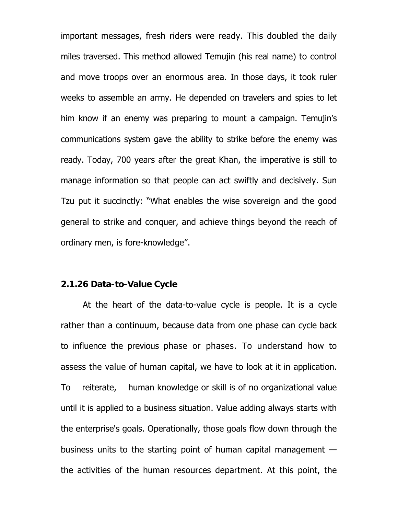important messages, fresh riders were ready. This doubled the daily miles traversed. This method allowed Temujin (his real name) to control and move troops over an enormous area. In those days, it took ruler weeks to assemble an army. He depended on travelers and spies to let him know if an enemy was preparing to mount a campaign. Temujin's communications system gave the ability to strike before the enemy was ready. Today, 700 years after the great Khan, the imperative is still to manage information so that people can act swiftly and decisively. Sun Tzu put it succinctly: "What enables the wise sovereign and the good general to strike and conquer, and achieve things beyond the reach of ordinary men, is fore-knowledge".

#### **2.1.26 Data-to-Value Cycle**

At the heart of the data-to-value cycle is people. It is a cycle rather than a continuum, because data from one phase can cycle back to influence the previous phase or phases. To understand how to assess the value of human capital, we have to look at it in application. To reiterate, human knowledge or skill is of no organizational value until it is applied to a business situation. Value adding always starts with the enterprise's goals. Operationally, those goals flow down through the business units to the starting point of human capital management  $$ the activities of the human resources department. At this point, the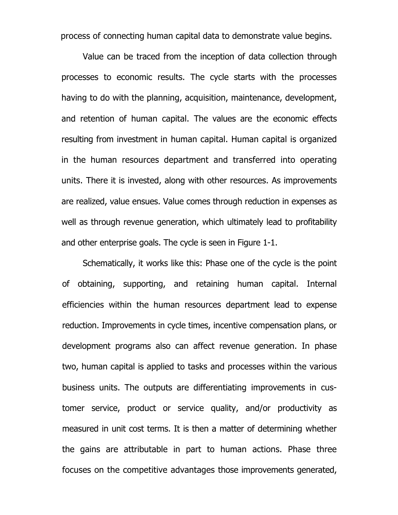process of connecting human capital data to demonstrate value begins.

Value can be traced from the inception of data collection through processes to economic results. The cycle starts with the processes having to do with the planning, acquisition, maintenance, development, and retention of human capital. The values are the economic effects resulting from investment in human capital. Human capital is organized in the human resources department and transferred into operating units. There it is invested, along with other resources. As improvements are realized, value ensues. Value comes through reduction in expenses as well as through revenue generation, which ultimately lead to profitability and other enterprise goals. The cycle is seen in Figure 1-1.

Schematically, it works like this: Phase one of the cycle is the point of obtaining, supporting, and retaining human capital. Internal efficiencies within the human resources department lead to expense reduction. Improvements in cycle times, incentive compensation plans, or development programs also can affect revenue generation. In phase two, human capital is applied to tasks and processes within the various business units. The outputs are differentiating improvements in customer service, product or service quality, and/or productivity as measured in unit cost terms. It is then a matter of determining whether the gains are attributable in part to human actions. Phase three focuses on the competitive advantages those improvements generated,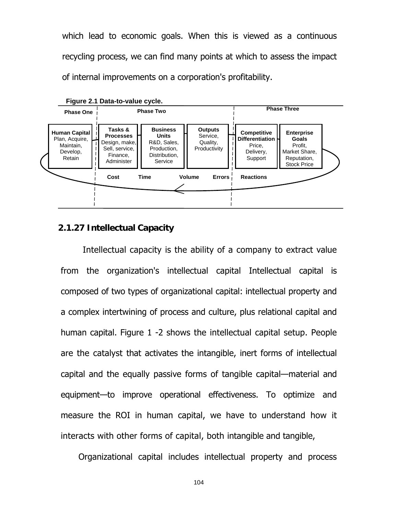which lead to economic goals. When this is viewed as a continuous recycling process, we can find many points at which to assess the impact of internal improvements on a corporation's profitability.



**Figure 2.1 Data-to-value cycle.** 

## **2.1.27 Intellectual Capacity**

Intellectual capacity is the ability of a company to extract value from the organization's intellectual capital Intellectual capital is composed of two types of organizational capital: intellectual property and a complex intertwining of process and culture, plus relational capital and human capital. Figure 1 -2 shows the intellectual capital setup. People are the catalyst that activates the intangible, inert forms of intellectual capital and the equally passive forms of tangible capital—material and equipment—to improve operational effectiveness. To optimize and measure the ROI in human capital, we have to understand how it interacts with other forms of capital, both intangible and tangible,

Organizational capital includes intellectual property and process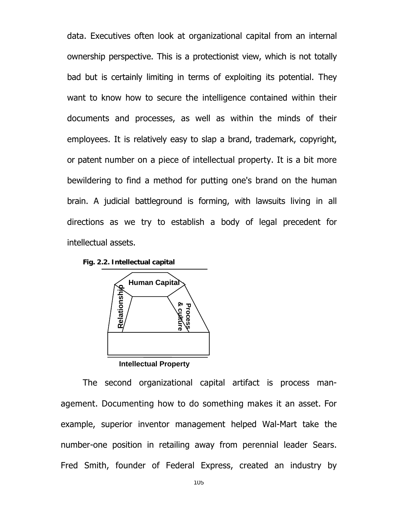data. Executives often look at organizational capital from an internal ownership perspective. This is a protectionist view, which is not totally bad but is certainly limiting in terms of exploiting its potential. They want to know how to secure the intelligence contained within their documents and processes, as well as within the minds of their employees. It is relatively easy to slap a brand, trademark, copyright, or patent number on a piece of intellectual property. It is a bit more bewildering to find a method for putting one's brand on the human brain. A judicial battleground is forming, with lawsuits living in all directions as we try to establish a body of legal precedent for intellectual assets.

**Fig. 2.2. Intellectual capital**



The second organizational capital artifact is process management. Documenting how to do something makes it an asset. For example, superior inventor management helped Wal-Mart take the number-one position in retailing away from perennial leader Sears. Fred Smith, founder of Federal Express, created an industry by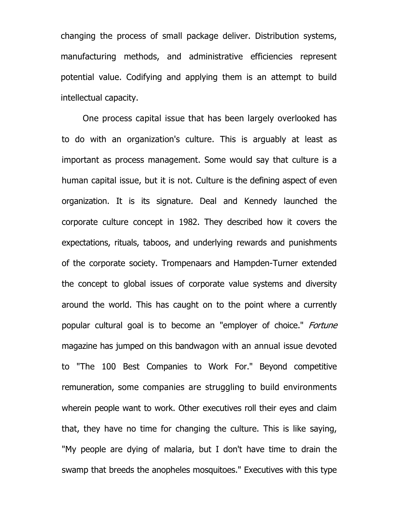changing the process of small package deliver. Distribution systems, manufacturing methods, and administrative efficiencies represent potential value. Codifying and applying them is an attempt to build intellectual capacity.

One process capital issue that has been largely overlooked has to do with an organization's culture. This is arguably at least as important as process management. Some would say that culture is a human capital issue, but it is not. Culture is the defining aspect of even organization. It is its signature. Deal and Kennedy launched the corporate culture concept in 1982. They described how it covers the expectations, rituals, taboos, and underlying rewards and punishments of the corporate society. Trompenaars and Hampden-Turner extended the concept to global issues of corporate value systems and diversity around the world. This has caught on to the point where a currently popular cultural goal is to become an "employer of choice." *Fortune* magazine has jumped on this bandwagon with an annual issue devoted to "The 100 Best Companies to Work For." Beyond competitive remuneration, some companies are struggling to build environments wherein people want to work. Other executives roll their eyes and claim that, they have no time for changing the culture. This is like saying, "My people are dying of malaria, but I don't have time to drain the swamp that breeds the anopheles mosquitoes." Executives with this type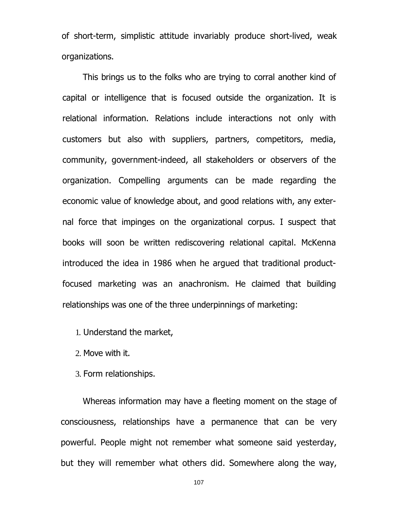of short-term, simplistic attitude invariably produce short-lived, weak organizations.

This brings us to the folks who are trying to corral another kind of capital or intelligence that is focused outside the organization. It is relational information. Relations include interactions not only with customers but also with suppliers, partners, competitors, media, community, government-indeed, all stakeholders or observers of the organization. Compelling arguments can be made regarding the economic value of knowledge about, and good relations with, any external force that impinges on the organizational corpus. I suspect that books will soon be written rediscovering relational capital. McKenna introduced the idea in 1986 when he argued that traditional productfocused marketing was an anachronism. He claimed that building relationships was one of the three underpinnings of marketing:

1. Understand the market,

2. Move with it.

3. Form relationships.

Whereas information may have a fleeting moment on the stage of consciousness, relationships have a permanence that can be very powerful. People might not remember what someone said yesterday, but they will remember what others did. Somewhere along the way,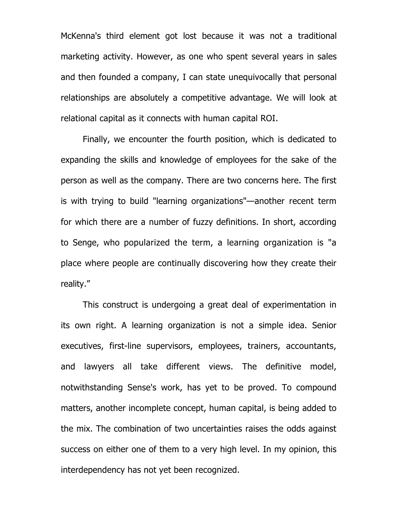McKenna's third element got lost because it was not a traditional marketing activity. However, as one who spent several years in sales and then founded a company, I can state unequivocally that personal relationships are absolutely a competitive advantage. We will look at relational capital as it connects with human capital ROI.

Finally, we encounter the fourth position, which is dedicated to expanding the skills and knowledge of employees for the sake of the person as well as the company. There are two concerns here. The first is with trying to build "learning organizations"—another recent term for which there are a number of fuzzy definitions. In short, according to Senge, who popularized the term, a learning organization is "a place where people are continually discovering how they create their reality."

This construct is undergoing a great deal of experimentation in its own right. A learning organization is not a simple idea. Senior executives, first-line supervisors, employees, trainers, accountants, and lawyers all take different views. The definitive model, notwithstanding Sense's work, has yet to be proved. To compound matters, another incomplete concept, human capital, is being added to the mix. The combination of two uncertainties raises the odds against success on either one of them to a very high level. In my opinion, this interdependency has not yet been recognized.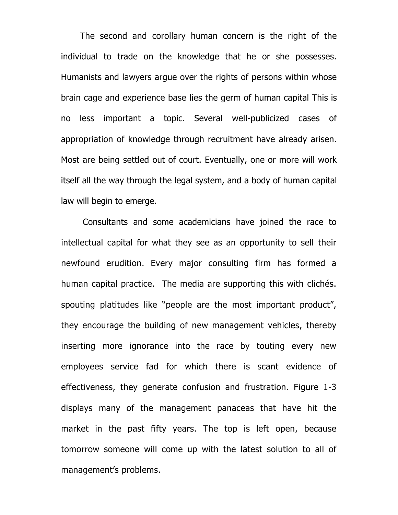The second and corollary human concern is the right of the individual to trade on the knowledge that he or she possesses. Humanists and lawyers argue over the rights of persons within whose brain cage and experience base lies the germ of human capital This is no less important a topic. Several well-publicized cases of appropriation of knowledge through recruitment have already arisen. Most are being settled out of court. Eventually, one or more will work itself all the way through the legal system, and a body of human capital law will begin to emerge.

Consultants and some academicians have joined the race to intellectual capital for what they see as an opportunity to sell their newfound erudition. Every major consulting firm has formed a human capital practice. The media are supporting this with clichés. spouting platitudes like "people are the most important product", they encourage the building of new management vehicles, thereby inserting more ignorance into the race by touting every new employees service fad for which there is scant evidence of effectiveness, they generate confusion and frustration. Figure 1-3 displays many of the management panaceas that have hit the market in the past fifty years. The top is left open, because tomorrow someone will come up with the latest solution to all of management's problems.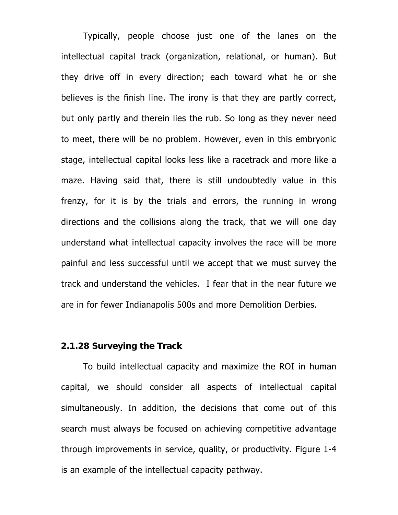Typically, people choose just one of the lanes on the intellectual capital track (organization, relational, or human). But they drive off in every direction; each toward what he or she believes is the finish line. The irony is that they are partly correct, but only partly and therein lies the rub. So long as they never need to meet, there will be no problem. However, even in this embryonic stage, intellectual capital looks less like a racetrack and more like a maze. Having said that, there is still undoubtedly value in this frenzy, for it is by the trials and errors, the running in wrong directions and the collisions along the track, that we will one day understand what intellectual capacity involves the race will be more painful and less successful until we accept that we must survey the track and understand the vehicles. I fear that in the near future we are in for fewer Indianapolis 500s and more Demolition Derbies.

### **2.1.28 Surveying the Track**

 To build intellectual capacity and maximize the ROI in human capital, we should consider all aspects of intellectual capital simultaneously. In addition, the decisions that come out of this search must always be focused on achieving competitive advantage through improvements in service, quality, or productivity. Figure 1-4 is an example of the intellectual capacity pathway.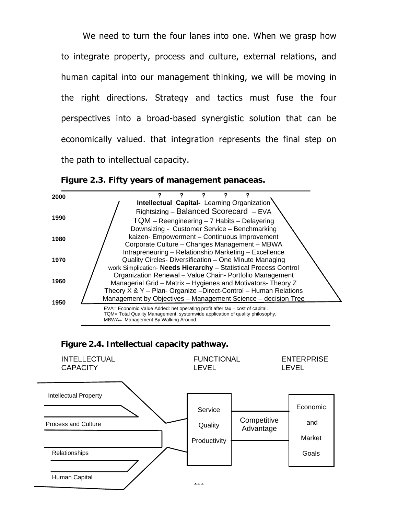We need to turn the four lanes into one. When we grasp how to integrate property, process and culture, external relations, and human capital into our management thinking, we will be moving in the right directions. Strategy and tactics must fuse the four perspectives into a broad-based synergistic solution that can be economically valued. that integration represents the final step on the path to intellectual capacity.







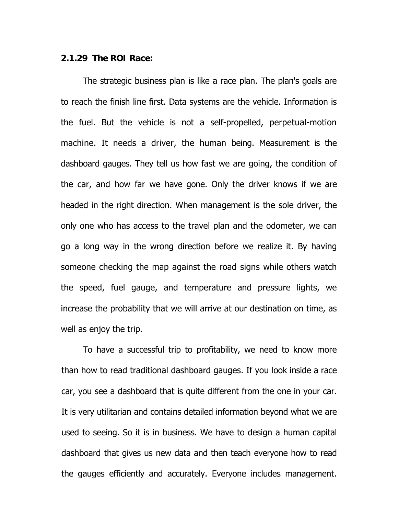### **2.1.29 The ROI Race:**

The strategic business plan is like a race plan. The plan's goals are to reach the finish line first. Data systems are the vehicle. Information is the fuel. But the vehicle is not a self-propelled, perpetual-motion machine. It needs a driver, the human being. Measurement is the dashboard gauges. They tell us how fast we are going, the condition of the car, and how far we have gone. Only the driver knows if we are headed in the right direction. When management is the sole driver, the only one who has access to the travel plan and the odometer, we can go a long way in the wrong direction before we realize it. By having someone checking the map against the road signs while others watch the speed, fuel gauge, and temperature and pressure lights, we increase the probability that we will arrive at our destination on time, as well as enjoy the trip.

To have a successful trip to profitability, we need to know more than how to read traditional dashboard gauges. If you look inside a race car, you see a dashboard that is quite different from the one in your car. It is very utilitarian and contains detailed information beyond what we are used to seeing. So it is in business. We have to design a human capital dashboard that gives us new data and then teach everyone how to read the gauges efficiently and accurately. Everyone includes management.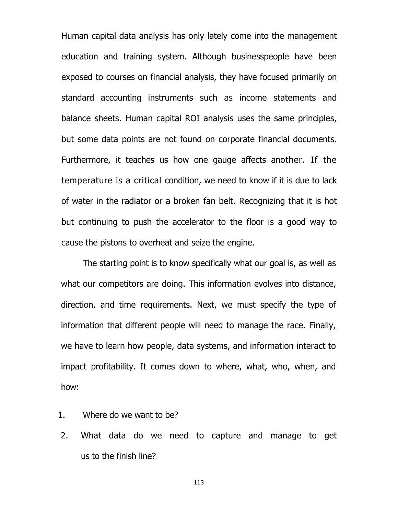Human capital data analysis has only lately come into the management education and training system. Although businesspeople have been exposed to courses on financial analysis, they have focused primarily on standard accounting instruments such as income statements and balance sheets. Human capital ROI analysis uses the same principles, but some data points are not found on corporate financial documents. Furthermore, it teaches us how one gauge affects another. If the temperature is a critical condition, we need to know if it is due to lack of water in the radiator or a broken fan belt. Recognizing that it is hot but continuing to push the accelerator to the floor is a good way to cause the pistons to overheat and seize the engine.

The starting point is to know specifically what our goal is, as well as what our competitors are doing. This information evolves into distance, direction, and time requirements. Next, we must specify the type of information that different people will need to manage the race. Finally, we have to learn how people, data systems, and information interact to impact profitability. It comes down to where, what, who, when, and how:

- 1. Where do we want to be?
- 2. What data do we need to capture and manage to get us to the finish line?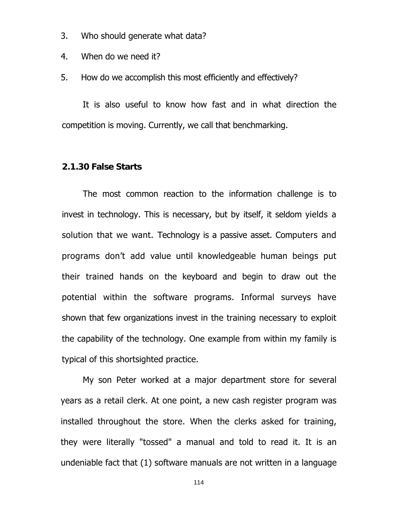- 3. Who should generate what data?
- 4. When do we need it?

5. How do we accomplish this most efficiently and effectively?

It is also useful to know how fast and in what direction the competition is moving. Currently, we call that benchmarking.

### **2.1.30 False Starts**

The most common reaction to the information challenge is to invest in technology. This is necessary, but by itself, it seldom yields a solution that we want. Technology is a passive asset. Computers and programs don't add value until knowledgeable human beings put their trained hands on the keyboard and begin to draw out the potential within the software programs. Informal surveys have shown that few organizations invest in the training necessary to exploit the capability of the technology. One example from within my family is typical of this shortsighted practice.

My son Peter worked at a major department store for several years as a retail clerk. At one point, a new cash register program was installed throughout the store. When the clerks asked for training, they were literally "tossed" a manual and told to read it. It is an undeniable fact that (1) software manuals are not written in a language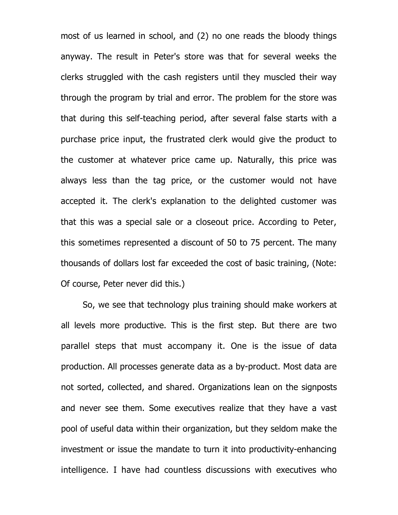most of us learned in school, and (2) no one reads the bloody things anyway. The result in Peter's store was that for several weeks the clerks struggled with the cash registers until they muscled their way through the program by trial and error. The problem for the store was that during this self-teaching period, after several false starts with a purchase price input, the frustrated clerk would give the product to the customer at whatever price came up. Naturally, this price was always less than the tag price, or the customer would not have accepted it. The clerk's explanation to the delighted customer was that this was a special sale or a closeout price. According to Peter, this sometimes represented a discount of 50 to 75 percent. The many thousands of dollars lost far exceeded the cost of basic training, (Note: Of course, Peter never did this.)

So, we see that technology plus training should make workers at all levels more productive. This is the first step. But there are two parallel steps that must accompany it. One is the issue of data production. All processes generate data as a by-product. Most data are not sorted, collected, and shared. Organizations lean on the signposts and never see them. Some executives realize that they have a vast pool of useful data within their organization, but they seldom make the investment or issue the mandate to turn it into productivity-enhancing intelligence. I have had countless discussions with executives who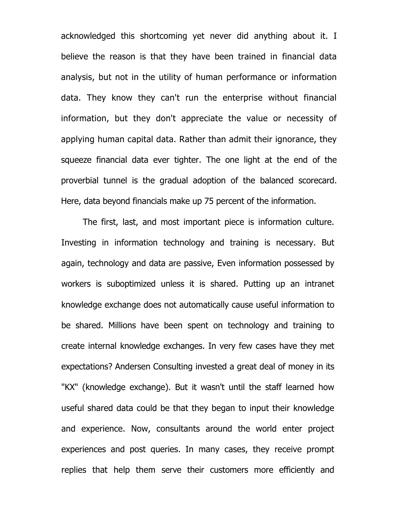acknowledged this shortcoming yet never did anything about it. I believe the reason is that they have been trained in financial data analysis, but not in the utility of human performance or information data. They know they can't run the enterprise without financial information, but they don't appreciate the value or necessity of applying human capital data. Rather than admit their ignorance, they squeeze financial data ever tighter. The one light at the end of the proverbial tunnel is the gradual adoption of the balanced scorecard. Here, data beyond financials make up 75 percent of the information.

The first, last, and most important piece is information culture. Investing in information technology and training is necessary. But again, technology and data are passive, Even information possessed by workers is suboptimized unless it is shared. Putting up an intranet knowledge exchange does not automatically cause useful information to be shared. Millions have been spent on technology and training to create internal knowledge exchanges. In very few cases have they met expectations? Andersen Consulting invested a great deal of money in its "KX" (knowledge exchange). But it wasn't until the staff learned how useful shared data could be that they began to input their knowledge and experience. Now, consultants around the world enter project experiences and post queries. In many cases, they receive prompt replies that help them serve their customers more efficiently and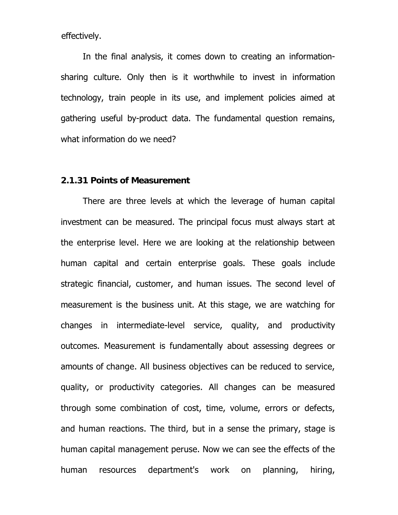effectively.

In the final analysis, it comes down to creating an informationsharing culture. Only then is it worthwhile to invest in information technology, train people in its use, and implement policies aimed at gathering useful by-product data. The fundamental question remains, what information do we need?

### **2.1.31 Points of Measurement**

There are three levels at which the leverage of human capital investment can be measured. The principal focus must always start at the enterprise level. Here we are looking at the relationship between human capital and certain enterprise goals. These goals include strategic financial, customer, and human issues. The second level of measurement is the business unit. At this stage, we are watching for changes in intermediate-level service, quality, and productivity outcomes. Measurement is fundamentally about assessing degrees or amounts of change. All business objectives can be reduced to service, quality, or productivity categories. All changes can be measured through some combination of cost, time, volume, errors or defects, and human reactions. The third, but in a sense the primary, stage is human capital management peruse. Now we can see the effects of the human resources department's work on planning, hiring,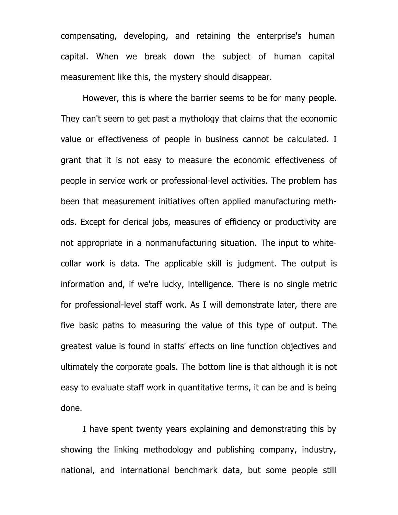compensating, developing, and retaining the enterprise's human capital. When we break down the subject of human capital measurement like this, the mystery should disappear.

However, this is where the barrier seems to be for many people. They can't seem to get past a mythology that claims that the economic value or effectiveness of people in business cannot be calculated. I grant that it is not easy to measure the economic effectiveness of people in service work or professional-level activities. The problem has been that measurement initiatives often applied manufacturing methods. Except for clerical jobs, measures of efficiency or productivity are not appropriate in a nonmanufacturing situation. The input to whitecollar work is data. The applicable skill is judgment. The output is information and, if we're lucky, intelligence. There is no single metric for professional-level staff work. As I will demonstrate later, there are five basic paths to measuring the value of this type of output. The greatest value is found in staffs' effects on line function objectives and ultimately the corporate goals. The bottom line is that although it is not easy to evaluate staff work in quantitative terms, it can be and is being done.

I have spent twenty years explaining and demonstrating this by showing the linking methodology and publishing company, industry, national, and international benchmark data, but some people still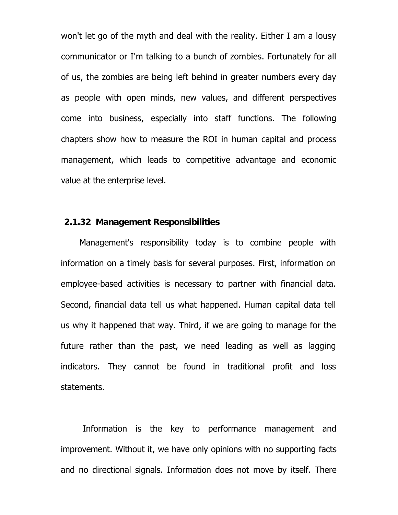won't let go of the myth and deal with the reality. Either I am a lousy communicator or I'm talking to a bunch of zombies. Fortunately for all of us, the zombies are being left behind in greater numbers every day as people with open minds, new values, and different perspectives come into business, especially into staff functions. The following chapters show how to measure the ROI in human capital and process management, which leads to competitive advantage and economic value at the enterprise level.

### **2.1.32 Management Responsibilities**

Management's responsibility today is to combine people with information on a timely basis for several purposes. First, information on employee-based activities is necessary to partner with financial data. Second, financial data tell us what happened. Human capital data tell us why it happened that way. Third, if we are going to manage for the future rather than the past, we need leading as well as lagging indicators. They cannot be found in traditional profit and loss statements.

Information is the key to performance management and improvement. Without it, we have only opinions with no supporting facts and no directional signals. Information does not move by itself. There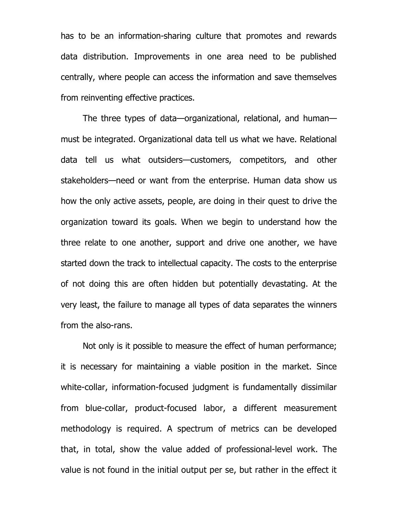has to be an information-sharing culture that promotes and rewards data distribution. Improvements in one area need to be published centrally, where people can access the information and save themselves from reinventing effective practices.

The three types of data—organizational, relational, and human must be integrated. Organizational data tell us what we have. Relational data tell us what outsiders—customers, competitors, and other stakeholders—need or want from the enterprise. Human data show us how the only active assets, people, are doing in their quest to drive the organization toward its goals. When we begin to understand how the three relate to one another, support and drive one another, we have started down the track to intellectual capacity. The costs to the enterprise of not doing this are often hidden but potentially devastating. At the very least, the failure to manage all types of data separates the winners from the also-rans.

Not only is it possible to measure the effect of human performance; it is necessary for maintaining a viable position in the market. Since white-collar, information-focused judgment is fundamentally dissimilar from blue-collar, product-focused labor, a different measurement methodology is required. A spectrum of metrics can be developed that, in total, show the value added of professional-level work. The value is not found in the initial output per se, but rather in the effect it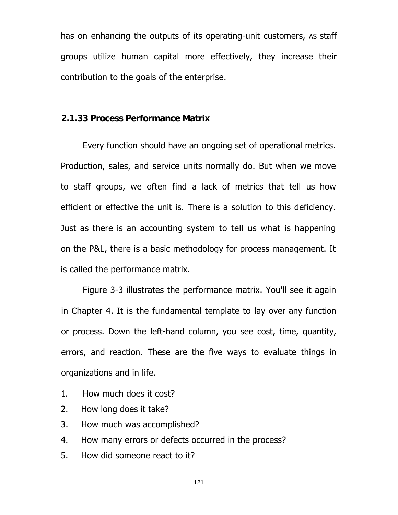has on enhancing the outputs of its operating-unit customers, AS staff groups utilize human capital more effectively, they increase their contribution to the goals of the enterprise.

## **2.1.33 Process Performance Matrix**

Every function should have an ongoing set of operational metrics. Production, sales, and service units normally do. But when we move to staff groups, we often find a lack of metrics that tell us how efficient or effective the unit is. There is a solution to this deficiency. Just as there is an accounting system to tell us what is happening on the P&L, there is a basic methodology for process management. It is called the performance matrix.

Figure 3-3 illustrates the performance matrix. You'll see it again in Chapter 4. It is the fundamental template to lay over any function or process. Down the left-hand column, you see cost, time, quantity, errors, and reaction. These are the five ways to evaluate things in organizations and in life.

- 1. How much does it cost?
- 2. How long does it take?
- 3. How much was accomplished?
- 4. How many errors or defects occurred in the process?
- 5. How did someone react to it?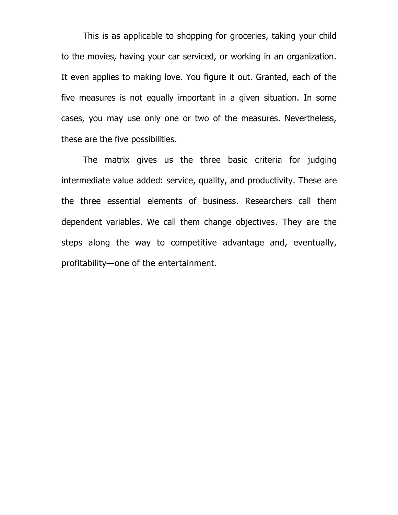This is as applicable to shopping for groceries, taking your child to the movies, having your car serviced, or working in an organization. It even applies to making love. You figure it out. Granted, each of the five measures is not equally important in a given situation. In some cases, you may use only one or two of the measures. Nevertheless, these are the five possibilities.

The matrix gives us the three basic criteria for judging intermediate value added: service, quality, and productivity. These are the three essential elements of business. Researchers call them dependent variables. We call them change objectives. They are the steps along the way to competitive advantage and, eventually, profitability—one of the entertainment.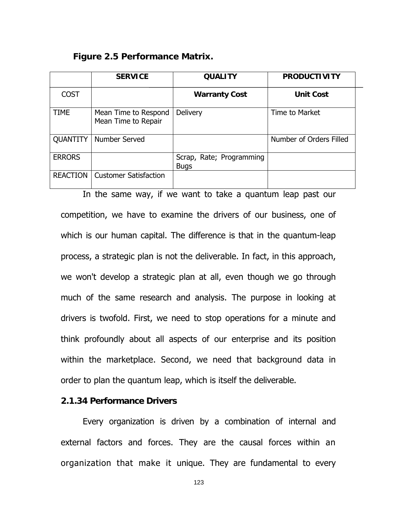**Figure 2.5 Performance Matrix.** 

|                 | <b>SERVICE</b>                              | <b>QUALITY</b>                          | <b>PRODUCTIVITY</b>     |
|-----------------|---------------------------------------------|-----------------------------------------|-------------------------|
| <b>COST</b>     |                                             | <b>Warranty Cost</b>                    | <b>Unit Cost</b>        |
| <b>TIME</b>     | Mean Time to Respond<br>Mean Time to Repair | Delivery                                | Time to Market          |
| <b>QUANTITY</b> | Number Served                               |                                         | Number of Orders Filled |
| <b>ERRORS</b>   |                                             | Scrap, Rate; Programming<br><b>Bugs</b> |                         |
| <b>REACTION</b> | <b>Customer Satisfaction</b>                |                                         |                         |

In the same way, if we want to take a quantum leap past our competition, we have to examine the drivers of our business, one of which is our human capital. The difference is that in the quantum-leap process, a strategic plan is not the deliverable. In fact, in this approach, we won't develop a strategic plan at all, even though we go through much of the same research and analysis. The purpose in looking at drivers is twofold. First, we need to stop operations for a minute and think profoundly about all aspects of our enterprise and its position within the marketplace. Second, we need that background data in order to plan the quantum leap, which is itself the deliverable.

### **2.1.34 Performance Drivers**

Every organization is driven by a combination of internal and external factors and forces. They are the causal forces within an organization that make it unique. They are fundamental to every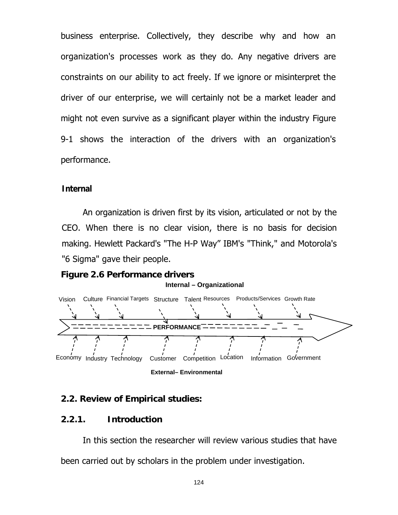business enterprise. Collectively, they describe why and how an organization's processes work as they do. Any negative drivers are constraints on our ability to act freely. If we ignore or misinterpret the driver of our enterprise, we will certainly not be a market leader and might not even survive as a significant player within the industry Figure 9-1 shows the interaction of the drivers with an organization's performance.

### **Internal**

An organization is driven first by its vision, articulated or not by the CEO. When there is no clear vision, there is no basis for decision making. Hewlett Packard's "The H-P Way" IBM's "Think," and Motorola's "6 Sigma" gave their people.

### **Figure 2.6 Performance drivers Internal – Organizational**





### **2.2. Review of Empirical studies:**

### **2.2.1. Introduction**

 In this section the researcher will review various studies that have been carried out by scholars in the problem under investigation.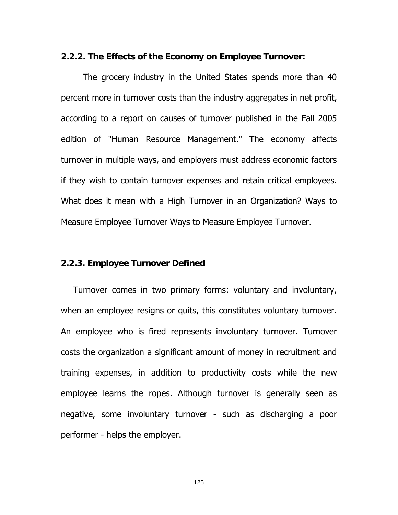### **2.2.2. The Effects of the Economy on Employee Turnover:**

The grocery industry in the United States spends more than 40 percent more in turnover costs than the industry aggregates in net profit, according to a report on causes of turnover published in the Fall 2005 edition of "Human Resource Management." The economy affects turnover in multiple ways, and employers must address economic factors if they wish to contain turnover expenses and retain critical employees. What does it mean with a High Turnover in an Organization? Ways to Measure Employee Turnover Ways to Measure Employee Turnover.

### **2.2.3. Employee Turnover Defined**

Turnover comes in two primary forms: voluntary and involuntary, when an employee resigns or quits, this constitutes voluntary turnover. An employee who is fired represents involuntary turnover. Turnover costs the organization a significant amount of money in recruitment and training expenses, in addition to productivity costs while the new employee learns the ropes. Although turnover is generally seen as negative, some involuntary turnover - such as discharging a poor performer - helps the employer.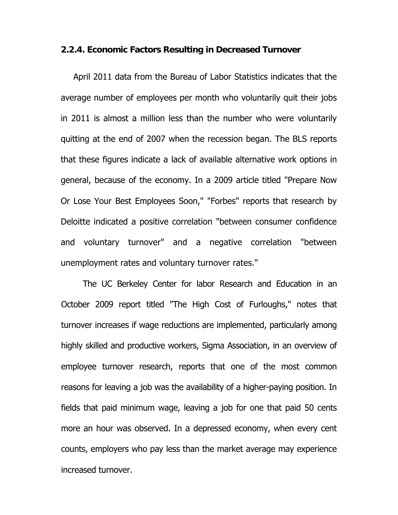### **2.2.4. Economic Factors Resulting in Decreased Turnover**

April 2011 data from the Bureau of Labor Statistics indicates that the average number of employees per month who voluntarily quit their jobs in 2011 is almost a million less than the number who were voluntarily quitting at the end of 2007 when the recession began. The BLS reports that these figures indicate a lack of available alternative work options in general, because of the economy. In a 2009 article titled "Prepare Now Or Lose Your Best Employees Soon," "Forbes" reports that research by Deloitte indicated a positive correlation "between consumer confidence and voluntary turnover" and a negative correlation "between unemployment rates and voluntary turnover rates."

The UC Berkeley Center for labor Research and Education in an October 2009 report titled "The High Cost of Furloughs," notes that turnover increases if wage reductions are implemented, particularly among highly skilled and productive workers, Sigma Association, in an overview of employee turnover research, reports that one of the most common reasons for leaving a job was the availability of a higher-paying position. In fields that paid minimum wage, leaving a job for one that paid 50 cents more an hour was observed. In a depressed economy, when every cent counts, employers who pay less than the market average may experience increased turnover.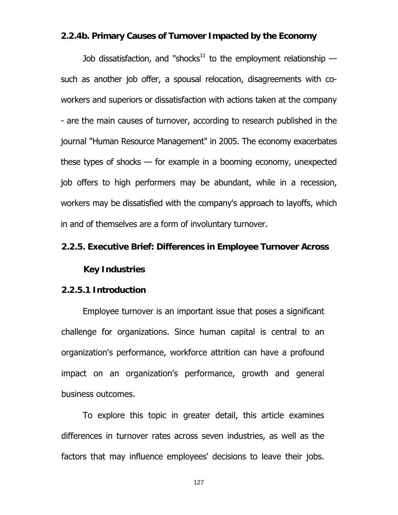### **2.2.4b. Primary Causes of Turnover Impacted by the Economy**

Job dissatisfaction, and "shocks<sup>11</sup> to the employment relationship  $$ such as another job offer, a spousal relocation, disagreements with coworkers and superiors or dissatisfaction with actions taken at the company - are the main causes of turnover, according to research published in the journal "Human Resource Management" in 2005. The economy exacerbates these types of shocks — for example in a booming economy, unexpected job offers to high performers may be abundant, while in a recession, workers may be dissatisfied with the company's approach to layoffs, which in and of themselves are a form of involuntary turnover.

### **2.2.5. Executive Brief: Differences in Employee Turnover Across**

### **Key Industries**

### **2.2.5.1 Introduction**

Employee turnover is an important issue that poses a significant challenge for organizations. Since human capital is central to an organization's performance, workforce attrition can have a profound impact on an organization's performance, growth and general business outcomes.

To explore this topic in greater detail, this article examines differences in turnover rates across seven industries, as well as the factors that may influence employees' decisions to leave their jobs.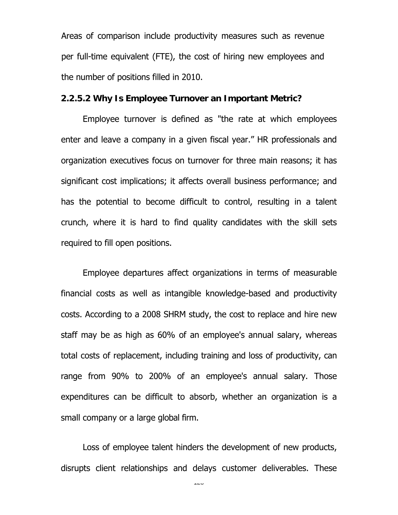Areas of comparison include productivity measures such as revenue per full-time equivalent (FTE), the cost of hiring new employees and the number of positions filled in 2010.

### **2.2.5.2 Why Is Employee Turnover an Important Metric?**

Employee turnover is defined as "the rate at which employees enter and leave a company in a given fiscal year." HR professionals and organization executives focus on turnover for three main reasons; it has significant cost implications; it affects overall business performance; and has the potential to become difficult to control, resulting in a talent crunch, where it is hard to find quality candidates with the skill sets required to fill open positions.

Employee departures affect organizations in terms of measurable financial costs as well as intangible knowledge-based and productivity costs. According to a 2008 SHRM study, the cost to replace and hire new staff may be as high as 60% of an employee's annual salary, whereas total costs of replacement, including training and loss of productivity, can range from 90% to 200% of an employee's annual salary. Those expenditures can be difficult to absorb, whether an organization is a small company or a large global firm.

Loss of employee talent hinders the development of new products, disrupts client relationships and delays customer deliverables. These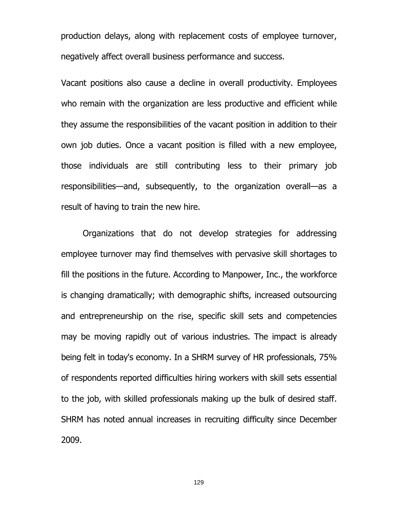production delays, along with replacement costs of employee turnover, negatively affect overall business performance and success.

Vacant positions also cause a decline in overall productivity. Employees who remain with the organization are less productive and efficient while they assume the responsibilities of the vacant position in addition to their own job duties. Once a vacant position is filled with a new employee, those individuals are still contributing less to their primary job responsibilities—and, subsequently, to the organization overall—as a result of having to train the new hire.

Organizations that do not develop strategies for addressing employee turnover may find themselves with pervasive skill shortages to fill the positions in the future. According to Manpower, Inc., the workforce is changing dramatically; with demographic shifts, increased outsourcing and entrepreneurship on the rise, specific skill sets and competencies may be moving rapidly out of various industries. The impact is already being felt in today's economy. In a SHRM survey of HR professionals, 75% of respondents reported difficulties hiring workers with skill sets essential to the job, with skilled professionals making up the bulk of desired staff. SHRM has noted annual increases in recruiting difficulty since December 2009.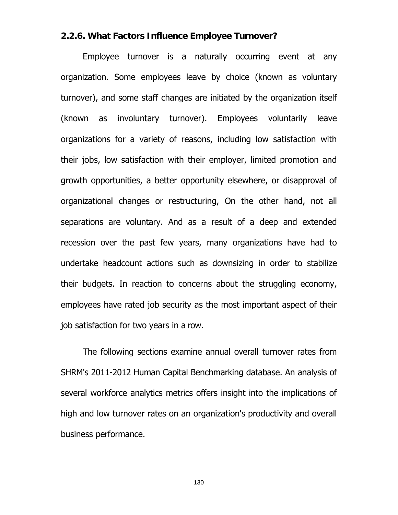### **2.2.6. What Factors Influence Employee Turnover?**

Employee turnover is a naturally occurring event at any organization. Some employees leave by choice (known as voluntary turnover), and some staff changes are initiated by the organization itself (known as involuntary turnover). Employees voluntarily leave organizations for a variety of reasons, including low satisfaction with their jobs, low satisfaction with their employer, limited promotion and growth opportunities, a better opportunity elsewhere, or disapproval of organizational changes or restructuring, On the other hand, not all separations are voluntary. And as a result of a deep and extended recession over the past few years, many organizations have had to undertake headcount actions such as downsizing in order to stabilize their budgets. In reaction to concerns about the struggling economy, employees have rated job security as the most important aspect of their job satisfaction for two years in a row.

The following sections examine annual overall turnover rates from SHRM's 2011-2012 Human Capital Benchmarking database. An analysis of several workforce analytics metrics offers insight into the implications of high and low turnover rates on an organization's productivity and overall business performance.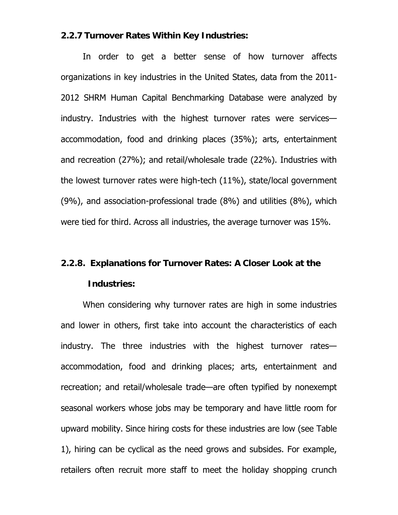### **2.2.7 Turnover Rates Within Key Industries:**

In order to get a better sense of how turnover affects organizations in key industries in the United States, data from the 2011- 2012 SHRM Human Capital Benchmarking Database were analyzed by industry. Industries with the highest turnover rates were services accommodation, food and drinking places (35%); arts, entertainment and recreation (27%); and retail/wholesale trade (22%). Industries with the lowest turnover rates were high-tech (11%), state/local government (9%), and association-professional trade (8%) and utilities (8%), which were tied for third. Across all industries, the average turnover was 15%.

# **2.2.8. Explanations for Turnover Rates: A Closer Look at the Industries:**

When considering why turnover rates are high in some industries and lower in others, first take into account the characteristics of each industry. The three industries with the highest turnover rates accommodation, food and drinking places; arts, entertainment and recreation; and retail/wholesale trade—are often typified by nonexempt seasonal workers whose jobs may be temporary and have little room for upward mobility. Since hiring costs for these industries are low (see Table 1), hiring can be cyclical as the need grows and subsides. For example, retailers often recruit more staff to meet the holiday shopping crunch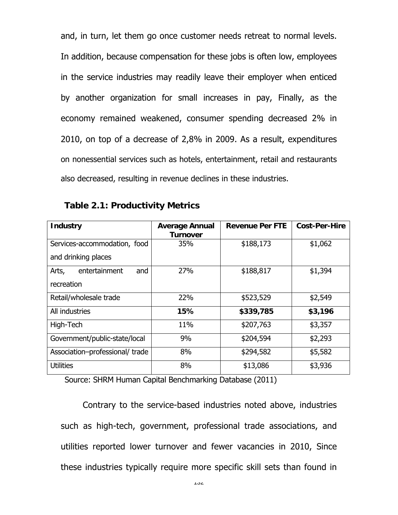and, in turn, let them go once customer needs retreat to normal levels. In addition, because compensation for these jobs is often low, employees in the service industries may readily leave their employer when enticed by another organization for small increases in pay, Finally, as the economy remained weakened, consumer spending decreased 2% in 2010, on top of a decrease of 2,8% in 2009. As a result, expenditures on nonessential services such as hotels, entertainment, retail and restaurants also decreased, resulting in revenue declines in these industries.

| <b>Industry</b>                | <b>Average Annual</b><br><b>Turnover</b> | <b>Revenue Per FTE</b> | <b>Cost-Per-Hire</b> |
|--------------------------------|------------------------------------------|------------------------|----------------------|
| Services-accommodation, food   | 35%                                      | \$188,173              | \$1,062              |
| and drinking places            |                                          |                        |                      |
| entertainment<br>Arts,<br>and  | 27%                                      | \$188,817              | \$1,394              |
| recreation                     |                                          |                        |                      |
| Retail/wholesale trade         | 22%                                      | \$523,529              | \$2,549              |
| All industries                 | 15%                                      | \$339,785              | \$3,196              |
| High-Tech                      | 11%                                      | \$207,763              | \$3,357              |
| Government/public-state/local  | 9%                                       | \$204,594              | \$2,293              |
| Association-professional/trade | 8%                                       | \$294,582              | \$5,582              |
| <b>Utilities</b>               | 8%                                       | \$13,086               | \$3,936              |

**Table 2.1: Productivity Metrics** 

Source: SHRM Human Capital Benchmarking Database (2011)

Contrary to the service-based industries noted above, industries such as high-tech, government, professional trade associations, and utilities reported lower turnover and fewer vacancies in 2010, Since these industries typically require more specific skill sets than found in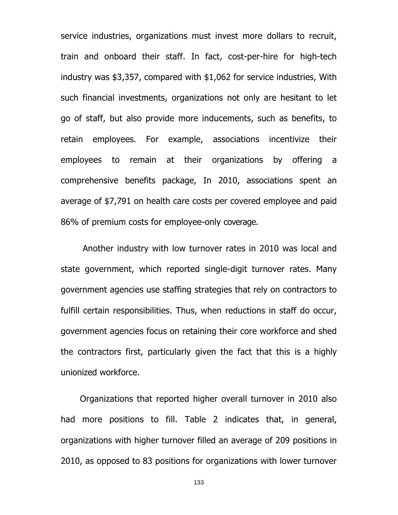service industries, organizations must invest more dollars to recruit, train and onboard their staff. In fact, cost-per-hire for high-tech industry was \$3,357, compared with \$1,062 for service industries, With such financial investments, organizations not only are hesitant to let go of staff, but also provide more inducements, such as benefits, to retain employees. For example, associations incentivize their employees to remain at their organizations by offering a comprehensive benefits package, In 2010, associations spent an average of \$7,791 on health care costs per covered employee and paid 86% of premium costs for employee-only coverage.

Another industry with low turnover rates in 2010 was local and state government, which reported single-digit turnover rates. Many government agencies use staffing strategies that rely on contractors to fulfill certain responsibilities. Thus, when reductions in staff do occur, government agencies focus on retaining their core workforce and shed the contractors first, particularly given the fact that this is a highly unionized workforce.

Organizations that reported higher overall turnover in 2010 also had more positions to fill. Table 2 indicates that, in general, organizations with higher turnover filled an average of 209 positions in 2010, as opposed to 83 positions for organizations with lower turnover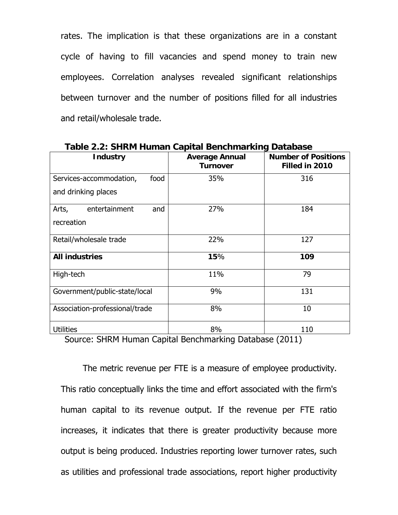rates. The implication is that these organizations are in a constant cycle of having to fill vacancies and spend money to train new employees. Correlation analyses revealed significant relationships between turnover and the number of positions filled for all industries and retail/wholesale trade.

| <b>Industry</b>                 | <b>Average Annual</b><br><b>Turnover</b> | <b>Number of Positions</b><br>Filled in 2010 |  |  |
|---------------------------------|------------------------------------------|----------------------------------------------|--|--|
| Services-accommodation,<br>food | 35%                                      | 316                                          |  |  |
| and drinking places             |                                          |                                              |  |  |
| entertainment<br>Arts,<br>and   | 27%                                      | 184                                          |  |  |
| recreation                      |                                          |                                              |  |  |
| Retail/wholesale trade          | 22%                                      | 127                                          |  |  |
| <b>All industries</b>           | 15%                                      | 109                                          |  |  |
| High-tech                       | 11%                                      | 79                                           |  |  |
| Government/public-state/local   | 9%                                       | 131                                          |  |  |
| Association-professional/trade  | 8%                                       | 10                                           |  |  |
| <b>Utilities</b>                | 8%                                       | 110                                          |  |  |

**Table 2.2: SHRM Human Capital Benchmarking Database** 

Source: SHRM Human Capital Benchmarking Database (2011)

The metric revenue per FTE is a measure of employee productivity. This ratio conceptually links the time and effort associated with the firm's human capital to its revenue output. If the revenue per FTE ratio increases, it indicates that there is greater productivity because more output is being produced. Industries reporting lower turnover rates, such as utilities and professional trade associations, report higher productivity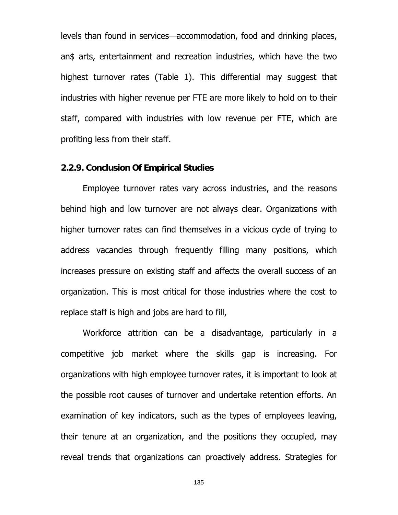levels than found in services—accommodation, food and drinking places, an\$ arts, entertainment and recreation industries, which have the two highest turnover rates (Table 1). This differential may suggest that industries with higher revenue per FTE are more likely to hold on to their staff, compared with industries with low revenue per FTE, which are profiting less from their staff.

### **2.2.9. Conclusion Of Empirical Studies**

Employee turnover rates vary across industries, and the reasons behind high and low turnover are not always clear. Organizations with higher turnover rates can find themselves in a vicious cycle of trying to address vacancies through frequently filling many positions, which increases pressure on existing staff and affects the overall success of an organization. This is most critical for those industries where the cost to replace staff is high and jobs are hard to fill,

Workforce attrition can be a disadvantage, particularly in a competitive job market where the skills gap is increasing. For organizations with high employee turnover rates, it is important to look at the possible root causes of turnover and undertake retention efforts. An examination of key indicators, such as the types of employees leaving, their tenure at an organization, and the positions they occupied, may reveal trends that organizations can proactively address. Strategies for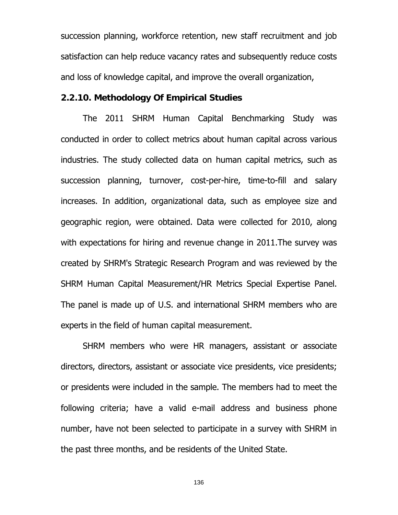succession planning, workforce retention, new staff recruitment and job satisfaction can help reduce vacancy rates and subsequently reduce costs and loss of knowledge capital, and improve the overall organization,

### **2.2.10. Methodology Of Empirical Studies**

The 2011 SHRM Human Capital Benchmarking Study was conducted in order to collect metrics about human capital across various industries. The study collected data on human capital metrics, such as succession planning, turnover, cost-per-hire, time-to-fill and salary increases. In addition, organizational data, such as employee size and geographic region, were obtained. Data were collected for 2010, along with expectations for hiring and revenue change in 2011.The survey was created by SHRM's Strategic Research Program and was reviewed by the SHRM Human Capital Measurement/HR Metrics Special Expertise Panel. The panel is made up of U.S. and international SHRM members who are experts in the field of human capital measurement.

SHRM members who were HR managers, assistant or associate directors, directors, assistant or associate vice presidents, vice presidents; or presidents were included in the sample. The members had to meet the following criteria; have a valid e-mail address and business phone number, have not been selected to participate in a survey with SHRM in the past three months, and be residents of the United State.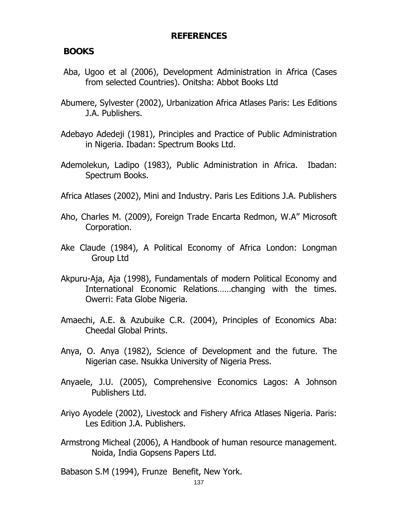# **REFERENCES**

# **BOOKS**

- Aba, Ugoo et al (2006), Development Administration in Africa (Cases from selected Countries). Onitsha: Abbot Books Ltd
- Abumere, Sylvester (2002), Urbanization Africa Atlases Paris: Les Editions J.A. Publishers.
- Adebayo Adedeji (1981), Principles and Practice of Public Administration in Nigeria. Ibadan: Spectrum Books Ltd.
- Ademolekun, Ladipo (1983), Public Administration in Africa. Ibadan: Spectrum Books.
- Africa Atlases (2002), Mini and Industry. Paris Les Editions J.A. Publishers
- Aho, Charles M. (2009), Foreign Trade Encarta Redmon, W.A" Microsoft Corporation.
- Ake Claude (1984), A Political Economy of Africa London: Longman Group Ltd
- Akpuru-Aja, Aja (1998), Fundamentals of modern Political Economy and International Economic Relations……changing with the times. Owerri: Fata Globe Nigeria.
- Amaechi, A.E. & Azubuike C.R. (2004), Principles of Economics Aba: Cheedal Global Prints.
- Anya, O. Anya (1982), Science of Development and the future. The Nigerian case. Nsukka University of Nigeria Press.
- Anyaele, J.U. (2005), Comprehensive Economics Lagos: A Johnson Publishers Ltd.
- Ariyo Ayodele (2002), Livestock and Fishery Africa Atlases Nigeria. Paris: Les Edition J.A. Publishers.
- Armstrong Micheal (2006), A Handbook of human resource management. Noida, India Gopsens Papers Ltd.

Babason S.M (1994), Frunze Benefit, New York.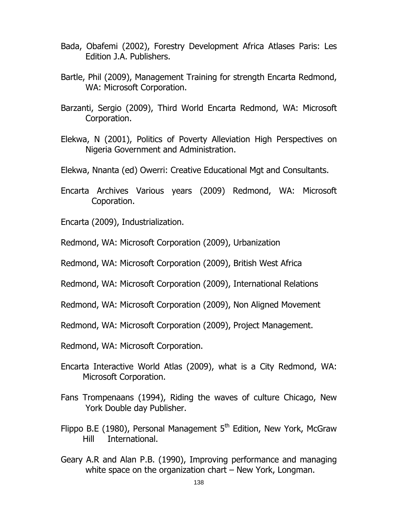- Bada, Obafemi (2002), Forestry Development Africa Atlases Paris: Les Edition J.A. Publishers.
- Bartle, Phil (2009), Management Training for strength Encarta Redmond, WA: Microsoft Corporation.
- Barzanti, Sergio (2009), Third World Encarta Redmond, WA: Microsoft Corporation.
- Elekwa, N (2001), Politics of Poverty Alleviation High Perspectives on Nigeria Government and Administration.
- Elekwa, Nnanta (ed) Owerri: Creative Educational Mgt and Consultants.
- Encarta Archives Various years (2009) Redmond, WA: Microsoft Coporation.
- Encarta (2009), Industrialization.
- Redmond, WA: Microsoft Corporation (2009), Urbanization
- Redmond, WA: Microsoft Corporation (2009), British West Africa
- Redmond, WA: Microsoft Corporation (2009), International Relations
- Redmond, WA: Microsoft Corporation (2009), Non Aligned Movement
- Redmond, WA: Microsoft Corporation (2009), Project Management.
- Redmond, WA: Microsoft Corporation.
- Encarta Interactive World Atlas (2009), what is a City Redmond, WA: Microsoft Corporation.
- Fans Trompenaans (1994), Riding the waves of culture Chicago, New York Double day Publisher.
- Flippo B.E (1980), Personal Management  $5<sup>th</sup>$  Edition, New York, McGraw Hill International.
- Geary A.R and Alan P.B. (1990), Improving performance and managing white space on the organization chart – New York, Longman.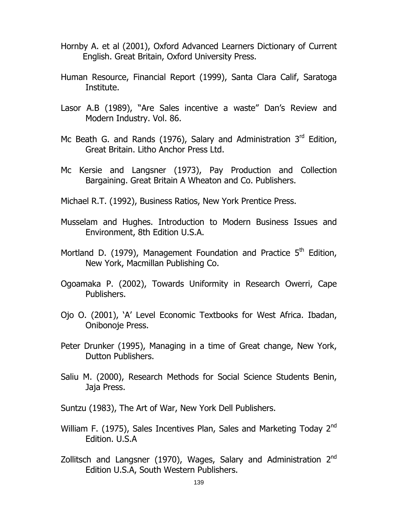- Hornby A. et al (2001), Oxford Advanced Learners Dictionary of Current English. Great Britain, Oxford University Press.
- Human Resource, Financial Report (1999), Santa Clara Calif, Saratoga Institute.
- Lasor A.B (1989), "Are Sales incentive a waste" Dan's Review and Modern Industry. Vol. 86.
- Mc Beath G. and Rands (1976), Salary and Administration  $3<sup>rd</sup>$  Edition, Great Britain. Litho Anchor Press Ltd.
- Mc Kersie and Langsner (1973), Pay Production and Collection Bargaining. Great Britain A Wheaton and Co. Publishers.

Michael R.T. (1992), Business Ratios, New York Prentice Press.

- Musselam and Hughes. Introduction to Modern Business Issues and Environment, 8th Edition U.S.A.
- Mortland D. (1979), Management Foundation and Practice  $5<sup>th</sup>$  Edition, New York, Macmillan Publishing Co.
- Ogoamaka P. (2002), Towards Uniformity in Research Owerri, Cape Publishers.
- Ojo O. (2001), 'A' Level Economic Textbooks for West Africa. Ibadan, Onibonoje Press.
- Peter Drunker (1995), Managing in a time of Great change, New York, Dutton Publishers.
- Saliu M. (2000), Research Methods for Social Science Students Benin, Jaja Press.

Suntzu (1983), The Art of War, New York Dell Publishers.

- William F. (1975), Sales Incentives Plan, Sales and Marketing Today 2<sup>nd</sup> Edition. U.S.A
- Zollitsch and Langsner (1970), Wages, Salary and Administration  $2<sup>nd</sup>$ Edition U.S.A, South Western Publishers.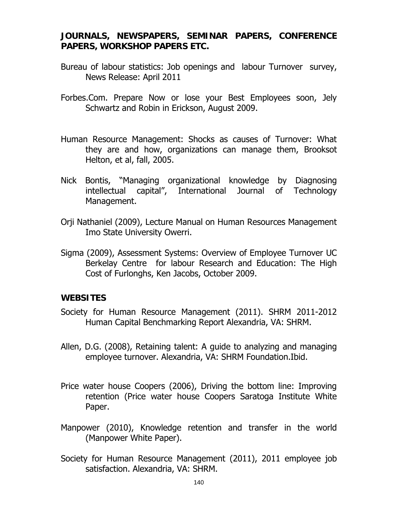## **JOURNALS, NEWSPAPERS, SEMINAR PAPERS, CONFERENCE PAPERS, WORKSHOP PAPERS ETC.**

- Bureau of labour statistics: Job openings and labour Turnover survey, News Release: April 2011
- Forbes.Com. Prepare Now or lose your Best Employees soon, Jely Schwartz and Robin in Erickson, August 2009.
- Human Resource Management: Shocks as causes of Turnover: What they are and how, organizations can manage them, Brooksot Helton, et al, fall, 2005.
- Nick Bontis, "Managing organizational knowledge by Diagnosing intellectual capital", International Journal of Technology Management.
- Orji Nathaniel (2009), Lecture Manual on Human Resources Management Imo State University Owerri.
- Sigma (2009), Assessment Systems: Overview of Employee Turnover UC Berkelay Centre for labour Research and Education: The High Cost of Furlonghs, Ken Jacobs, October 2009.

## **WEBSITES**

- Society for Human Resource Management (2011). SHRM 2011-2012 Human Capital Benchmarking Report Alexandria, VA: SHRM.
- Allen, D.G. (2008), Retaining talent: A guide to analyzing and managing employee turnover. Alexandria, VA: SHRM Foundation.Ibid.
- Price water house Coopers (2006), Driving the bottom line: Improving retention (Price water house Coopers Saratoga Institute White Paper.
- Manpower (2010), Knowledge retention and transfer in the world (Manpower White Paper).
- Society for Human Resource Management (2011), 2011 employee job satisfaction. Alexandria, VA: SHRM.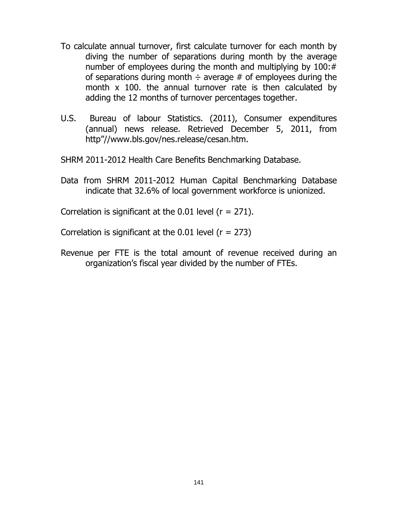- To calculate annual turnover, first calculate turnover for each month by diving the number of separations during month by the average number of employees during the month and multiplying by 100:# of separations during month  $\div$  average # of employees during the month x 100. the annual turnover rate is then calculated by adding the 12 months of turnover percentages together.
- U.S. Bureau of labour Statistics. (2011), Consumer expenditures (annual) news release. Retrieved December 5, 2011, from http"//www.bls.gov/nes.release/cesan.htm.

SHRM 2011-2012 Health Care Benefits Benchmarking Database.

Data from SHRM 2011-2012 Human Capital Benchmarking Database indicate that 32.6% of local government workforce is unionized.

Correlation is significant at the  $0.01$  level ( $r = 271$ ).

Correlation is significant at the  $0.01$  level ( $r = 273$ )

Revenue per FTE is the total amount of revenue received during an organization's fiscal year divided by the number of FTEs.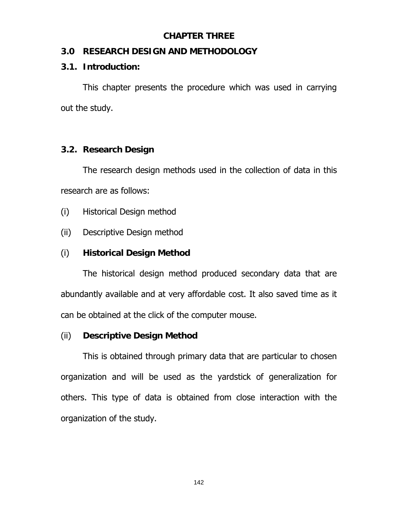## **CHAPTER THREE**

## **3.0 RESEARCH DESIGN AND METHODOLOGY**

## **3.1. Introduction:**

 This chapter presents the procedure which was used in carrying out the study.

# **3.2. Research Design**

 The research design methods used in the collection of data in this research are as follows:

- (i) Historical Design method
- (ii) Descriptive Design method

# (i) **Historical Design Method**

The historical design method produced secondary data that are abundantly available and at very affordable cost. It also saved time as it can be obtained at the click of the computer mouse.

# (ii) **Descriptive Design Method**

This is obtained through primary data that are particular to chosen organization and will be used as the yardstick of generalization for others. This type of data is obtained from close interaction with the organization of the study.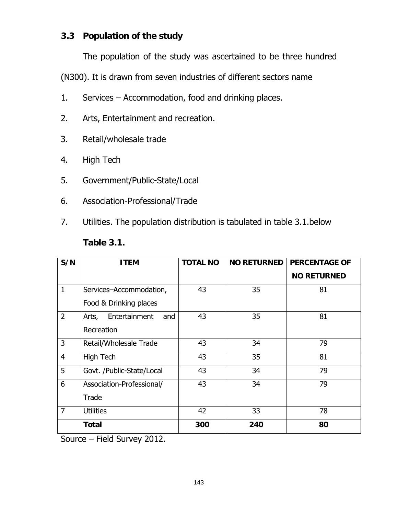# **3.3 Population of the study**

The population of the study was ascertained to be three hundred

(N300). It is drawn from seven industries of different sectors name

- 1. Services Accommodation, food and drinking places.
- 2. Arts, Entertainment and recreation.
- 3. Retail/wholesale trade
- 4. High Tech
- 5. Government/Public-State/Local
- 6. Association-Professional/Trade
- 7. Utilities. The population distribution is tabulated in table 3.1.below

| S/N            | <b>ITEM</b>                   | <b>TOTAL NO</b> | <b>NO RETURNED</b> | <b>PERCENTAGE OF</b> |
|----------------|-------------------------------|-----------------|--------------------|----------------------|
|                |                               |                 |                    | <b>NO RETURNED</b>   |
| $\mathbf{1}$   | Services-Accommodation,       | 43              | 35                 | 81                   |
|                | Food & Drinking places        |                 |                    |                      |
| $\overline{2}$ | Entertainment<br>Arts,<br>and | 43              | 35                 | 81                   |
|                | Recreation                    |                 |                    |                      |
| 3              | Retail/Wholesale Trade        | 43              | 34                 | 79                   |
| $\overline{4}$ | High Tech                     | 43              | 35                 | 81                   |
| 5              | Govt. /Public-State/Local     | 43              | 34                 | 79                   |
| 6              | Association-Professional/     | 43              | 34                 | 79                   |
|                | Trade                         |                 |                    |                      |
| 7              | <b>Utilities</b>              | 42              | 33                 | 78                   |
|                | <b>Total</b>                  | 300             | 240                | 80                   |

## **Table 3.1.**

Source – Field Survey 2012.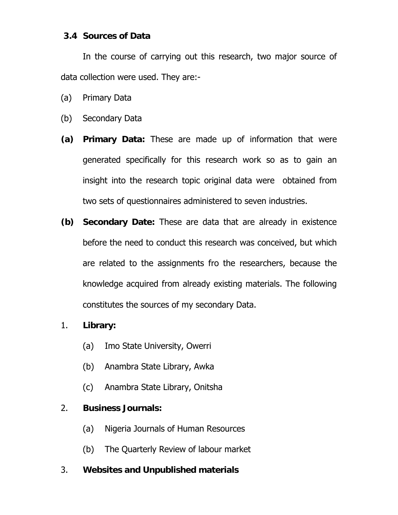## **3.4 Sources of Data**

 In the course of carrying out this research, two major source of data collection were used. They are:-

- (a) Primary Data
- (b) Secondary Data
- **(a) Primary Data:** These are made up of information that were generated specifically for this research work so as to gain an insight into the research topic original data were obtained from two sets of questionnaires administered to seven industries.
- **(b) Secondary Date:** These are data that are already in existence before the need to conduct this research was conceived, but which are related to the assignments fro the researchers, because the knowledge acquired from already existing materials. The following constitutes the sources of my secondary Data.
- 1. **Library:** 
	- (a) Imo State University, Owerri
	- (b) Anambra State Library, Awka
	- (c) Anambra State Library, Onitsha

# 2. **Business Journals:**

- (a) Nigeria Journals of Human Resources
- (b) The Quarterly Review of labour market

# 3. **Websites and Unpublished materials**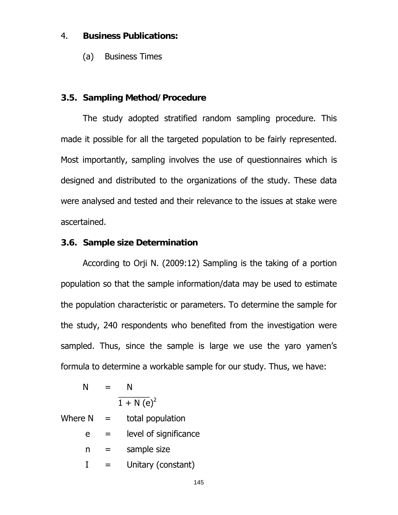#### 4. **Business Publications:**

(a) Business Times

#### **3.5. Sampling Method/Procedure**

 The study adopted stratified random sampling procedure. This made it possible for all the targeted population to be fairly represented. Most importantly, sampling involves the use of questionnaires which is designed and distributed to the organizations of the study. These data were analysed and tested and their relevance to the issues at stake were ascertained.

#### **3.6. Sample size Determination**

 According to Orji N. (2009:12) Sampling is the taking of a portion population so that the sample information/data may be used to estimate the population characteristic or parameters. To determine the sample for the study, 240 respondents who benefited from the investigation were sampled. Thus, since the sample is large we use the yaro yamen's formula to determine a workable sample for our study. Thus, we have:

$$
N = N
$$
  

$$
\frac{N}{1 + N (e)^2}
$$

| =   | total population      |
|-----|-----------------------|
|     | level of significance |
|     | sample size           |
| $=$ | Unitary (constant)    |
|     |                       |

145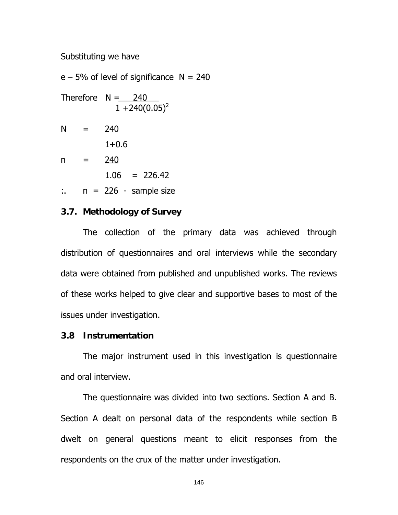Substituting we have

 $e - 5%$  of level of significance  $N = 240$ Therefore  $N = 240$  $1 + 240(0.05)^2$  $N = 240$  $1+0.6$  $n = 240$  $1.06 = 226.42$  $\therefore$  n = 226 - sample size

### **3.7. Methodology of Survey**

 The collection of the primary data was achieved through distribution of questionnaires and oral interviews while the secondary data were obtained from published and unpublished works. The reviews of these works helped to give clear and supportive bases to most of the issues under investigation.

#### **3.8 Instrumentation**

 The major instrument used in this investigation is questionnaire and oral interview.

 The questionnaire was divided into two sections. Section A and B. Section A dealt on personal data of the respondents while section B dwelt on general questions meant to elicit responses from the respondents on the crux of the matter under investigation.

146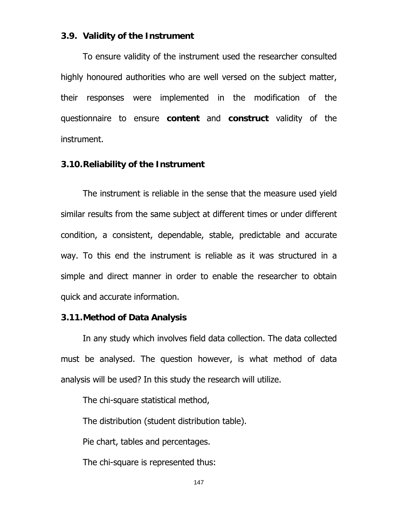#### **3.9. Validity of the Instrument**

 To ensure validity of the instrument used the researcher consulted highly honoured authorities who are well versed on the subject matter, their responses were implemented in the modification of the questionnaire to ensure **content** and **construct** validity of the instrument.

#### **3.10. Reliability of the Instrument**

 The instrument is reliable in the sense that the measure used yield similar results from the same subject at different times or under different condition, a consistent, dependable, stable, predictable and accurate way. To this end the instrument is reliable as it was structured in a simple and direct manner in order to enable the researcher to obtain quick and accurate information.

#### **3.11. Method of Data Analysis**

 In any study which involves field data collection. The data collected must be analysed. The question however, is what method of data analysis will be used? In this study the research will utilize.

The chi-square statistical method,

The distribution (student distribution table).

Pie chart, tables and percentages.

The chi-square is represented thus: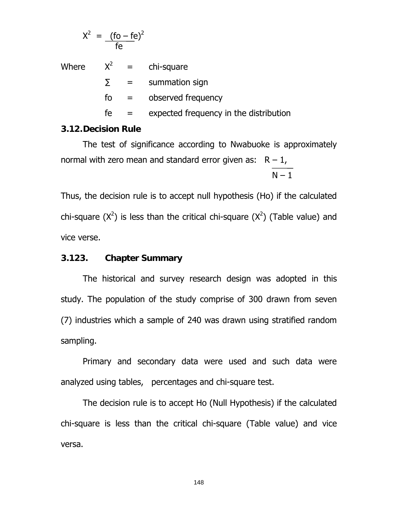$$
X^2 = \frac{(\text{fo} - \text{fe})^2}{\text{fe}}
$$

Where  $X^2$  = chi-square  $\sum$  = summation sign fo = observed frequency  $fe =$  expected frequency in the distribution

### **3.12. Decision Rule**

 The test of significance according to Nwabuoke is approximately normal with zero mean and standard error given as:  $R - 1$ ,

 $N - 1$ 

Thus, the decision rule is to accept null hypothesis (Ho) if the calculated chi-square  $(X^2)$  is less than the critical chi-square  $(X^2)$  (Table value) and vice verse.

### **3.123. Chapter Summary**

 The historical and survey research design was adopted in this study. The population of the study comprise of 300 drawn from seven (7) industries which a sample of 240 was drawn using stratified random sampling.

 Primary and secondary data were used and such data were analyzed using tables, percentages and chi-square test.

 The decision rule is to accept Ho (Null Hypothesis) if the calculated chi-square is less than the critical chi-square (Table value) and vice versa.

148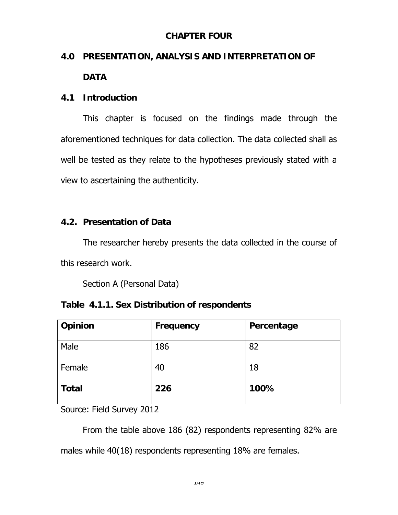# **CHAPTER FOUR**

# **4.0 PRESENTATION, ANALYSIS AND INTERPRETATION OF DATA**

# **4.1 Introduction**

 This chapter is focused on the findings made through the aforementioned techniques for data collection. The data collected shall as well be tested as they relate to the hypotheses previously stated with a view to ascertaining the authenticity.

# **4.2. Presentation of Data**

 The researcher hereby presents the data collected in the course of this research work.

Section A (Personal Data)

| Table 4.1.1. Sex Distribution of respondents |
|----------------------------------------------|
|----------------------------------------------|

| Opinion      | Frequency | Percentage |
|--------------|-----------|------------|
| Male         | 186       | 82         |
| Female       | 40        | 18         |
| <b>Total</b> | 226       | 100%       |

Source: Field Survey 2012

 From the table above 186 (82) respondents representing 82% are males while 40(18) respondents representing 18% are females.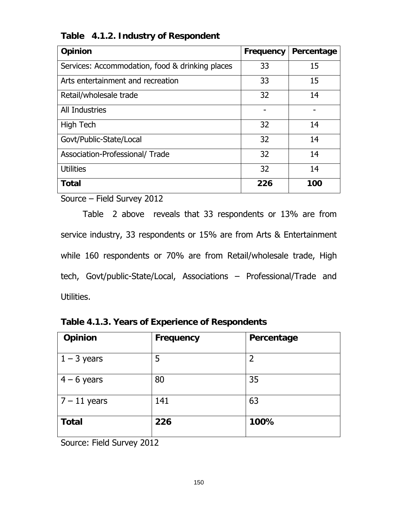| <b>Opinion</b>                                  | Frequency | Percentage |
|-------------------------------------------------|-----------|------------|
| Services: Accommodation, food & drinking places | 33        | 15         |
| Arts entertainment and recreation               | 33        | 15         |
| Retail/wholesale trade                          | 32        | 14         |
| <b>All Industries</b>                           |           |            |
| <b>High Tech</b>                                | 32        | 14         |
| Govt/Public-State/Local                         | 32        | 14         |
| Association-Professional/Trade                  | 32        | 14         |
| <b>Utilities</b>                                | 32        | 14         |
| <b>Total</b>                                    | 226       | 100        |

# **Table 4.1.2. Industry of Respondent**

Source – Field Survey 2012

 Table 2 above reveals that 33 respondents or 13% are from service industry, 33 respondents or 15% are from Arts & Entertainment while 160 respondents or 70% are from Retail/wholesale trade, High tech, Govt/public-State/Local, Associations – Professional/Trade and Utilities.

| Opinion                        | <b>Frequency</b> | Percentage     |
|--------------------------------|------------------|----------------|
| $1 - 3$ years                  | 5                | $\overline{2}$ |
| $4 - 6$ years                  | 80               | 35             |
| $7 - 11$ years                 | 141              | 63             |
| <b>Total</b><br>$C_{\text{a}}$ | 226              | 100%           |

**Table 4.1.3. Years of Experience of Respondents** 

Source: Field Survey 2012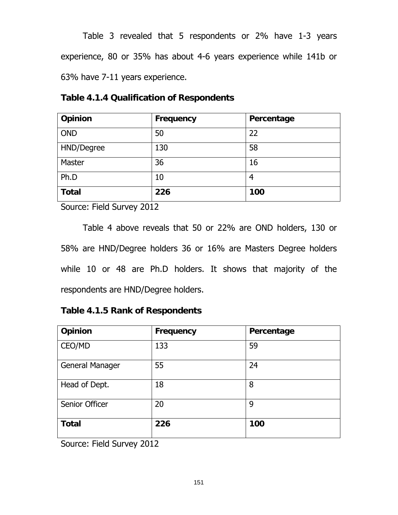Table 3 revealed that 5 respondents or 2% have 1-3 years experience, 80 or 35% has about 4-6 years experience while 141b or 63% have 7-11 years experience.

| <b>Table 4.1.4 Qualification of Respondents</b> |  |
|-------------------------------------------------|--|
|-------------------------------------------------|--|

| Opinion       | Frequency | Percentage |
|---------------|-----------|------------|
| <b>OND</b>    | 50        | 22         |
| HND/Degree    | 130       | 58         |
| <b>Master</b> | 36        | 16         |
| Ph.D          | 10        | 4          |
| <b>Total</b>  | 226       | 100        |

Source: Field Survey 2012

 Table 4 above reveals that 50 or 22% are OND holders, 130 or 58% are HND/Degree holders 36 or 16% are Masters Degree holders while 10 or 48 are Ph.D holders. It shows that majority of the respondents are HND/Degree holders.

# **Table 4.1.5 Rank of Respondents**

| Opinion         | <b>Frequency</b> | Percentage |
|-----------------|------------------|------------|
| CEO/MD          | 133              | 59         |
| General Manager | 55               | 24         |
| Head of Dept.   | 18               | 8          |
| Senior Officer  | 20               | 9          |
| <b>Total</b>    | 226              | 100        |

Source: Field Survey 2012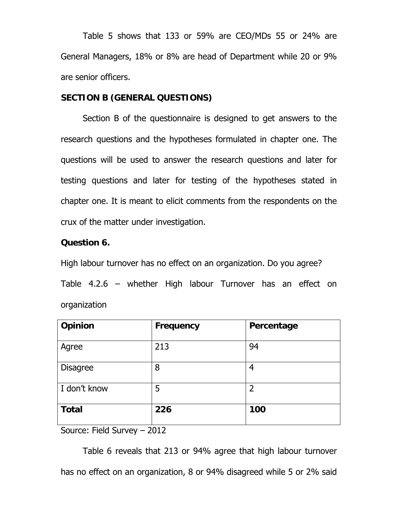Table 5 shows that 133 or 59% are CEO/MDs 55 or 24% are General Managers, 18% or 8% are head of Department while 20 or 9% are senior officers.

### **SECTION B (GENERAL QUESTIONS)**

 Section B of the questionnaire is designed to get answers to the research questions and the hypotheses formulated in chapter one. The questions will be used to answer the research questions and later for testing questions and later for testing of the hypotheses stated in chapter one. It is meant to elicit comments from the respondents on the crux of the matter under investigation.

### **Question 6.**

High labour turnover has no effect on an organization. Do you agree? Table 4.2.6 – whether High labour Turnover has an effect on organization

| Opinion                     | <b>Frequency</b> | Percentage     |
|-----------------------------|------------------|----------------|
| Agree                       | 213              | 94             |
| <b>Disagree</b>             | 8                | 4              |
| I don't know                | 5                | $\overline{2}$ |
| <b>Total</b>                | 226              | 100            |
| Source: Field Survey - 2012 |                  |                |

 Table 6 reveals that 213 or 94% agree that high labour turnover has no effect on an organization, 8 or 94% disagreed while 5 or 2% said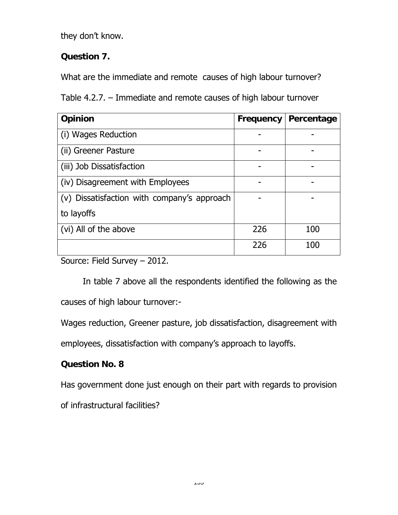they don't know.

# **Question 7.**

What are the immediate and remote causes of high labour turnover?

Table 4.2.7. – Immediate and remote causes of high labour turnover

| Opinion                                     | Frequency | Percentage |
|---------------------------------------------|-----------|------------|
| (i) Wages Reduction                         |           |            |
| (ii) Greener Pasture                        |           |            |
| (iii) Job Dissatisfaction                   |           |            |
| (iv) Disagreement with Employees            |           |            |
| (v) Dissatisfaction with company's approach |           |            |
| to layoffs                                  |           |            |
| (vi) All of the above                       | 226       | 100        |
|                                             | 226       | 100        |

Source: Field Survey – 2012.

 In table 7 above all the respondents identified the following as the causes of high labour turnover:-

Wages reduction, Greener pasture, job dissatisfaction, disagreement with

employees, dissatisfaction with company's approach to layoffs.

# **Question No. 8**

Has government done just enough on their part with regards to provision

of infrastructural facilities?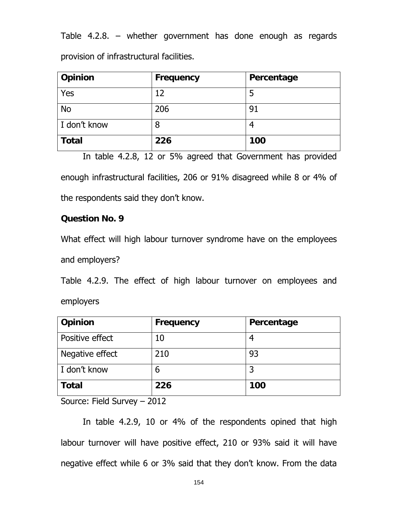Table 4.2.8. – whether government has done enough as regards provision of infrastructural facilities.

| Opinion      | <b>Frequency</b> | Percentage |
|--------------|------------------|------------|
| Yes          | 12               |            |
| <b>No</b>    | 206              | 91         |
| I don't know | 8                |            |
| <b>Total</b> | 226              | 100        |

In table 4.2.8, 12 or 5% agreed that Government has provided enough infrastructural facilities, 206 or 91% disagreed while 8 or 4% of the respondents said they don't know.

# **Question No. 9**

What effect will high labour turnover syndrome have on the employees and employers?

Table 4.2.9. The effect of high labour turnover on employees and employers

| Opinion                                                                   | <b>Frequency</b> | Percentage |
|---------------------------------------------------------------------------|------------------|------------|
| Positive effect                                                           | 10               |            |
| Negative effect                                                           | 210              | 93         |
| I don't know                                                              | 6                |            |
| <b>Total</b>                                                              | 226              | 100        |
| $C_1$ . $C_2$ is $C_1$ in $C_2$ is a set of $C_1$<br>$\sim$ $\sim$ $\sim$ |                  |            |

Source: Field Survey – 2012

 In table 4.2.9, 10 or 4% of the respondents opined that high labour turnover will have positive effect, 210 or 93% said it will have negative effect while 6 or 3% said that they don't know. From the data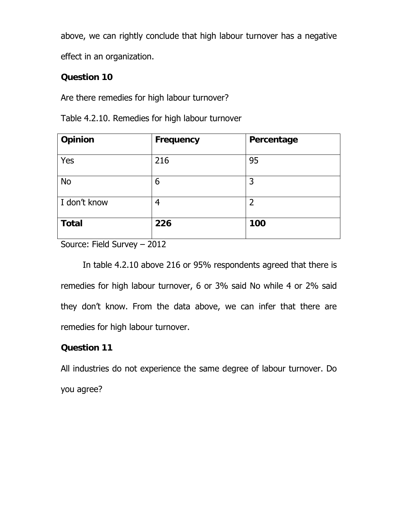above, we can rightly conclude that high labour turnover has a negative

effect in an organization.

# **Question 10**

Are there remedies for high labour turnover?

| Opinion      | <b>Frequency</b> | Percentage     |
|--------------|------------------|----------------|
| Yes          | 216              | 95             |
| <b>No</b>    | 6                | 3              |
| I don't know | 4                | $\overline{2}$ |
| <b>Total</b> | 226              | 100            |

Table 4.2.10. Remedies for high labour turnover

Source: Field Survey – 2012

 In table 4.2.10 above 216 or 95% respondents agreed that there is remedies for high labour turnover, 6 or 3% said No while 4 or 2% said they don't know. From the data above, we can infer that there are remedies for high labour turnover.

# **Question 11**

All industries do not experience the same degree of labour turnover. Do you agree?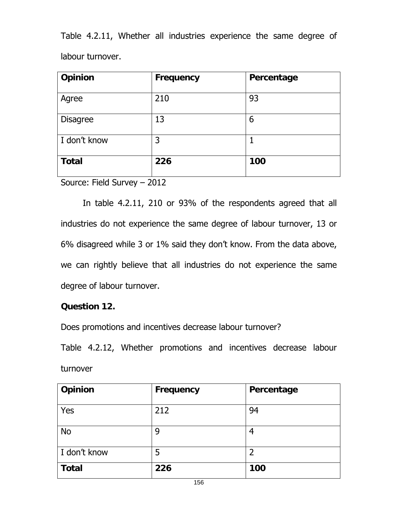Table 4.2.11, Whether all industries experience the same degree of labour turnover.

| Opinion         | <b>Frequency</b> | Percentage |
|-----------------|------------------|------------|
| Agree           | 210              | 93         |
| <b>Disagree</b> | 13               | 6          |
| I don't know    | 3                |            |
| <b>Total</b>    | 226              | 100        |

Source: Field Survey – 2012

 In table 4.2.11, 210 or 93% of the respondents agreed that all industries do not experience the same degree of labour turnover, 13 or 6% disagreed while 3 or 1% said they don't know. From the data above, we can rightly believe that all industries do not experience the same degree of labour turnover.

# **Question 12.**

Does promotions and incentives decrease labour turnover?

Table 4.2.12, Whether promotions and incentives decrease labour turnover

| Opinion      | Frequency | Percentage |
|--------------|-----------|------------|
| Yes          | 212       | 94         |
| <b>No</b>    | 9         | 4          |
| I don't know | 5         | 2          |
| <b>Total</b> | 226       | 100        |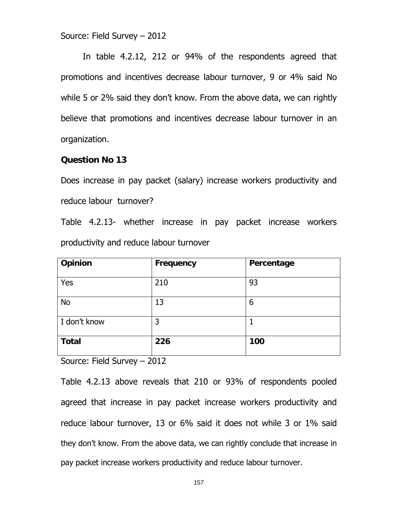Source: Field Survey – 2012

 In table 4.2.12, 212 or 94% of the respondents agreed that promotions and incentives decrease labour turnover, 9 or 4% said No while 5 or 2% said they don't know. From the above data, we can rightly believe that promotions and incentives decrease labour turnover in an organization.

#### **Question No 13**

Does increase in pay packet (salary) increase workers productivity and reduce labour turnover?

Table 4.2.13- whether increase in pay packet increase workers productivity and reduce labour turnover

| Opinion      | Frequency | Percentage |
|--------------|-----------|------------|
| Yes          | 210       | 93         |
| No           | 13        | 6          |
| I don't know | 3         |            |
| <b>Total</b> | 226       | 100        |

Source: Field Survey – 2012

Table 4.2.13 above reveals that 210 or 93% of respondents pooled agreed that increase in pay packet increase workers productivity and reduce labour turnover, 13 or 6% said it does not while 3 or 1% said they don't know. From the above data, we can rightly conclude that increase in pay packet increase workers productivity and reduce labour turnover.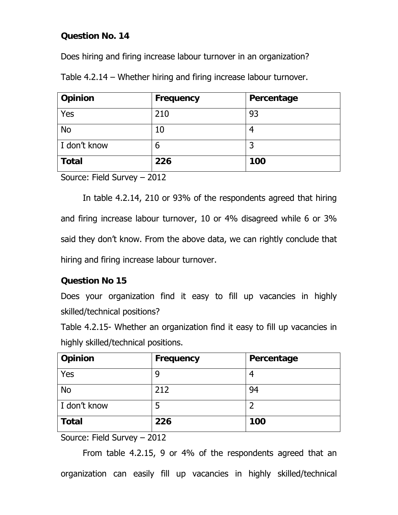# **Question No. 14**

Does hiring and firing increase labour turnover in an organization?

Table 4.2.14 – Whether hiring and firing increase labour turnover.

| Opinion      | <b>Frequency</b> | Percentage |
|--------------|------------------|------------|
| Yes          | 210              | 93         |
| <b>No</b>    | 10               |            |
| I don't know | 6                | 3          |
| <b>Total</b> | 226              | 100        |

Source: Field Survey – 2012

 In table 4.2.14, 210 or 93% of the respondents agreed that hiring and firing increase labour turnover, 10 or 4% disagreed while 6 or 3% said they don't know. From the above data, we can rightly conclude that hiring and firing increase labour turnover.

# **Question No 15**

Does your organization find it easy to fill up vacancies in highly skilled/technical positions?

Table 4.2.15- Whether an organization find it easy to fill up vacancies in highly skilled/technical positions.

| Opinion      | Frequency | Percentage |
|--------------|-----------|------------|
| Yes          | 9         |            |
| <b>No</b>    | 212       | 94         |
| I don't know | 5         | ∍          |
| <b>Total</b> | 226       | 100        |

Source: Field Survey – 2012

From table 4.2.15, 9 or 4% of the respondents agreed that an organization can easily fill up vacancies in highly skilled/technical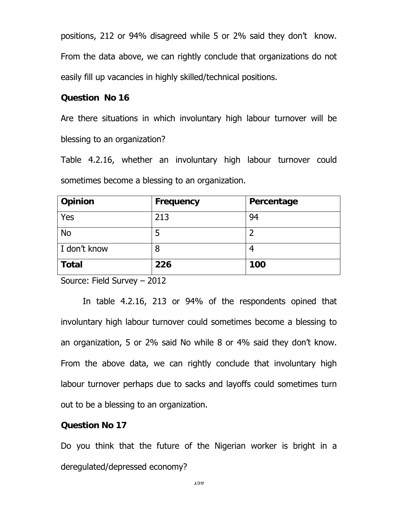positions, 212 or 94% disagreed while 5 or 2% said they don't know. From the data above, we can rightly conclude that organizations do not easily fill up vacancies in highly skilled/technical positions.

### **Question No 16**

Are there situations in which involuntary high labour turnover will be blessing to an organization?

Table 4.2.16, whether an involuntary high labour turnover could sometimes become a blessing to an organization.

| Opinion      | Frequency | Percentage |
|--------------|-----------|------------|
| Yes          | 213       | 94         |
| <b>No</b>    | 5         | ר          |
| I don't know | 8         |            |
| <b>Total</b> | 226       | 100        |

Source: Field Survey – 2012

In table 4.2.16, 213 or 94% of the respondents opined that involuntary high labour turnover could sometimes become a blessing to an organization, 5 or 2% said No while 8 or 4% said they don't know. From the above data, we can rightly conclude that involuntary high labour turnover perhaps due to sacks and layoffs could sometimes turn out to be a blessing to an organization.

#### **Question No 17**

Do you think that the future of the Nigerian worker is bright in a deregulated/depressed economy?

159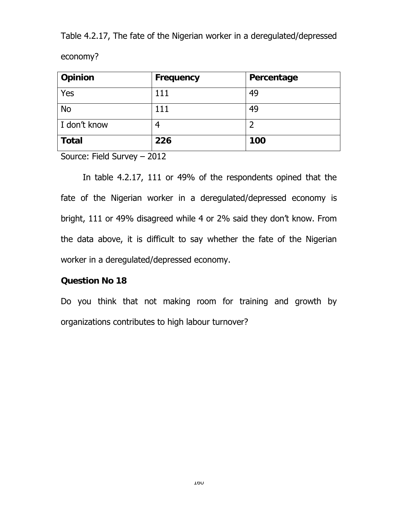Table 4.2.17, The fate of the Nigerian worker in a deregulated/depressed economy?

| Opinion                                                            | Frequency | Percentage |  |
|--------------------------------------------------------------------|-----------|------------|--|
| Yes                                                                | 111       | 49         |  |
| <b>No</b>                                                          | 111       | 49         |  |
| I don't know                                                       | 4         |            |  |
| <b>Total</b>                                                       | 226       | 100        |  |
| $\alpha$ . The set of $\alpha$ is the set of $\alpha$<br>$\bigcap$ |           |            |  |

Source: Field Survey – 2012

 In table 4.2.17, 111 or 49% of the respondents opined that the fate of the Nigerian worker in a deregulated/depressed economy is bright, 111 or 49% disagreed while 4 or 2% said they don't know. From the data above, it is difficult to say whether the fate of the Nigerian worker in a deregulated/depressed economy.

### **Question No 18**

Do you think that not making room for training and growth by organizations contributes to high labour turnover?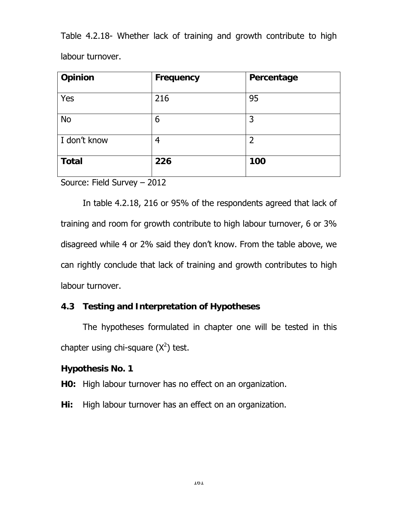Table 4.2.18- Whether lack of training and growth contribute to high labour turnover.

| Opinion      | Frequency | Percentage     |
|--------------|-----------|----------------|
| Yes          | 216       | 95             |
| <b>No</b>    | 6         | 3              |
| I don't know | 4         | $\overline{2}$ |
| <b>Total</b> | 226       | 100            |

Source: Field Survey – 2012

 In table 4.2.18, 216 or 95% of the respondents agreed that lack of training and room for growth contribute to high labour turnover, 6 or 3% disagreed while 4 or 2% said they don't know. From the table above, we can rightly conclude that lack of training and growth contributes to high labour turnover.

# **4.3 Testing and Interpretation of Hypotheses**

 The hypotheses formulated in chapter one will be tested in this chapter using chi-square  $(X^2)$  test.

# **Hypothesis No. 1**

**H0:** High labour turnover has no effect on an organization.

**Hi:** High labour turnover has an effect on an organization.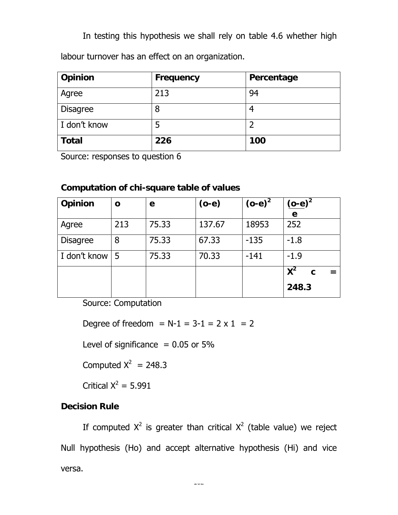In testing this hypothesis we shall rely on table 4.6 whether high

labour turnover has an effect on an organization.

| Opinion         | <b>Frequency</b> | Percentage |
|-----------------|------------------|------------|
| Agree           | 213              | 94         |
| <b>Disagree</b> | 8                |            |
| I don't know    | 5                |            |
| <b>Total</b>    | 226              | 100        |

Source: responses to question 6

# **Computation of chi-square table of values**

| Opinion         | O   | e     | $(o-e)$ | $(o-e)^2$ | $(o-e)^2$  |
|-----------------|-----|-------|---------|-----------|------------|
|                 |     |       |         |           | e          |
| Agree           | 213 | 75.33 | 137.67  | 18953     | 252        |
| <b>Disagree</b> | 8   | 75.33 | 67.33   | $-135$    | $-1.8$     |
| I don't know    | -5  | 75.33 | 70.33   | $-141$    | $-1.9$     |
|                 |     |       |         |           | $X^2$<br>C |
|                 |     |       |         |           | 248.3      |

Source: Computation

Degree of freedom =  $N-1 = 3-1 = 2 \times 1 = 2$ 

Level of significance  $= 0.05$  or 5%

Computed  $X^2 = 248.3$ 

Critical  $X^2 = 5.991$ 

# **Decision Rule**

If computed  $X^2$  is greater than critical  $X^2$  (table value) we reject Null hypothesis (Ho) and accept alternative hypothesis (Hi) and vice versa.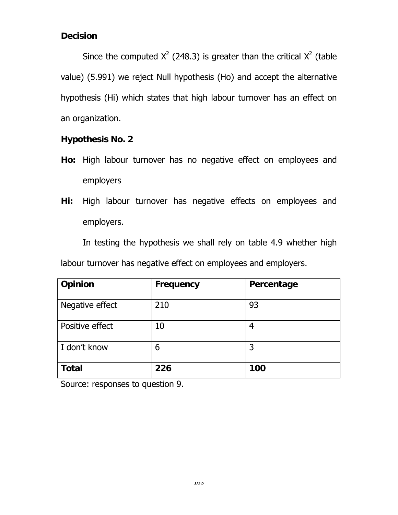# **Decision**

Since the computed  $X^2$  (248.3) is greater than the critical  $X^2$  (table value) (5.991) we reject Null hypothesis (Ho) and accept the alternative hypothesis (Hi) which states that high labour turnover has an effect on an organization.

# **Hypothesis No. 2**

- **Ho:** High labour turnover has no negative effect on employees and employers
- **Hi:** High labour turnover has negative effects on employees and employers.

In testing the hypothesis we shall rely on table 4.9 whether high labour turnover has negative effect on employees and employers.

| Opinion         | Frequency | Percentage |
|-----------------|-----------|------------|
| Negative effect | 210       | 93         |
| Positive effect | 10        | 4          |
| I don't know    | 6         | 3          |
| <b>Total</b>    | 226       | 100        |

Source: responses to question 9.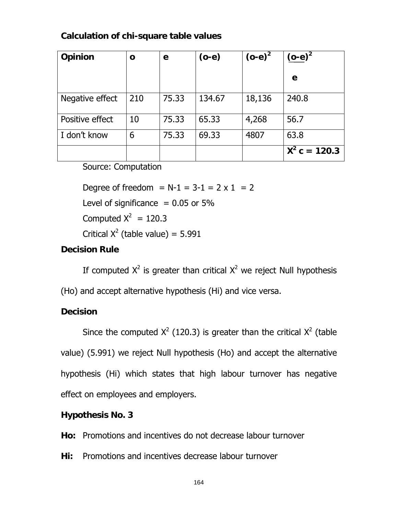# **Calculation of chi-square table values**

| Opinion         | O   | е     | $(o-e)$ | $(o-e)^2$ | $(o-e)^2$       |
|-----------------|-----|-------|---------|-----------|-----------------|
|                 |     |       |         |           | e               |
| Negative effect | 210 | 75.33 | 134.67  | 18,136    | 240.8           |
| Positive effect | 10  | 75.33 | 65.33   | 4,268     | 56.7            |
| I don't know    | 6   | 75.33 | 69.33   | 4807      | 63.8            |
|                 |     |       |         |           | $X^2$ c = 120.3 |

Source: Computation

Degree of freedom =  $N-1 = 3-1 = 2 \times 1 = 2$ 

Level of significance  $= 0.05$  or 5%

Computed  $X^2 = 120.3$ 

Critical  $X^2$  (table value) = 5.991

# **Decision Rule**

If computed  $X^2$  is greater than critical  $X^2$  we reject Null hypothesis

(Ho) and accept alternative hypothesis (Hi) and vice versa.

# **Decision**

Since the computed  $X^2$  (120.3) is greater than the critical  $X^2$  (table value) (5.991) we reject Null hypothesis (Ho) and accept the alternative hypothesis (Hi) which states that high labour turnover has negative effect on employees and employers.

# **Hypothesis No. 3**

**Ho:** Promotions and incentives do not decrease labour turnover

**Hi:** Promotions and incentives decrease labour turnover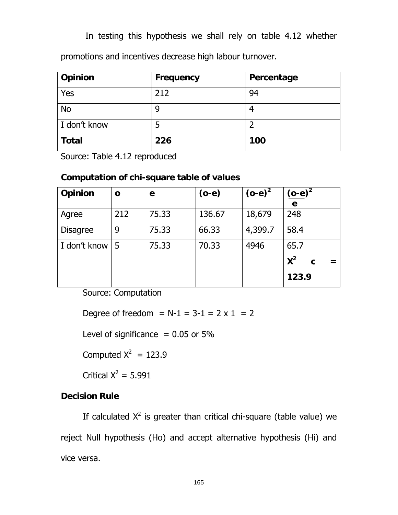In testing this hypothesis we shall rely on table 4.12 whether

promotions and incentives decrease high labour turnover.

| <b>Opinion</b> | <b>Frequency</b> | Percentage |
|----------------|------------------|------------|
| Yes            | 212              | 94         |
| <b>No</b>      | 9                |            |
| I don't know   | 5                |            |
| <b>Total</b>   | 226              | 100        |

Source: Table 4.12 reproduced

# **Computation of chi-square table of values**

| Opinion         | $\mathbf{o}$ | e     | $(o-e)$ | $(o-e)^2$ | $(o-e)^2$   |
|-----------------|--------------|-------|---------|-----------|-------------|
|                 |              |       |         |           | e           |
| Agree           | 212          | 75.33 | 136.67  | 18,679    | 248         |
| <b>Disagree</b> | 9            | 75.33 | 66.33   | 4,399.7   | 58.4        |
| I don't know    | 5            | 75.33 | 70.33   | 4946      | 65.7        |
|                 |              |       |         |           | $X^2$<br>C. |
|                 |              |       |         |           | 123.9       |

Source: Computation

Degree of freedom =  $N-1 = 3-1 = 2 \times 1 = 2$ 

Level of significance  $= 0.05$  or 5%

Computed  $X^2 = 123.9$ 

Critical  $X^2 = 5.991$ 

# **Decision Rule**

If calculated  $X^2$  is greater than critical chi-square (table value) we reject Null hypothesis (Ho) and accept alternative hypothesis (Hi) and vice versa.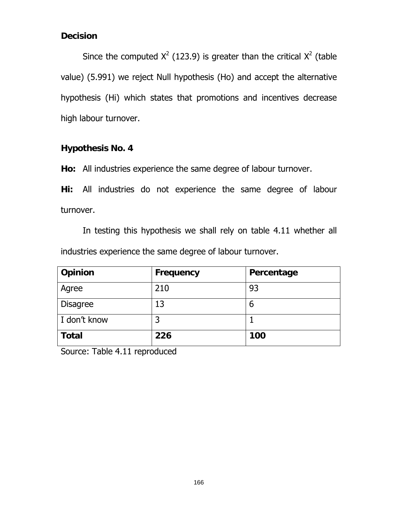# **Decision**

Since the computed  $X^2$  (123.9) is greater than the critical  $X^2$  (table value) (5.991) we reject Null hypothesis (Ho) and accept the alternative hypothesis (Hi) which states that promotions and incentives decrease high labour turnover.

# **Hypothesis No. 4**

**Ho:** All industries experience the same degree of labour turnover.

**Hi:** All industries do not experience the same degree of labour turnover.

In testing this hypothesis we shall rely on table 4.11 whether all industries experience the same degree of labour turnover.

| Opinion         | Frequency | Percentage |
|-----------------|-----------|------------|
| Agree           | 210       | 93         |
| <b>Disagree</b> | 13        | b          |
| I don't know    | 3         |            |
| <b>Total</b>    | 226       | 100        |

Source: Table 4.11 reproduced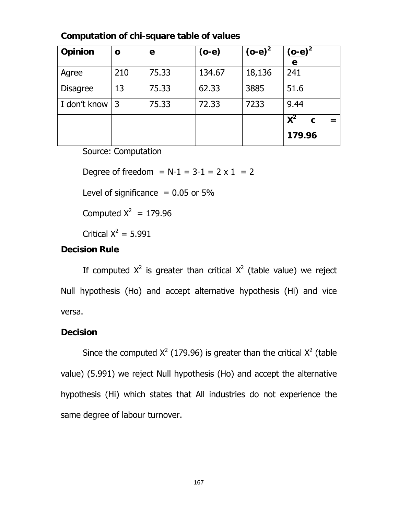| Opinion         | $\mathbf{o}$ | e     | $(o-e)$ | $(o-e)^2$ | $(o-e)^2$   |
|-----------------|--------------|-------|---------|-----------|-------------|
|                 |              |       |         |           | e           |
| Agree           | 210          | 75.33 | 134.67  | 18,136    | 241         |
| <b>Disagree</b> | 13           | 75.33 | 62.33   | 3885      | 51.6        |
| I don't know    | 3            | 75.33 | 72.33   | 7233      | 9.44        |
|                 |              |       |         |           | $X^2$<br>C. |
|                 |              |       |         |           | 179.96      |

**Computation of chi-square table of values** 

Source: Computation

Degree of freedom =  $N-1 = 3-1 = 2 \times 1 = 2$ 

Level of significance  $= 0.05$  or 5%

Computed  $X^2 = 179.96$ 

Critical  $X^2 = 5.991$ 

# **Decision Rule**

If computed  $X^2$  is greater than critical  $X^2$  (table value) we reject Null hypothesis (Ho) and accept alternative hypothesis (Hi) and vice versa.

### **Decision**

Since the computed  $X^2$  (179.96) is greater than the critical  $X^2$  (table value) (5.991) we reject Null hypothesis (Ho) and accept the alternative hypothesis (Hi) which states that All industries do not experience the same degree of labour turnover.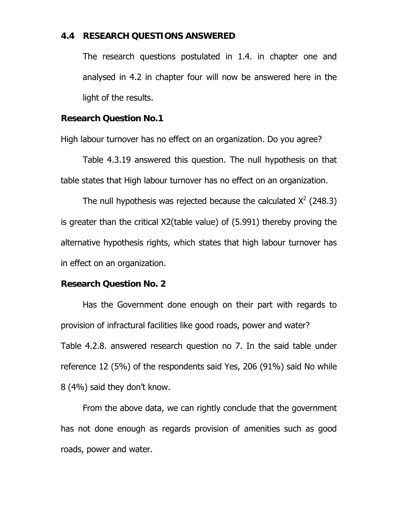#### **4.4 RESEARCH QUESTIONS ANSWERED**

The research questions postulated in 1.4. in chapter one and analysed in 4.2 in chapter four will now be answered here in the light of the results.

#### **Research Question No.1**

High labour turnover has no effect on an organization. Do you agree?

Table 4.3.19 answered this question. The null hypothesis on that table states that High labour turnover has no effect on an organization.

The null hypothesis was rejected because the calculated  $X^2$  (248.3) is greater than the critical X2(table value) of (5.991) thereby proving the alternative hypothesis rights, which states that high labour turnover has in effect on an organization.

#### **Research Question No. 2**

 Has the Government done enough on their part with regards to provision of infractural facilities like good roads, power and water? Table 4.2.8. answered research question no 7. In the said table under reference 12 (5%) of the respondents said Yes, 206 (91%) said No while 8 (4%) said they don't know.

 From the above data, we can rightly conclude that the government has not done enough as regards provision of amenities such as good roads, power and water.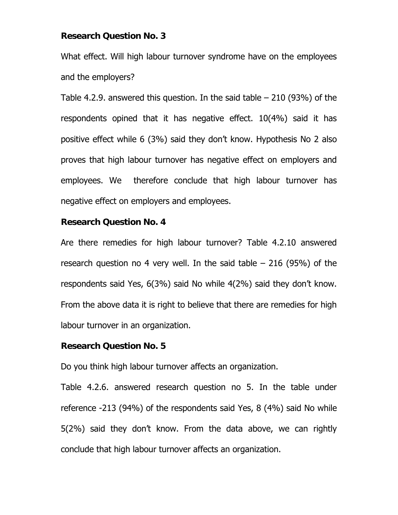#### **Research Question No. 3**

What effect. Will high labour turnover syndrome have on the employees and the employers?

Table 4.2.9. answered this question. In the said table – 210 (93%) of the respondents opined that it has negative effect. 10(4%) said it has positive effect while 6 (3%) said they don't know. Hypothesis No 2 also proves that high labour turnover has negative effect on employers and employees. We therefore conclude that high labour turnover has negative effect on employers and employees.

#### **Research Question No. 4**

Are there remedies for high labour turnover? Table 4.2.10 answered research question no 4 very well. In the said table – 216 (95%) of the respondents said Yes, 6(3%) said No while 4(2%) said they don't know. From the above data it is right to believe that there are remedies for high labour turnover in an organization.

#### **Research Question No. 5**

Do you think high labour turnover affects an organization.

Table 4.2.6. answered research question no 5. In the table under reference -213 (94%) of the respondents said Yes, 8 (4%) said No while 5(2%) said they don't know. From the data above, we can rightly conclude that high labour turnover affects an organization.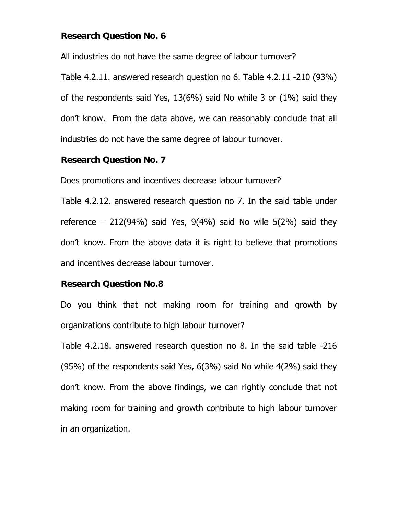### **Research Question No. 6**

All industries do not have the same degree of labour turnover?

Table 4.2.11. answered research question no 6. Table 4.2.11 -210 (93%) of the respondents said Yes, 13(6%) said No while 3 or (1%) said they don't know. From the data above, we can reasonably conclude that all industries do not have the same degree of labour turnover.

#### **Research Question No. 7**

Does promotions and incentives decrease labour turnover?

Table 4.2.12. answered research question no 7. In the said table under reference – 212(94%) said Yes,  $9(4\%)$  said No wile  $5(2\%)$  said they don't know. From the above data it is right to believe that promotions and incentives decrease labour turnover.

#### **Research Question No.8**

Do you think that not making room for training and growth by organizations contribute to high labour turnover?

Table 4.2.18. answered research question no 8. In the said table -216 (95%) of the respondents said Yes, 6(3%) said No while 4(2%) said they don't know. From the above findings, we can rightly conclude that not making room for training and growth contribute to high labour turnover in an organization.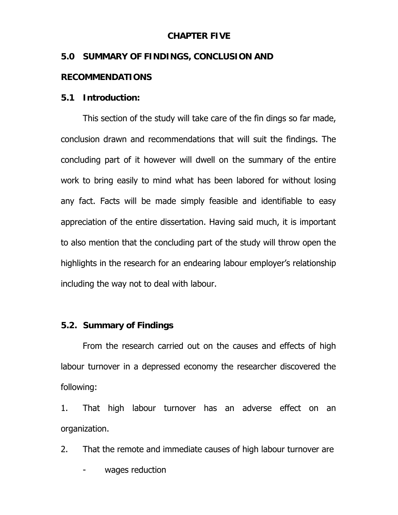### **CHAPTER FIVE**

# **5.0 SUMMARY OF FINDINGS, CONCLUSION AND**

### **RECOMMENDATIONS**

### **5.1 Introduction:**

 This section of the study will take care of the fin dings so far made, conclusion drawn and recommendations that will suit the findings. The concluding part of it however will dwell on the summary of the entire work to bring easily to mind what has been labored for without losing any fact. Facts will be made simply feasible and identifiable to easy appreciation of the entire dissertation. Having said much, it is important to also mention that the concluding part of the study will throw open the highlights in the research for an endearing labour employer's relationship including the way not to deal with labour.

#### **5.2. Summary of Findings**

 From the research carried out on the causes and effects of high labour turnover in a depressed economy the researcher discovered the following:

1. That high labour turnover has an adverse effect on an organization.

2. That the remote and immediate causes of high labour turnover are

wages reduction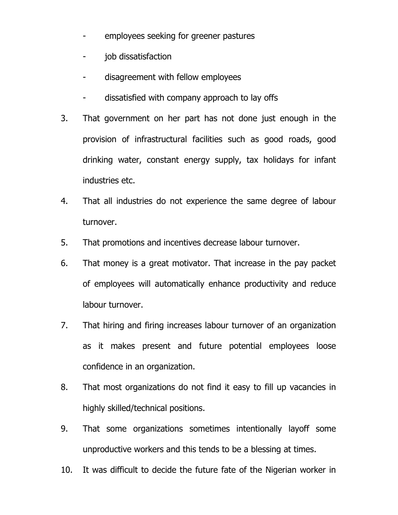- employees seeking for greener pastures
- job dissatisfaction
- disagreement with fellow employees
- dissatisfied with company approach to lay offs
- 3. That government on her part has not done just enough in the provision of infrastructural facilities such as good roads, good drinking water, constant energy supply, tax holidays for infant industries etc.
- 4. That all industries do not experience the same degree of labour turnover.
- 5. That promotions and incentives decrease labour turnover.
- 6. That money is a great motivator. That increase in the pay packet of employees will automatically enhance productivity and reduce labour turnover.
- 7. That hiring and firing increases labour turnover of an organization as it makes present and future potential employees loose confidence in an organization.
- 8. That most organizations do not find it easy to fill up vacancies in highly skilled/technical positions.
- 9. That some organizations sometimes intentionally layoff some unproductive workers and this tends to be a blessing at times.
- 10. It was difficult to decide the future fate of the Nigerian worker in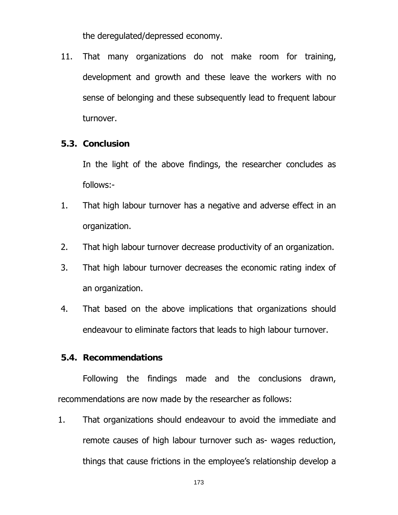the deregulated/depressed economy.

11. That many organizations do not make room for training, development and growth and these leave the workers with no sense of belonging and these subsequently lead to frequent labour turnover.

### **5.3. Conclusion**

 In the light of the above findings, the researcher concludes as follows:-

- 1. That high labour turnover has a negative and adverse effect in an organization.
- 2. That high labour turnover decrease productivity of an organization.
- 3. That high labour turnover decreases the economic rating index of an organization.
- 4. That based on the above implications that organizations should endeavour to eliminate factors that leads to high labour turnover.

#### **5.4. Recommendations**

 Following the findings made and the conclusions drawn, recommendations are now made by the researcher as follows:

1. That organizations should endeavour to avoid the immediate and remote causes of high labour turnover such as- wages reduction, things that cause frictions in the employee's relationship develop a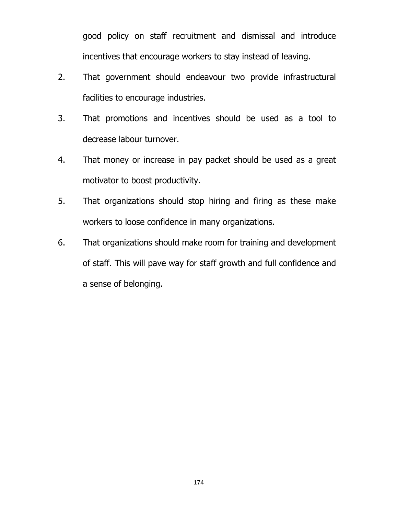good policy on staff recruitment and dismissal and introduce incentives that encourage workers to stay instead of leaving.

- 2. That government should endeavour two provide infrastructural facilities to encourage industries.
- 3. That promotions and incentives should be used as a tool to decrease labour turnover.
- 4. That money or increase in pay packet should be used as a great motivator to boost productivity.
- 5. That organizations should stop hiring and firing as these make workers to loose confidence in many organizations.
- 6. That organizations should make room for training and development of staff. This will pave way for staff growth and full confidence and a sense of belonging.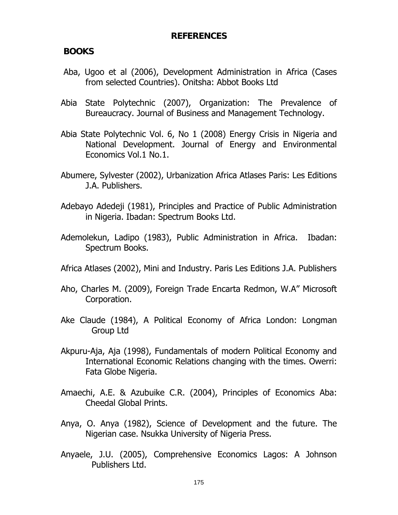### **REFERENCES**

### **BOOKS**

- Aba, Ugoo et al (2006), Development Administration in Africa (Cases from selected Countries). Onitsha: Abbot Books Ltd
- Abia State Polytechnic (2007), Organization: The Prevalence of Bureaucracy. Journal of Business and Management Technology.
- Abia State Polytechnic Vol. 6, No 1 (2008) Energy Crisis in Nigeria and National Development. Journal of Energy and Environmental Economics Vol.1 No.1.
- Abumere, Sylvester (2002), Urbanization Africa Atlases Paris: Les Editions J.A. Publishers.
- Adebayo Adedeji (1981), Principles and Practice of Public Administration in Nigeria. Ibadan: Spectrum Books Ltd.
- Ademolekun, Ladipo (1983), Public Administration in Africa. Ibadan: Spectrum Books.
- Africa Atlases (2002), Mini and Industry. Paris Les Editions J.A. Publishers
- Aho, Charles M. (2009), Foreign Trade Encarta Redmon, W.A" Microsoft Corporation.
- Ake Claude (1984), A Political Economy of Africa London: Longman Group Ltd
- Akpuru-Aja, Aja (1998), Fundamentals of modern Political Economy and International Economic Relations changing with the times. Owerri: Fata Globe Nigeria.
- Amaechi, A.E. & Azubuike C.R. (2004), Principles of Economics Aba: Cheedal Global Prints.
- Anya, O. Anya (1982), Science of Development and the future. The Nigerian case. Nsukka University of Nigeria Press.
- Anyaele, J.U. (2005), Comprehensive Economics Lagos: A Johnson Publishers Ltd.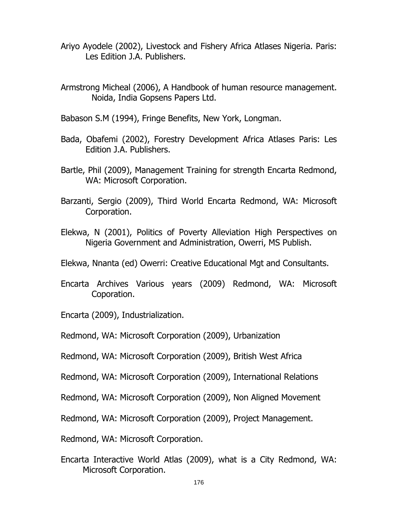- Ariyo Ayodele (2002), Livestock and Fishery Africa Atlases Nigeria. Paris: Les Edition J.A. Publishers.
- Armstrong Micheal (2006), A Handbook of human resource management. Noida, India Gopsens Papers Ltd.
- Babason S.M (1994), Fringe Benefits, New York, Longman.
- Bada, Obafemi (2002), Forestry Development Africa Atlases Paris: Les Edition J.A. Publishers.
- Bartle, Phil (2009), Management Training for strength Encarta Redmond, WA: Microsoft Corporation.
- Barzanti, Sergio (2009), Third World Encarta Redmond, WA: Microsoft Corporation.
- Elekwa, N (2001), Politics of Poverty Alleviation High Perspectives on Nigeria Government and Administration, Owerri, MS Publish.
- Elekwa, Nnanta (ed) Owerri: Creative Educational Mgt and Consultants.
- Encarta Archives Various years (2009) Redmond, WA: Microsoft Coporation.
- Encarta (2009), Industrialization.
- Redmond, WA: Microsoft Corporation (2009), Urbanization
- Redmond, WA: Microsoft Corporation (2009), British West Africa
- Redmond, WA: Microsoft Corporation (2009), International Relations
- Redmond, WA: Microsoft Corporation (2009), Non Aligned Movement
- Redmond, WA: Microsoft Corporation (2009), Project Management.
- Redmond, WA: Microsoft Corporation.
- Encarta Interactive World Atlas (2009), what is a City Redmond, WA: Microsoft Corporation.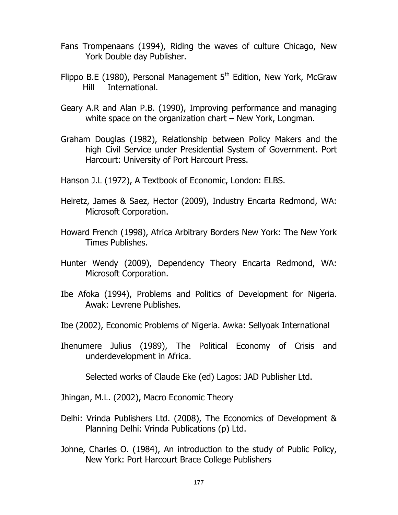- Fans Trompenaans (1994), Riding the waves of culture Chicago, New York Double day Publisher.
- Flippo B.E (1980), Personal Management  $5<sup>th</sup>$  Edition, New York, McGraw Hill International.
- Geary A.R and Alan P.B. (1990), Improving performance and managing white space on the organization chart – New York, Longman.
- Graham Douglas (1982), Relationship between Policy Makers and the high Civil Service under Presidential System of Government. Port Harcourt: University of Port Harcourt Press.

Hanson J.L (1972), A Textbook of Economic, London: ELBS.

- Heiretz, James & Saez, Hector (2009), Industry Encarta Redmond, WA: Microsoft Corporation.
- Howard French (1998), Africa Arbitrary Borders New York: The New York Times Publishes.
- Hunter Wendy (2009), Dependency Theory Encarta Redmond, WA: Microsoft Corporation.
- Ibe Afoka (1994), Problems and Politics of Development for Nigeria. Awak: Levrene Publishes.
- Ibe (2002), Economic Problems of Nigeria. Awka: Sellyoak International
- Ihenumere Julius (1989), The Political Economy of Crisis and underdevelopment in Africa.

Selected works of Claude Eke (ed) Lagos: JAD Publisher Ltd.

Jhingan, M.L. (2002), Macro Economic Theory

- Delhi: Vrinda Publishers Ltd. (2008), The Economics of Development & Planning Delhi: Vrinda Publications (p) Ltd.
- Johne, Charles O. (1984), An introduction to the study of Public Policy, New York: Port Harcourt Brace College Publishers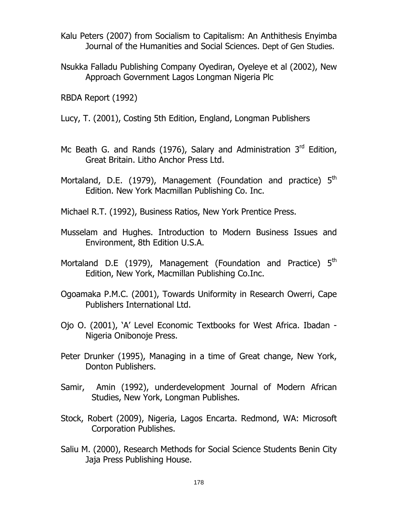- Kalu Peters (2007) from Socialism to Capitalism: An Anthithesis Enyimba Journal of the Humanities and Social Sciences. Dept of Gen Studies.
- Nsukka Falladu Publishing Company Oyediran, Oyeleye et al (2002), New Approach Government Lagos Longman Nigeria Plc

RBDA Report (1992)

- Lucy, T. (2001), Costing 5th Edition, England, Longman Publishers
- Mc Beath G. and Rands (1976), Salary and Administration  $3<sup>rd</sup>$  Edition, Great Britain. Litho Anchor Press Ltd.
- Mortaland, D.E. (1979), Management (Foundation and practice) 5<sup>th</sup> Edition. New York Macmillan Publishing Co. Inc.
- Michael R.T. (1992), Business Ratios, New York Prentice Press.
- Musselam and Hughes. Introduction to Modern Business Issues and Environment, 8th Edition U.S.A.
- Mortaland D.E (1979), Management (Foundation and Practice) 5<sup>th</sup> Edition, New York, Macmillan Publishing Co.Inc.
- Ogoamaka P.M.C. (2001), Towards Uniformity in Research Owerri, Cape Publishers International Ltd.
- Ojo O. (2001), 'A' Level Economic Textbooks for West Africa. Ibadan Nigeria Onibonoje Press.
- Peter Drunker (1995), Managing in a time of Great change, New York, Donton Publishers.
- Samir, Amin (1992), underdevelopment Journal of Modern African Studies, New York, Longman Publishes.
- Stock, Robert (2009), Nigeria, Lagos Encarta. Redmond, WA: Microsoft Corporation Publishes.
- Saliu M. (2000), Research Methods for Social Science Students Benin City Jaja Press Publishing House.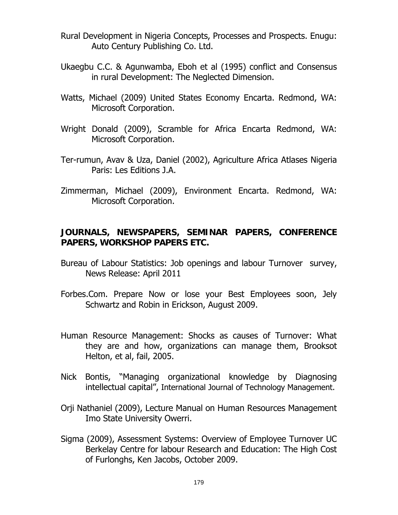- Rural Development in Nigeria Concepts, Processes and Prospects. Enugu: Auto Century Publishing Co. Ltd.
- Ukaegbu C.C. & Agunwamba, Eboh et al (1995) conflict and Consensus in rural Development: The Neglected Dimension.
- Watts, Michael (2009) United States Economy Encarta. Redmond, WA: Microsoft Corporation.
- Wright Donald (2009), Scramble for Africa Encarta Redmond, WA: Microsoft Corporation.
- Ter-rumun, Avav & Uza, Daniel (2002), Agriculture Africa Atlases Nigeria Paris: Les Editions J.A.
- Zimmerman, Michael (2009), Environment Encarta. Redmond, WA: Microsoft Corporation.

# **JOURNALS, NEWSPAPERS, SEMINAR PAPERS, CONFERENCE PAPERS, WORKSHOP PAPERS ETC.**

- Bureau of Labour Statistics: Job openings and labour Turnover survey, News Release: April 2011
- Forbes.Com. Prepare Now or lose your Best Employees soon, Jely Schwartz and Robin in Erickson, August 2009.
- Human Resource Management: Shocks as causes of Turnover: What they are and how, organizations can manage them, Brooksot Helton, et al, fail, 2005.
- Nick Bontis, "Managing organizational knowledge by Diagnosing intellectual capital", International Journal of Technology Management.
- Orji Nathaniel (2009), Lecture Manual on Human Resources Management Imo State University Owerri.
- Sigma (2009), Assessment Systems: Overview of Employee Turnover UC Berkelay Centre for labour Research and Education: The High Cost of Furlonghs, Ken Jacobs, October 2009.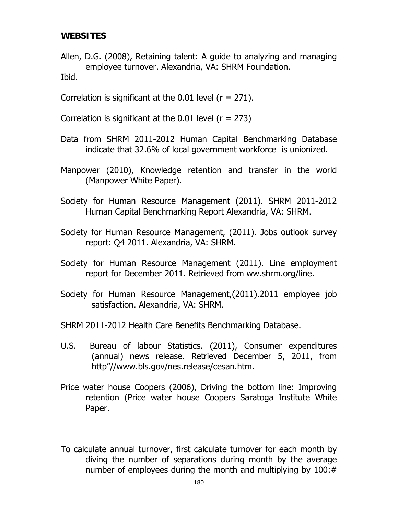# **WEBSITES**

Allen, D.G. (2008), Retaining talent: A guide to analyzing and managing employee turnover. Alexandria, VA: SHRM Foundation. Ibid.

Correlation is significant at the  $0.01$  level ( $r = 271$ ).

Correlation is significant at the  $0.01$  level ( $r = 273$ )

- Data from SHRM 2011-2012 Human Capital Benchmarking Database indicate that 32.6% of local government workforce is unionized.
- Manpower (2010), Knowledge retention and transfer in the world (Manpower White Paper).
- Society for Human Resource Management (2011). SHRM 2011-2012 Human Capital Benchmarking Report Alexandria, VA: SHRM.
- Society for Human Resource Management, (2011). Jobs outlook survey report: Q4 2011. Alexandria, VA: SHRM.
- Society for Human Resource Management (2011). Line employment report for December 2011. Retrieved from ww.shrm.org/line.
- Society for Human Resource Management,(2011).2011 employee job satisfaction. Alexandria, VA: SHRM.

SHRM 2011-2012 Health Care Benefits Benchmarking Database.

- U.S. Bureau of labour Statistics. (2011), Consumer expenditures (annual) news release. Retrieved December 5, 2011, from http"//www.bls.gov/nes.release/cesan.htm.
- Price water house Coopers (2006), Driving the bottom line: Improving retention (Price water house Coopers Saratoga Institute White Paper.

To calculate annual turnover, first calculate turnover for each month by diving the number of separations during month by the average number of employees during the month and multiplying by 100:#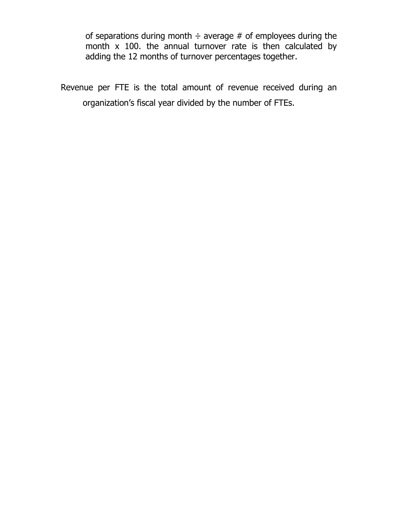of separations during month  $\div$  average # of employees during the month x 100. the annual turnover rate is then calculated by adding the 12 months of turnover percentages together.

Revenue per FTE is the total amount of revenue received during an organization's fiscal year divided by the number of FTEs.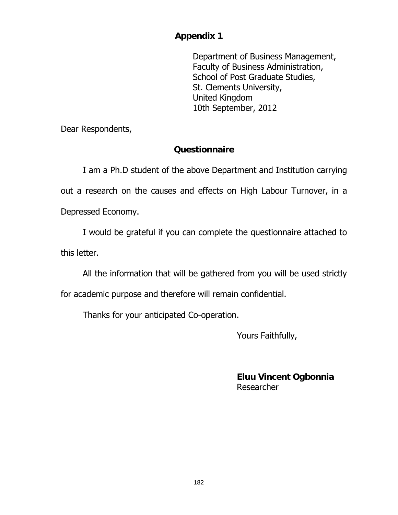#### **Appendix 1**

Department of Business Management, Faculty of Business Administration, School of Post Graduate Studies, St. Clements University, United Kingdom 10th September, 2012

Dear Respondents,

## **Questionnaire**

 I am a Ph.D student of the above Department and Institution carrying out a research on the causes and effects on High Labour Turnover, in a Depressed Economy.

 I would be grateful if you can complete the questionnaire attached to this letter.

All the information that will be gathered from you will be used strictly

for academic purpose and therefore will remain confidential.

Thanks for your anticipated Co-operation.

Yours Faithfully,

**Eluu Vincent Ogbonnia** Researcher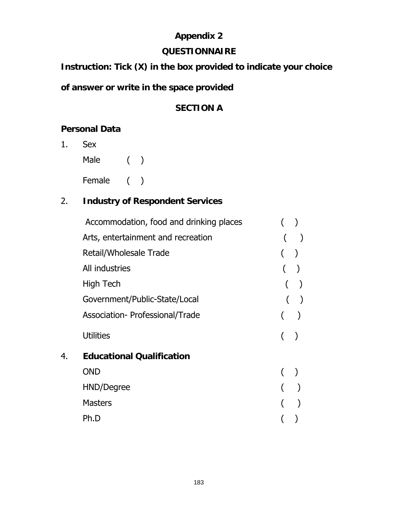# **Appendix 2**

#### **QUESTIONNAIRE**

## **Instruction: Tick (X) in the box provided to indicate your choice**

# **of answer or write in the space provided**

# **SECTION A**

# **Personal Data**

- 1. Sex
	- Male ( ) Female ()

# 2. **Industry of Respondent Services**

|    | Accommodation, food and drinking places |  |
|----|-----------------------------------------|--|
|    | Arts, entertainment and recreation      |  |
|    | Retail/Wholesale Trade                  |  |
|    | All industries                          |  |
|    | High Tech                               |  |
|    | Government/Public-State/Local           |  |
|    | Association- Professional/Trade         |  |
|    | <b>Utilities</b>                        |  |
| 4. | <b>Educational Qualification</b>        |  |
|    | <b>OND</b>                              |  |
|    | HND/Degree                              |  |
|    | <b>Masters</b>                          |  |
|    | Ph.D                                    |  |
|    |                                         |  |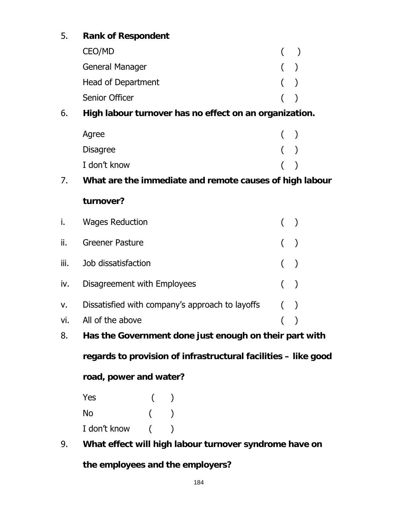# 5. **Rank of Respondent**

| CEO/MD                 | ( |
|------------------------|---|
| <b>General Manager</b> | ( |
| Head of Department     | ( |
| Senior Officer         |   |

# 6. **High labour turnover has no effect on an organization.**

| Agree           | ( |   |
|-----------------|---|---|
| <b>Disagree</b> |   | ( |
| I don't know    |   |   |

# 7. **What are the immediate and remote causes of high labour**

#### **turnover?**

| i.   | <b>Wages Reduction</b>                          |       |  |
|------|-------------------------------------------------|-------|--|
| ii.  | <b>Greener Pasture</b>                          | $($ ) |  |
| iii. | Job dissatisfaction                             | $($ ) |  |
| iv.  | Disagreement with Employees                     | $($ ) |  |
| V.   | Dissatisfied with company's approach to layoffs | $($ ) |  |
| vi.  | All of the above                                |       |  |

## 8. **Has the Government done just enough on their part with**

**regards to provision of infrastructural facilities – like good** 

**road, power and water?** 

Yes ( ) No ( ) I don't know ( )

9. **What effect will high labour turnover syndrome have on the employees and the employers?**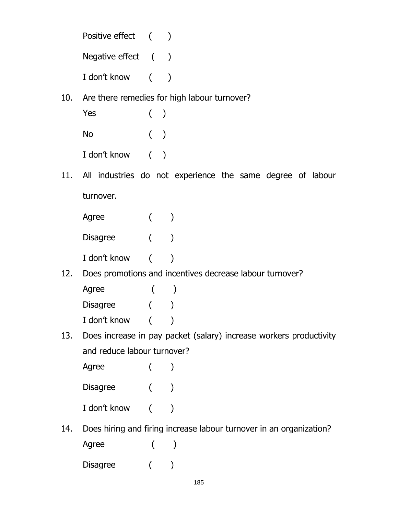| Positive effect ( |            |  |
|-------------------|------------|--|
| Negative effect ( |            |  |
| I don't know      | $\sqrt{2}$ |  |

10. Are there remedies for high labour turnover?

| Yes          | (     |  |
|--------------|-------|--|
| No           | $($ ) |  |
| I don't know |       |  |

11. All industries do not experience the same degree of labour turnover.

| Agree           |  |
|-----------------|--|
| <b>Disagree</b> |  |
| I don't know    |  |

12. Does promotions and incentives decrease labour turnover?

| Agree           |  |
|-----------------|--|
| <b>Disagree</b> |  |
| I don't know    |  |

13. Does increase in pay packet (salary) increase workers productivity and reduce labour turnover?

| Agree           |  |
|-----------------|--|
| <b>Disagree</b> |  |
| I don't know    |  |

14. Does hiring and firing increase labour turnover in an organization? Agree ( )